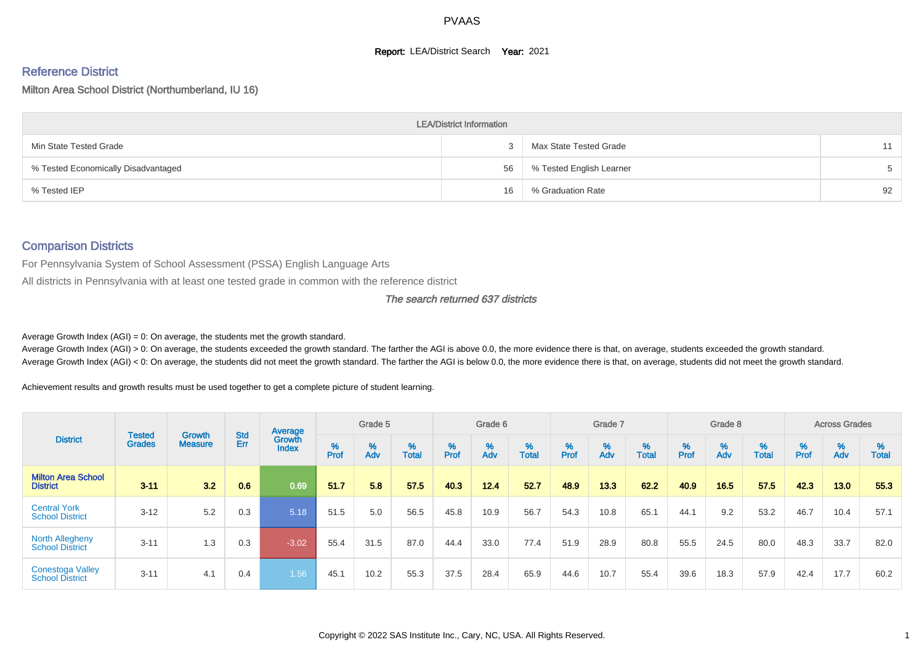#### **Report: LEA/District Search Year: 2021**

# Reference District

Milton Area School District (Northumberland, IU 16)

|                                     | <b>LEA/District Information</b> |                          |       |
|-------------------------------------|---------------------------------|--------------------------|-------|
| Min State Tested Grade              |                                 | Max State Tested Grade   | 11    |
| % Tested Economically Disadvantaged | 56                              | % Tested English Learner | $5 -$ |
| % Tested IEP                        | 16                              | % Graduation Rate        | 92    |

#### Comparison Districts

For Pennsylvania System of School Assessment (PSSA) English Language Arts

All districts in Pennsylvania with at least one tested grade in common with the reference district

#### The search returned 637 districts

Average Growth Index  $(AGI) = 0$ : On average, the students met the growth standard.

Average Growth Index (AGI) > 0: On average, the students exceeded the growth standard. The farther the AGI is above 0.0, the more evidence there is that, on average, students exceeded the growth standard. Average Growth Index (AGI) < 0: On average, the students did not meet the growth standard. The farther the AGI is below 0.0, the more evidence there is that, on average, students did not meet the growth standard.

Achievement results and growth results must be used together to get a complete picture of student learning.

|                                                   |                                |                                 |                   | Average                       |                    | Grade 5  |                   |        | Grade 6  |                   |           | Grade 7  |                   |           | Grade 8  |                   |        | <b>Across Grades</b> |                   |
|---------------------------------------------------|--------------------------------|---------------------------------|-------------------|-------------------------------|--------------------|----------|-------------------|--------|----------|-------------------|-----------|----------|-------------------|-----------|----------|-------------------|--------|----------------------|-------------------|
| <b>District</b>                                   | <b>Tested</b><br><b>Grades</b> | <b>Growth</b><br><b>Measure</b> | <b>Std</b><br>Err | <b>Growth</b><br><b>Index</b> | $% P_{\text{ref}}$ | %<br>Adv | %<br><b>Total</b> | % Pref | %<br>Adv | %<br><b>Total</b> | %<br>Prof | %<br>Adv | %<br><b>Total</b> | %<br>Prof | %<br>Adv | %<br><b>Total</b> | % Pref | $\frac{\%}{\%}$      | %<br><b>Total</b> |
| <b>Milton Area School</b><br><b>District</b>      | $3 - 11$                       | 3.2                             | 0.6               | 0.69                          | 51.7               | 5.8      | 57.5              | 40.3   | $12.4$   | 52.7              | 48.9      | 13.3     | 62.2              | 40.9      | 16.5     | 57.5              | 42.3   | 13.0                 | 55.3              |
| <b>Central York</b><br><b>School District</b>     | $3 - 12$                       | 5.2                             | 0.3               | 5.18                          | 51.5               | 5.0      | 56.5              | 45.8   | 10.9     | 56.7              | 54.3      | 10.8     | 65.1              | 44.1      | 9.2      | 53.2              | 46.7   | 10.4                 | 57.1              |
| <b>North Allegheny</b><br><b>School District</b>  | $3 - 11$                       | 1.3                             | 0.3               | $-3.02$                       | 55.4               | 31.5     | 87.0              | 44.4   | 33.0     | 77.4              | 51.9      | 28.9     | 80.8              | 55.5      | 24.5     | 80.0              | 48.3   | 33.7                 | 82.0              |
| <b>Conestoga Valley</b><br><b>School District</b> | $3 - 11$                       | 4.1                             | 0.4               | 1.56                          | 45.1               | 10.2     | 55.3              | 37.5   | 28.4     | 65.9              | 44.6      | 10.7     | 55.4              | 39.6      | 18.3     | 57.9              | 42.4   | 17.7                 | 60.2              |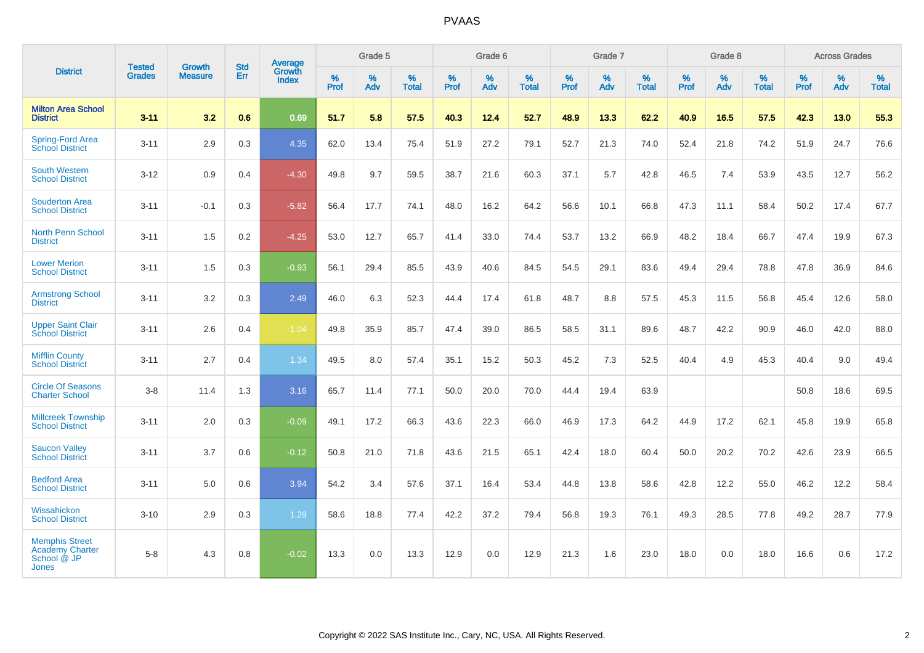|                                                                         |                                |                                 | <b>Std</b> | <b>Average</b>  |           | Grade 5  |                   |           | Grade 6  |                   |           | Grade 7  |                   |           | Grade 8  |            |           | <b>Across Grades</b> |                   |
|-------------------------------------------------------------------------|--------------------------------|---------------------------------|------------|-----------------|-----------|----------|-------------------|-----------|----------|-------------------|-----------|----------|-------------------|-----------|----------|------------|-----------|----------------------|-------------------|
| <b>District</b>                                                         | <b>Tested</b><br><b>Grades</b> | <b>Growth</b><br><b>Measure</b> | Err        | Growth<br>Index | %<br>Prof | %<br>Adv | %<br><b>Total</b> | %<br>Prof | %<br>Adv | %<br><b>Total</b> | %<br>Prof | %<br>Adv | %<br><b>Total</b> | %<br>Prof | %<br>Adv | %<br>Total | %<br>Prof | %<br>Adv             | %<br><b>Total</b> |
| <b>Milton Area School</b><br><b>District</b>                            | $3 - 11$                       | 3.2                             | 0.6        | 0.69            | 51.7      | 5.8      | 57.5              | 40.3      | 12.4     | 52.7              | 48.9      | 13.3     | 62.2              | 40.9      | 16.5     | 57.5       | 42.3      | 13.0                 | 55.3              |
| <b>Spring-Ford Area</b><br>School District                              | $3 - 11$                       | 2.9                             | 0.3        | 4.35            | 62.0      | 13.4     | 75.4              | 51.9      | 27.2     | 79.1              | 52.7      | 21.3     | 74.0              | 52.4      | 21.8     | 74.2       | 51.9      | 24.7                 | 76.6              |
| <b>South Western</b><br><b>School District</b>                          | $3 - 12$                       | 0.9                             | 0.4        | $-4.30$         | 49.8      | 9.7      | 59.5              | 38.7      | 21.6     | 60.3              | 37.1      | 5.7      | 42.8              | 46.5      | 7.4      | 53.9       | 43.5      | 12.7                 | 56.2              |
| <b>Souderton Area</b><br><b>School District</b>                         | $3 - 11$                       | $-0.1$                          | 0.3        | $-5.82$         | 56.4      | 17.7     | 74.1              | 48.0      | 16.2     | 64.2              | 56.6      | 10.1     | 66.8              | 47.3      | 11.1     | 58.4       | 50.2      | 17.4                 | 67.7              |
| North Penn School<br><b>District</b>                                    | $3 - 11$                       | 1.5                             | 0.2        | $-4.25$         | 53.0      | 12.7     | 65.7              | 41.4      | 33.0     | 74.4              | 53.7      | 13.2     | 66.9              | 48.2      | 18.4     | 66.7       | 47.4      | 19.9                 | 67.3              |
| <b>Lower Merion</b><br><b>School District</b>                           | $3 - 11$                       | 1.5                             | 0.3        | $-0.93$         | 56.1      | 29.4     | 85.5              | 43.9      | 40.6     | 84.5              | 54.5      | 29.1     | 83.6              | 49.4      | 29.4     | 78.8       | 47.8      | 36.9                 | 84.6              |
| <b>Armstrong School</b><br><b>District</b>                              | $3 - 11$                       | 3.2                             | 0.3        | 2.49            | 46.0      | 6.3      | 52.3              | 44.4      | 17.4     | 61.8              | 48.7      | 8.8      | 57.5              | 45.3      | 11.5     | 56.8       | 45.4      | 12.6                 | 58.0              |
| <b>Upper Saint Clair</b><br><b>School District</b>                      | $3 - 11$                       | 2.6                             | 0.4        | $-1.04$         | 49.8      | 35.9     | 85.7              | 47.4      | 39.0     | 86.5              | 58.5      | 31.1     | 89.6              | 48.7      | 42.2     | 90.9       | 46.0      | 42.0                 | 88.0              |
| <b>Mifflin County</b><br><b>School District</b>                         | $3 - 11$                       | 2.7                             | 0.4        | 1.34            | 49.5      | 8.0      | 57.4              | 35.1      | 15.2     | 50.3              | 45.2      | 7.3      | 52.5              | 40.4      | 4.9      | 45.3       | 40.4      | 9.0                  | 49.4              |
| <b>Circle Of Seasons</b><br><b>Charter School</b>                       | $3 - 8$                        | 11.4                            | 1.3        | 3.16            | 65.7      | 11.4     | 77.1              | 50.0      | 20.0     | 70.0              | 44.4      | 19.4     | 63.9              |           |          |            | 50.8      | 18.6                 | 69.5              |
| <b>Millcreek Township</b><br><b>School District</b>                     | $3 - 11$                       | 2.0                             | 0.3        | $-0.09$         | 49.1      | 17.2     | 66.3              | 43.6      | 22.3     | 66.0              | 46.9      | 17.3     | 64.2              | 44.9      | 17.2     | 62.1       | 45.8      | 19.9                 | 65.8              |
| <b>Saucon Valley</b><br><b>School District</b>                          | $3 - 11$                       | 3.7                             | 0.6        | $-0.12$         | 50.8      | 21.0     | 71.8              | 43.6      | 21.5     | 65.1              | 42.4      | 18.0     | 60.4              | 50.0      | 20.2     | 70.2       | 42.6      | 23.9                 | 66.5              |
| <b>Bedford Area</b><br><b>School District</b>                           | $3 - 11$                       | 5.0                             | 0.6        | 3.94            | 54.2      | 3.4      | 57.6              | 37.1      | 16.4     | 53.4              | 44.8      | 13.8     | 58.6              | 42.8      | 12.2     | 55.0       | 46.2      | 12.2                 | 58.4              |
| Wissahickon<br><b>School District</b>                                   | $3 - 10$                       | 2.9                             | 0.3        | 1.29            | 58.6      | 18.8     | 77.4              | 42.2      | 37.2     | 79.4              | 56.8      | 19.3     | 76.1              | 49.3      | 28.5     | 77.8       | 49.2      | 28.7                 | 77.9              |
| <b>Memphis Street</b><br><b>Academy Charter</b><br>School @ JP<br>Jones | $5 - 8$                        | 4.3                             | 0.8        | $-0.02$         | 13.3      | 0.0      | 13.3              | 12.9      | 0.0      | 12.9              | 21.3      | 1.6      | 23.0              | 18.0      | 0.0      | 18.0       | 16.6      | 0.6                  | 17.2              |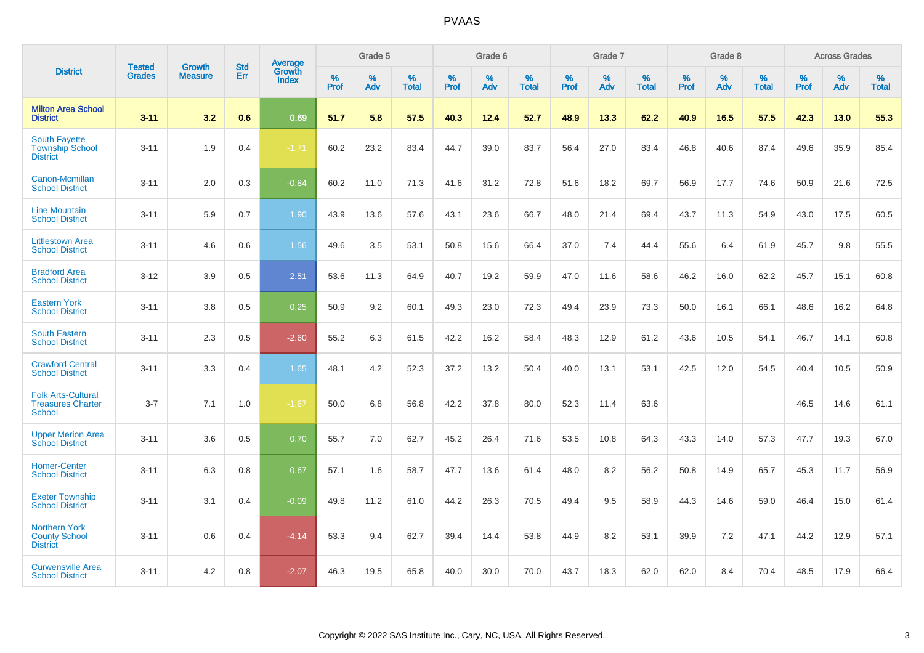|                                                                        | <b>Tested</b> | <b>Growth</b>  | <b>Std</b> | Average                |           | Grade 5  |                   |           | Grade 6  |                   |           | Grade 7  |                   |           | Grade 8  |                   |           | <b>Across Grades</b> |                   |
|------------------------------------------------------------------------|---------------|----------------|------------|------------------------|-----------|----------|-------------------|-----------|----------|-------------------|-----------|----------|-------------------|-----------|----------|-------------------|-----------|----------------------|-------------------|
| <b>District</b>                                                        | <b>Grades</b> | <b>Measure</b> | Err        | Growth<br><b>Index</b> | %<br>Prof | %<br>Adv | %<br><b>Total</b> | %<br>Prof | %<br>Adv | %<br><b>Total</b> | %<br>Prof | %<br>Adv | %<br><b>Total</b> | %<br>Prof | %<br>Adv | %<br><b>Total</b> | %<br>Prof | %<br>Adv             | %<br><b>Total</b> |
| <b>Milton Area School</b><br><b>District</b>                           | $3 - 11$      | 3.2            | 0.6        | 0.69                   | 51.7      | 5.8      | 57.5              | 40.3      | 12.4     | 52.7              | 48.9      | 13.3     | 62.2              | 40.9      | 16.5     | 57.5              | 42.3      | 13.0                 | 55.3              |
| <b>South Fayette</b><br><b>Township School</b><br><b>District</b>      | $3 - 11$      | 1.9            | 0.4        | $-1.71$                | 60.2      | 23.2     | 83.4              | 44.7      | 39.0     | 83.7              | 56.4      | 27.0     | 83.4              | 46.8      | 40.6     | 87.4              | 49.6      | 35.9                 | 85.4              |
| Canon-Mcmillan<br><b>School District</b>                               | $3 - 11$      | 2.0            | 0.3        | $-0.84$                | 60.2      | 11.0     | 71.3              | 41.6      | 31.2     | 72.8              | 51.6      | 18.2     | 69.7              | 56.9      | 17.7     | 74.6              | 50.9      | 21.6                 | 72.5              |
| <b>Line Mountain</b><br><b>School District</b>                         | $3 - 11$      | 5.9            | 0.7        | 1.90                   | 43.9      | 13.6     | 57.6              | 43.1      | 23.6     | 66.7              | 48.0      | 21.4     | 69.4              | 43.7      | 11.3     | 54.9              | 43.0      | 17.5                 | 60.5              |
| <b>Littlestown Area</b><br><b>School District</b>                      | $3 - 11$      | 4.6            | 0.6        | 1.56                   | 49.6      | 3.5      | 53.1              | 50.8      | 15.6     | 66.4              | 37.0      | 7.4      | 44.4              | 55.6      | 6.4      | 61.9              | 45.7      | 9.8                  | 55.5              |
| <b>Bradford Area</b><br><b>School District</b>                         | $3 - 12$      | 3.9            | 0.5        | 2.51                   | 53.6      | 11.3     | 64.9              | 40.7      | 19.2     | 59.9              | 47.0      | 11.6     | 58.6              | 46.2      | 16.0     | 62.2              | 45.7      | 15.1                 | 60.8              |
| <b>Eastern York</b><br><b>School District</b>                          | $3 - 11$      | 3.8            | 0.5        | 0.25                   | 50.9      | 9.2      | 60.1              | 49.3      | 23.0     | 72.3              | 49.4      | 23.9     | 73.3              | 50.0      | 16.1     | 66.1              | 48.6      | 16.2                 | 64.8              |
| <b>South Eastern</b><br><b>School District</b>                         | $3 - 11$      | 2.3            | 0.5        | $-2.60$                | 55.2      | 6.3      | 61.5              | 42.2      | 16.2     | 58.4              | 48.3      | 12.9     | 61.2              | 43.6      | 10.5     | 54.1              | 46.7      | 14.1                 | 60.8              |
| <b>Crawford Central</b><br><b>School District</b>                      | $3 - 11$      | 3.3            | 0.4        | 1.65                   | 48.1      | 4.2      | 52.3              | 37.2      | 13.2     | 50.4              | 40.0      | 13.1     | 53.1              | 42.5      | 12.0     | 54.5              | 40.4      | 10.5                 | 50.9              |
| <b>Folk Arts-Cultural</b><br><b>Treasures Charter</b><br><b>School</b> | $3 - 7$       | 7.1            | 1.0        | $-1.67$                | 50.0      | 6.8      | 56.8              | 42.2      | 37.8     | 80.0              | 52.3      | 11.4     | 63.6              |           |          |                   | 46.5      | 14.6                 | 61.1              |
| <b>Upper Merion Area</b><br><b>School District</b>                     | $3 - 11$      | 3.6            | 0.5        | 0.70                   | 55.7      | 7.0      | 62.7              | 45.2      | 26.4     | 71.6              | 53.5      | 10.8     | 64.3              | 43.3      | 14.0     | 57.3              | 47.7      | 19.3                 | 67.0              |
| <b>Homer-Center</b><br><b>School District</b>                          | $3 - 11$      | 6.3            | 0.8        | 0.67                   | 57.1      | 1.6      | 58.7              | 47.7      | 13.6     | 61.4              | 48.0      | 8.2      | 56.2              | 50.8      | 14.9     | 65.7              | 45.3      | 11.7                 | 56.9              |
| <b>Exeter Township</b><br><b>School District</b>                       | $3 - 11$      | 3.1            | 0.4        | $-0.09$                | 49.8      | 11.2     | 61.0              | 44.2      | 26.3     | 70.5              | 49.4      | 9.5      | 58.9              | 44.3      | 14.6     | 59.0              | 46.4      | 15.0                 | 61.4              |
| <b>Northern York</b><br><b>County School</b><br><b>District</b>        | $3 - 11$      | 0.6            | 0.4        | $-4.14$                | 53.3      | 9.4      | 62.7              | 39.4      | 14.4     | 53.8              | 44.9      | 8.2      | 53.1              | 39.9      | 7.2      | 47.1              | 44.2      | 12.9                 | 57.1              |
| <b>Curwensville Area</b><br><b>School District</b>                     | $3 - 11$      | 4.2            | 0.8        | $-2.07$                | 46.3      | 19.5     | 65.8              | 40.0      | 30.0     | 70.0              | 43.7      | 18.3     | 62.0              | 62.0      | 8.4      | 70.4              | 48.5      | 17.9                 | 66.4              |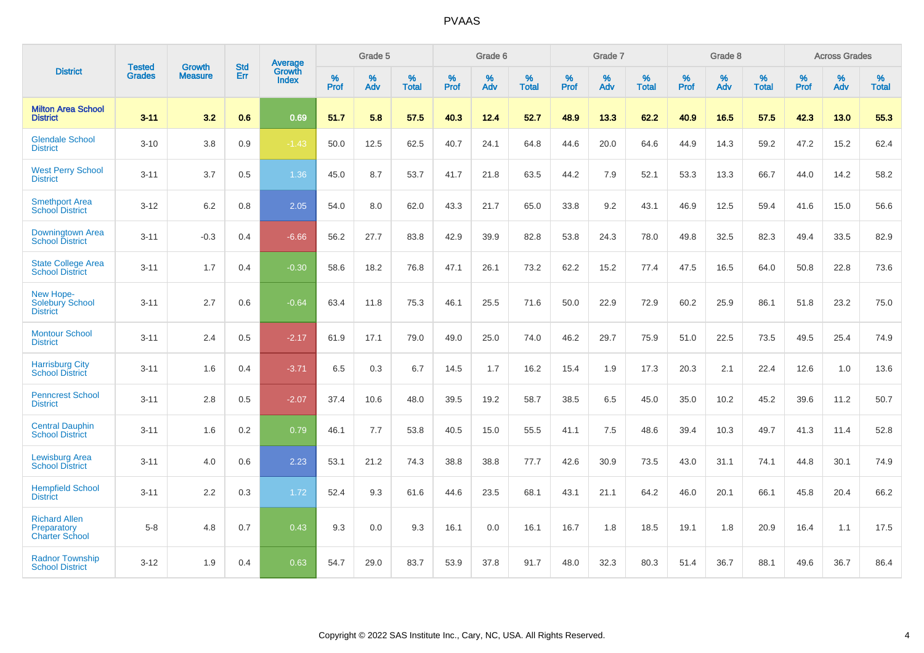|                                                              |                         |                                 | <b>Std</b> | Average                       |           | Grade 5  |                   |           | Grade 6  |                   |           | Grade 7  |                   |           | Grade 8  |                   |           | <b>Across Grades</b> |                   |
|--------------------------------------------------------------|-------------------------|---------------------------------|------------|-------------------------------|-----------|----------|-------------------|-----------|----------|-------------------|-----------|----------|-------------------|-----------|----------|-------------------|-----------|----------------------|-------------------|
| <b>District</b>                                              | <b>Tested</b><br>Grades | <b>Growth</b><br><b>Measure</b> | Err        | <b>Growth</b><br><b>Index</b> | %<br>Prof | %<br>Adv | %<br><b>Total</b> | %<br>Prof | %<br>Adv | %<br><b>Total</b> | %<br>Prof | %<br>Adv | %<br><b>Total</b> | %<br>Prof | %<br>Adv | %<br><b>Total</b> | %<br>Prof | %<br>Adv             | %<br><b>Total</b> |
| <b>Milton Area School</b><br><b>District</b>                 | $3 - 11$                | 3.2                             | 0.6        | 0.69                          | 51.7      | 5.8      | 57.5              | 40.3      | 12.4     | 52.7              | 48.9      | 13.3     | 62.2              | 40.9      | 16.5     | 57.5              | 42.3      | 13.0                 | 55.3              |
| <b>Glendale School</b><br><b>District</b>                    | $3 - 10$                | 3.8                             | 0.9        | $-1.43$                       | 50.0      | 12.5     | 62.5              | 40.7      | 24.1     | 64.8              | 44.6      | 20.0     | 64.6              | 44.9      | 14.3     | 59.2              | 47.2      | 15.2                 | 62.4              |
| <b>West Perry School</b><br><b>District</b>                  | $3 - 11$                | 3.7                             | $0.5\,$    | 1.36                          | 45.0      | 8.7      | 53.7              | 41.7      | 21.8     | 63.5              | 44.2      | 7.9      | 52.1              | 53.3      | 13.3     | 66.7              | 44.0      | 14.2                 | 58.2              |
| <b>Smethport Area</b><br><b>School District</b>              | $3 - 12$                | 6.2                             | 0.8        | 2.05                          | 54.0      | 8.0      | 62.0              | 43.3      | 21.7     | 65.0              | 33.8      | 9.2      | 43.1              | 46.9      | 12.5     | 59.4              | 41.6      | 15.0                 | 56.6              |
| Downingtown Area<br><b>School District</b>                   | $3 - 11$                | $-0.3$                          | 0.4        | $-6.66$                       | 56.2      | 27.7     | 83.8              | 42.9      | 39.9     | 82.8              | 53.8      | 24.3     | 78.0              | 49.8      | 32.5     | 82.3              | 49.4      | 33.5                 | 82.9              |
| <b>State College Area</b><br><b>School District</b>          | $3 - 11$                | 1.7                             | 0.4        | $-0.30$                       | 58.6      | 18.2     | 76.8              | 47.1      | 26.1     | 73.2              | 62.2      | 15.2     | 77.4              | 47.5      | 16.5     | 64.0              | 50.8      | 22.8                 | 73.6              |
| New Hope-<br><b>Solebury School</b><br><b>District</b>       | $3 - 11$                | 2.7                             | 0.6        | $-0.64$                       | 63.4      | 11.8     | 75.3              | 46.1      | 25.5     | 71.6              | 50.0      | 22.9     | 72.9              | 60.2      | 25.9     | 86.1              | 51.8      | 23.2                 | 75.0              |
| <b>Montour School</b><br><b>District</b>                     | $3 - 11$                | 2.4                             | 0.5        | $-2.17$                       | 61.9      | 17.1     | 79.0              | 49.0      | 25.0     | 74.0              | 46.2      | 29.7     | 75.9              | 51.0      | 22.5     | 73.5              | 49.5      | 25.4                 | 74.9              |
| <b>Harrisburg City</b><br><b>School District</b>             | $3 - 11$                | 1.6                             | 0.4        | $-3.71$                       | 6.5       | 0.3      | 6.7               | 14.5      | 1.7      | 16.2              | 15.4      | 1.9      | 17.3              | 20.3      | 2.1      | 22.4              | 12.6      | 1.0                  | 13.6              |
| <b>Penncrest School</b><br><b>District</b>                   | $3 - 11$                | 2.8                             | 0.5        | $-2.07$                       | 37.4      | 10.6     | 48.0              | 39.5      | 19.2     | 58.7              | 38.5      | 6.5      | 45.0              | 35.0      | 10.2     | 45.2              | 39.6      | 11.2                 | 50.7              |
| <b>Central Dauphin</b><br><b>School District</b>             | $3 - 11$                | 1.6                             | 0.2        | 0.79                          | 46.1      | 7.7      | 53.8              | 40.5      | 15.0     | 55.5              | 41.1      | 7.5      | 48.6              | 39.4      | 10.3     | 49.7              | 41.3      | 11.4                 | 52.8              |
| <b>Lewisburg Area</b><br><b>School District</b>              | $3 - 11$                | 4.0                             | 0.6        | 2.23                          | 53.1      | 21.2     | 74.3              | 38.8      | 38.8     | 77.7              | 42.6      | 30.9     | 73.5              | 43.0      | 31.1     | 74.1              | 44.8      | 30.1                 | 74.9              |
| <b>Hempfield School</b><br><b>District</b>                   | $3 - 11$                | 2.2                             | 0.3        | 1.72                          | 52.4      | 9.3      | 61.6              | 44.6      | 23.5     | 68.1              | 43.1      | 21.1     | 64.2              | 46.0      | 20.1     | 66.1              | 45.8      | 20.4                 | 66.2              |
| <b>Richard Allen</b><br>Preparatory<br><b>Charter School</b> | $5-8$                   | 4.8                             | 0.7        | 0.43                          | 9.3       | 0.0      | 9.3               | 16.1      | 0.0      | 16.1              | 16.7      | 1.8      | 18.5              | 19.1      | 1.8      | 20.9              | 16.4      | 1.1                  | 17.5              |
| <b>Radnor Township</b><br><b>School District</b>             | $3 - 12$                | 1.9                             | 0.4        | 0.63                          | 54.7      | 29.0     | 83.7              | 53.9      | 37.8     | 91.7              | 48.0      | 32.3     | 80.3              | 51.4      | 36.7     | 88.1              | 49.6      | 36.7                 | 86.4              |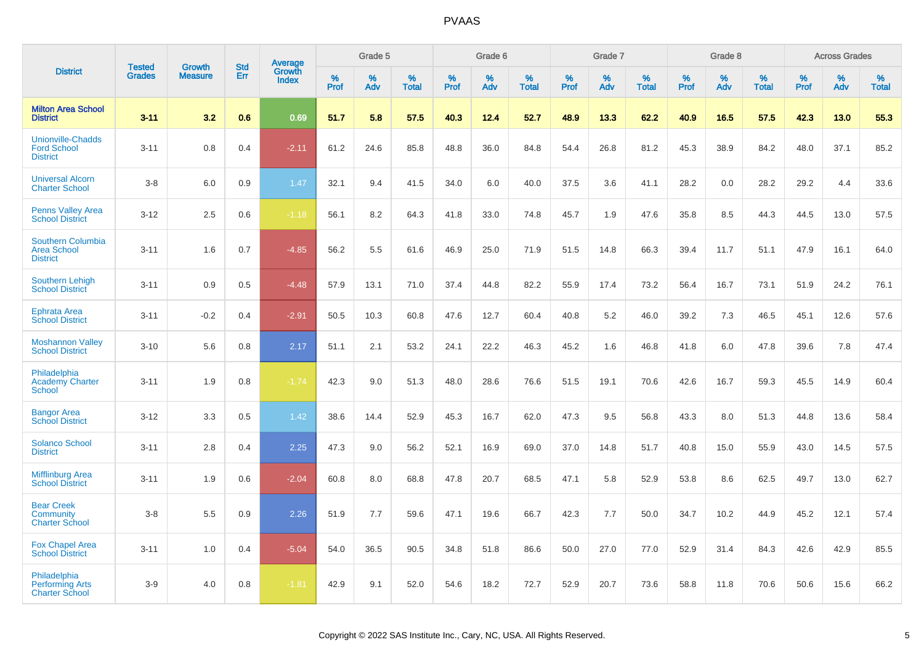|                                                                   | <b>Tested</b> | Growth         | <b>Std</b> | Average                |                  | Grade 5  |                   |           | Grade 6  |                   |                  | Grade 7  |                   |           | Grade 8  |                   |           | <b>Across Grades</b> |                   |
|-------------------------------------------------------------------|---------------|----------------|------------|------------------------|------------------|----------|-------------------|-----------|----------|-------------------|------------------|----------|-------------------|-----------|----------|-------------------|-----------|----------------------|-------------------|
| <b>District</b>                                                   | <b>Grades</b> | <b>Measure</b> | Err        | Growth<br><b>Index</b> | %<br><b>Prof</b> | %<br>Adv | %<br><b>Total</b> | %<br>Prof | %<br>Adv | %<br><b>Total</b> | %<br><b>Prof</b> | %<br>Adv | %<br><b>Total</b> | %<br>Prof | %<br>Adv | %<br><b>Total</b> | %<br>Prof | %<br>Adv             | %<br><b>Total</b> |
| <b>Milton Area School</b><br><b>District</b>                      | $3 - 11$      | 3.2            | 0.6        | 0.69                   | 51.7             | 5.8      | 57.5              | 40.3      | 12.4     | 52.7              | 48.9             | 13.3     | 62.2              | 40.9      | 16.5     | 57.5              | 42.3      | 13.0                 | 55.3              |
| <b>Unionville-Chadds</b><br><b>Ford School</b><br><b>District</b> | $3 - 11$      | 0.8            | 0.4        | $-2.11$                | 61.2             | 24.6     | 85.8              | 48.8      | 36.0     | 84.8              | 54.4             | 26.8     | 81.2              | 45.3      | 38.9     | 84.2              | 48.0      | 37.1                 | 85.2              |
| <b>Universal Alcorn</b><br><b>Charter School</b>                  | $3-8$         | 6.0            | 0.9        | 1.47                   | 32.1             | 9.4      | 41.5              | 34.0      | 6.0      | 40.0              | 37.5             | 3.6      | 41.1              | 28.2      | 0.0      | 28.2              | 29.2      | 4.4                  | 33.6              |
| <b>Penns Valley Area</b><br><b>School District</b>                | $3 - 12$      | 2.5            | 0.6        | $-1.18$                | 56.1             | 8.2      | 64.3              | 41.8      | 33.0     | 74.8              | 45.7             | 1.9      | 47.6              | 35.8      | 8.5      | 44.3              | 44.5      | 13.0                 | 57.5              |
| Southern Columbia<br><b>Area School</b><br><b>District</b>        | $3 - 11$      | 1.6            | 0.7        | $-4.85$                | 56.2             | 5.5      | 61.6              | 46.9      | 25.0     | 71.9              | 51.5             | 14.8     | 66.3              | 39.4      | 11.7     | 51.1              | 47.9      | 16.1                 | 64.0              |
| <b>Southern Lehigh</b><br><b>School District</b>                  | $3 - 11$      | 0.9            | 0.5        | $-4.48$                | 57.9             | 13.1     | 71.0              | 37.4      | 44.8     | 82.2              | 55.9             | 17.4     | 73.2              | 56.4      | 16.7     | 73.1              | 51.9      | 24.2                 | 76.1              |
| <b>Ephrata Area</b><br><b>School District</b>                     | $3 - 11$      | $-0.2$         | 0.4        | $-2.91$                | 50.5             | 10.3     | 60.8              | 47.6      | 12.7     | 60.4              | 40.8             | 5.2      | 46.0              | 39.2      | 7.3      | 46.5              | 45.1      | 12.6                 | 57.6              |
| <b>Moshannon Valley</b><br><b>School District</b>                 | $3 - 10$      | 5.6            | 0.8        | 2.17                   | 51.1             | 2.1      | 53.2              | 24.1      | 22.2     | 46.3              | 45.2             | 1.6      | 46.8              | 41.8      | 6.0      | 47.8              | 39.6      | 7.8                  | 47.4              |
| Philadelphia<br><b>Academy Charter</b><br><b>School</b>           | $3 - 11$      | 1.9            | 0.8        | $-1.74$                | 42.3             | 9.0      | 51.3              | 48.0      | 28.6     | 76.6              | 51.5             | 19.1     | 70.6              | 42.6      | 16.7     | 59.3              | 45.5      | 14.9                 | 60.4              |
| <b>Bangor Area</b><br><b>School District</b>                      | $3 - 12$      | 3.3            | 0.5        | 1.42                   | 38.6             | 14.4     | 52.9              | 45.3      | 16.7     | 62.0              | 47.3             | 9.5      | 56.8              | 43.3      | 8.0      | 51.3              | 44.8      | 13.6                 | 58.4              |
| <b>Solanco School</b><br><b>District</b>                          | $3 - 11$      | 2.8            | 0.4        | 2.25                   | 47.3             | 9.0      | 56.2              | 52.1      | 16.9     | 69.0              | 37.0             | 14.8     | 51.7              | 40.8      | 15.0     | 55.9              | 43.0      | 14.5                 | 57.5              |
| <b>Mifflinburg Area</b><br><b>School District</b>                 | $3 - 11$      | 1.9            | 0.6        | $-2.04$                | 60.8             | 8.0      | 68.8              | 47.8      | 20.7     | 68.5              | 47.1             | 5.8      | 52.9              | 53.8      | 8.6      | 62.5              | 49.7      | 13.0                 | 62.7              |
| <b>Bear Creek</b><br>Community<br><b>Charter School</b>           | $3-8$         | 5.5            | 0.9        | 2.26                   | 51.9             | 7.7      | 59.6              | 47.1      | 19.6     | 66.7              | 42.3             | 7.7      | 50.0              | 34.7      | 10.2     | 44.9              | 45.2      | 12.1                 | 57.4              |
| <b>Fox Chapel Area</b><br><b>School District</b>                  | $3 - 11$      | 1.0            | 0.4        | $-5.04$                | 54.0             | 36.5     | 90.5              | 34.8      | 51.8     | 86.6              | 50.0             | 27.0     | 77.0              | 52.9      | 31.4     | 84.3              | 42.6      | 42.9                 | 85.5              |
| Philadelphia<br><b>Performing Arts</b><br><b>Charter School</b>   | $3-9$         | 4.0            | 0.8        | $-1.81$                | 42.9             | 9.1      | 52.0              | 54.6      | 18.2     | 72.7              | 52.9             | 20.7     | 73.6              | 58.8      | 11.8     | 70.6              | 50.6      | 15.6                 | 66.2              |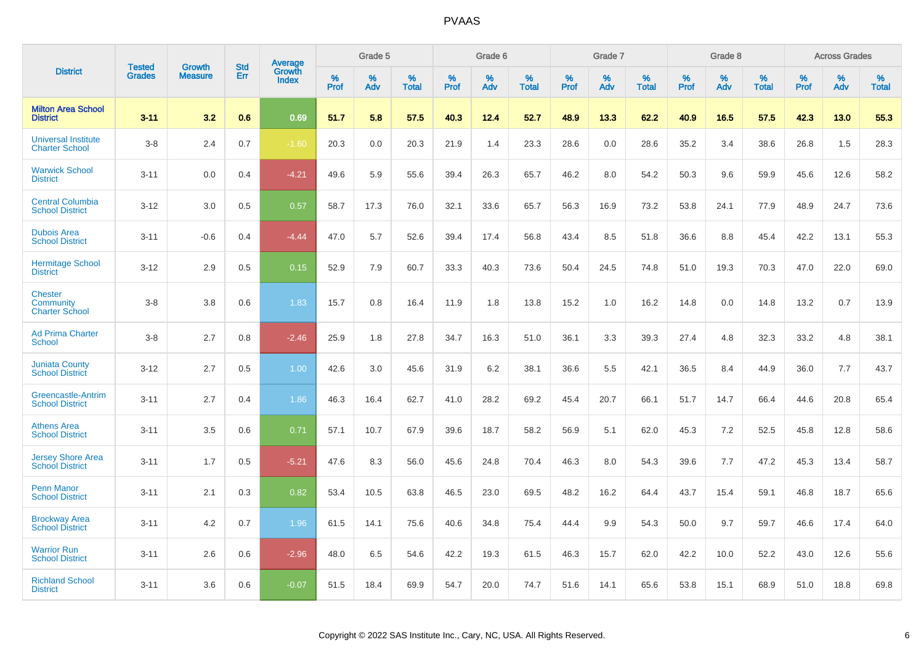|                                                      | <b>Tested</b> | <b>Growth</b>  | <b>Std</b> | Average                |              | Grade 5  |                   |              | Grade 6  |                   |              | Grade 7  |                   |              | Grade 8     |                   |              | <b>Across Grades</b> |                   |
|------------------------------------------------------|---------------|----------------|------------|------------------------|--------------|----------|-------------------|--------------|----------|-------------------|--------------|----------|-------------------|--------------|-------------|-------------------|--------------|----------------------|-------------------|
| <b>District</b>                                      | <b>Grades</b> | <b>Measure</b> | Err        | Growth<br><b>Index</b> | $\%$<br>Prof | %<br>Adv | %<br><b>Total</b> | $\%$<br>Prof | %<br>Adv | %<br><b>Total</b> | $\%$<br>Prof | %<br>Adv | %<br><b>Total</b> | $\%$<br>Prof | $\%$<br>Adv | %<br><b>Total</b> | $\%$<br>Prof | $\%$<br>Adv          | %<br><b>Total</b> |
| <b>Milton Area School</b><br><b>District</b>         | $3 - 11$      | 3.2            | 0.6        | 0.69                   | 51.7         | 5.8      | 57.5              | 40.3         | 12.4     | 52.7              | 48.9         | 13.3     | 62.2              | 40.9         | 16.5        | 57.5              | 42.3         | 13.0                 | 55.3              |
| <b>Universal Institute</b><br><b>Charter School</b>  | $3 - 8$       | 2.4            | 0.7        | $-1.60$                | 20.3         | 0.0      | 20.3              | 21.9         | 1.4      | 23.3              | 28.6         | 0.0      | 28.6              | 35.2         | 3.4         | 38.6              | 26.8         | 1.5                  | 28.3              |
| <b>Warwick School</b><br><b>District</b>             | $3 - 11$      | 0.0            | 0.4        | $-4.21$                | 49.6         | 5.9      | 55.6              | 39.4         | 26.3     | 65.7              | 46.2         | 8.0      | 54.2              | 50.3         | 9.6         | 59.9              | 45.6         | 12.6                 | 58.2              |
| <b>Central Columbia</b><br><b>School District</b>    | $3 - 12$      | 3.0            | 0.5        | 0.57                   | 58.7         | 17.3     | 76.0              | 32.1         | 33.6     | 65.7              | 56.3         | 16.9     | 73.2              | 53.8         | 24.1        | 77.9              | 48.9         | 24.7                 | 73.6              |
| <b>Dubois Area</b><br><b>School District</b>         | $3 - 11$      | $-0.6$         | 0.4        | $-4.44$                | 47.0         | 5.7      | 52.6              | 39.4         | 17.4     | 56.8              | 43.4         | 8.5      | 51.8              | 36.6         | 8.8         | 45.4              | 42.2         | 13.1                 | 55.3              |
| <b>Hermitage School</b><br><b>District</b>           | $3 - 12$      | 2.9            | 0.5        | 0.15                   | 52.9         | 7.9      | 60.7              | 33.3         | 40.3     | 73.6              | 50.4         | 24.5     | 74.8              | 51.0         | 19.3        | 70.3              | 47.0         | 22.0                 | 69.0              |
| <b>Chester</b><br>Community<br><b>Charter School</b> | $3 - 8$       | 3.8            | 0.6        | 1.83                   | 15.7         | 0.8      | 16.4              | 11.9         | 1.8      | 13.8              | 15.2         | 1.0      | 16.2              | 14.8         | 0.0         | 14.8              | 13.2         | 0.7                  | 13.9              |
| <b>Ad Prima Charter</b><br>School                    | $3 - 8$       | 2.7            | 0.8        | $-2.46$                | 25.9         | 1.8      | 27.8              | 34.7         | 16.3     | 51.0              | 36.1         | 3.3      | 39.3              | 27.4         | 4.8         | 32.3              | 33.2         | 4.8                  | 38.1              |
| <b>Juniata County</b><br><b>School District</b>      | $3 - 12$      | 2.7            | 0.5        | 1.00                   | 42.6         | 3.0      | 45.6              | 31.9         | 6.2      | 38.1              | 36.6         | 5.5      | 42.1              | 36.5         | 8.4         | 44.9              | 36.0         | 7.7                  | 43.7              |
| Greencastle-Antrim<br><b>School District</b>         | $3 - 11$      | 2.7            | 0.4        | 1.86                   | 46.3         | 16.4     | 62.7              | 41.0         | 28.2     | 69.2              | 45.4         | 20.7     | 66.1              | 51.7         | 14.7        | 66.4              | 44.6         | 20.8                 | 65.4              |
| <b>Athens Area</b><br><b>School District</b>         | $3 - 11$      | 3.5            | 0.6        | 0.71                   | 57.1         | 10.7     | 67.9              | 39.6         | 18.7     | 58.2              | 56.9         | 5.1      | 62.0              | 45.3         | 7.2         | 52.5              | 45.8         | 12.8                 | 58.6              |
| <b>Jersey Shore Area</b><br><b>School District</b>   | $3 - 11$      | 1.7            | 0.5        | $-5.21$                | 47.6         | 8.3      | 56.0              | 45.6         | 24.8     | 70.4              | 46.3         | 8.0      | 54.3              | 39.6         | 7.7         | 47.2              | 45.3         | 13.4                 | 58.7              |
| <b>Penn Manor</b><br><b>School District</b>          | $3 - 11$      | 2.1            | 0.3        | 0.82                   | 53.4         | 10.5     | 63.8              | 46.5         | 23.0     | 69.5              | 48.2         | 16.2     | 64.4              | 43.7         | 15.4        | 59.1              | 46.8         | 18.7                 | 65.6              |
| <b>Brockway Area</b><br><b>School District</b>       | $3 - 11$      | 4.2            | 0.7        | 1.96                   | 61.5         | 14.1     | 75.6              | 40.6         | 34.8     | 75.4              | 44.4         | 9.9      | 54.3              | 50.0         | 9.7         | 59.7              | 46.6         | 17.4                 | 64.0              |
| <b>Warrior Run</b><br><b>School District</b>         | $3 - 11$      | 2.6            | 0.6        | $-2.96$                | 48.0         | 6.5      | 54.6              | 42.2         | 19.3     | 61.5              | 46.3         | 15.7     | 62.0              | 42.2         | 10.0        | 52.2              | 43.0         | 12.6                 | 55.6              |
| <b>Richland School</b><br><b>District</b>            | $3 - 11$      | 3.6            | 0.6        | $-0.07$                | 51.5         | 18.4     | 69.9              | 54.7         | 20.0     | 74.7              | 51.6         | 14.1     | 65.6              | 53.8         | 15.1        | 68.9              | 51.0         | 18.8                 | 69.8              |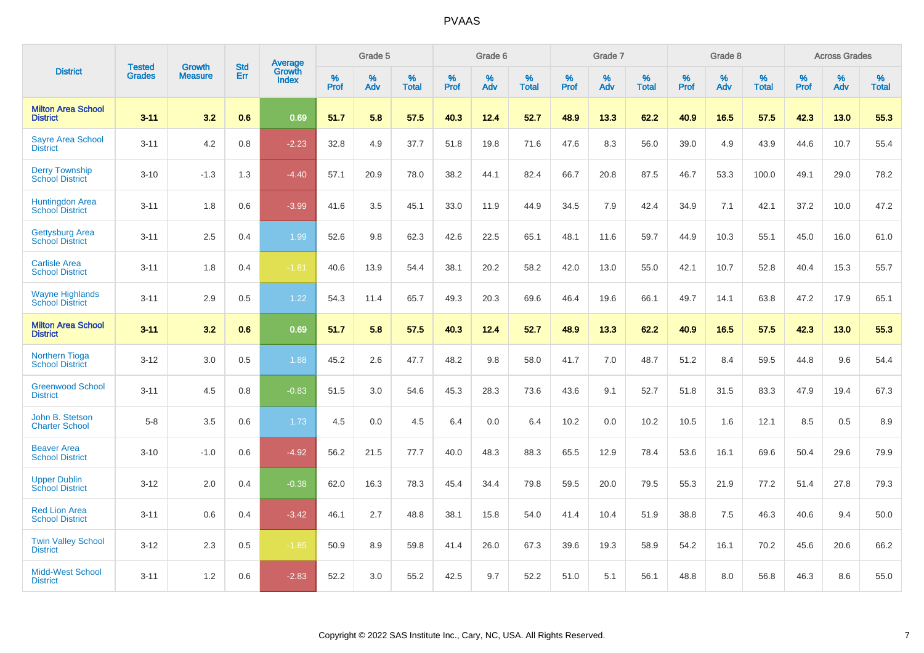|                                                  | <b>Tested</b> | <b>Growth</b>  | <b>Std</b> | Average                |              | Grade 5  |                   |              | Grade 6  |                   |           | Grade 7  |                   |              | Grade 8  |                   |              | <b>Across Grades</b> |                   |
|--------------------------------------------------|---------------|----------------|------------|------------------------|--------------|----------|-------------------|--------------|----------|-------------------|-----------|----------|-------------------|--------------|----------|-------------------|--------------|----------------------|-------------------|
| <b>District</b>                                  | <b>Grades</b> | <b>Measure</b> | Err        | Growth<br><b>Index</b> | $\%$<br>Prof | %<br>Adv | %<br><b>Total</b> | $\%$<br>Prof | %<br>Adv | %<br><b>Total</b> | %<br>Prof | %<br>Adv | %<br><b>Total</b> | $\%$<br>Prof | %<br>Adv | %<br><b>Total</b> | $\%$<br>Prof | %<br>Adv             | %<br><b>Total</b> |
| <b>Milton Area School</b><br><b>District</b>     | $3 - 11$      | 3.2            | 0.6        | 0.69                   | 51.7         | 5.8      | 57.5              | 40.3         | 12.4     | 52.7              | 48.9      | 13.3     | 62.2              | 40.9         | 16.5     | 57.5              | 42.3         | 13.0                 | 55.3              |
| <b>Sayre Area School</b><br><b>District</b>      | $3 - 11$      | 4.2            | 0.8        | $-2.23$                | 32.8         | 4.9      | 37.7              | 51.8         | 19.8     | 71.6              | 47.6      | 8.3      | 56.0              | 39.0         | 4.9      | 43.9              | 44.6         | 10.7                 | 55.4              |
| <b>Derry Township</b><br><b>School District</b>  | $3 - 10$      | $-1.3$         | 1.3        | $-4.40$                | 57.1         | 20.9     | 78.0              | 38.2         | 44.1     | 82.4              | 66.7      | 20.8     | 87.5              | 46.7         | 53.3     | 100.0             | 49.1         | 29.0                 | 78.2              |
| Huntingdon Area<br>School District               | $3 - 11$      | 1.8            | 0.6        | $-3.99$                | 41.6         | 3.5      | 45.1              | 33.0         | 11.9     | 44.9              | 34.5      | 7.9      | 42.4              | 34.9         | 7.1      | 42.1              | 37.2         | 10.0                 | 47.2              |
| <b>Gettysburg Area</b><br><b>School District</b> | $3 - 11$      | 2.5            | 0.4        | 1.99                   | 52.6         | 9.8      | 62.3              | 42.6         | 22.5     | 65.1              | 48.1      | 11.6     | 59.7              | 44.9         | 10.3     | 55.1              | 45.0         | 16.0                 | 61.0              |
| <b>Carlisle Area</b><br><b>School District</b>   | $3 - 11$      | 1.8            | 0.4        | $-1.81$                | 40.6         | 13.9     | 54.4              | 38.1         | 20.2     | 58.2              | 42.0      | 13.0     | 55.0              | 42.1         | 10.7     | 52.8              | 40.4         | 15.3                 | 55.7              |
| <b>Wayne Highlands</b><br><b>School District</b> | $3 - 11$      | 2.9            | 0.5        | 1.22                   | 54.3         | 11.4     | 65.7              | 49.3         | 20.3     | 69.6              | 46.4      | 19.6     | 66.1              | 49.7         | 14.1     | 63.8              | 47.2         | 17.9                 | 65.1              |
| <b>Milton Area School</b><br><b>District</b>     | $3 - 11$      | 32             | 0.6        | 0.69                   | 51.7         | 5.8      | 57.5              | 40.3         | 12.4     | 52.7              | 48.9      | 13.3     | 62.2              | 40.9         | 16.5     | 57.5              | 42.3         | 13.0                 | 55.3              |
| <b>Northern Tioga</b><br><b>School District</b>  | $3 - 12$      | 3.0            | 0.5        | 1.88                   | 45.2         | 2.6      | 47.7              | 48.2         | 9.8      | 58.0              | 41.7      | 7.0      | 48.7              | 51.2         | 8.4      | 59.5              | 44.8         | 9.6                  | 54.4              |
| <b>Greenwood School</b><br><b>District</b>       | $3 - 11$      | 4.5            | 0.8        | $-0.83$                | 51.5         | 3.0      | 54.6              | 45.3         | 28.3     | 73.6              | 43.6      | 9.1      | 52.7              | 51.8         | 31.5     | 83.3              | 47.9         | 19.4                 | 67.3              |
| John B. Stetson<br><b>Charter School</b>         | $5 - 8$       | 3.5            | 0.6        | 1.73                   | 4.5          | 0.0      | 4.5               | 6.4          | 0.0      | 6.4               | 10.2      | 0.0      | 10.2              | 10.5         | 1.6      | 12.1              | 8.5          | 0.5                  | 8.9               |
| <b>Beaver Area</b><br><b>School District</b>     | $3 - 10$      | $-1.0$         | 0.6        | $-4.92$                | 56.2         | 21.5     | 77.7              | 40.0         | 48.3     | 88.3              | 65.5      | 12.9     | 78.4              | 53.6         | 16.1     | 69.6              | 50.4         | 29.6                 | 79.9              |
| <b>Upper Dublin</b><br><b>School District</b>    | $3 - 12$      | 2.0            | 0.4        | $-0.38$                | 62.0         | 16.3     | 78.3              | 45.4         | 34.4     | 79.8              | 59.5      | 20.0     | 79.5              | 55.3         | 21.9     | 77.2              | 51.4         | 27.8                 | 79.3              |
| <b>Red Lion Area</b><br><b>School District</b>   | $3 - 11$      | 0.6            | 0.4        | $-3.42$                | 46.1         | 2.7      | 48.8              | 38.1         | 15.8     | 54.0              | 41.4      | 10.4     | 51.9              | 38.8         | 7.5      | 46.3              | 40.6         | 9.4                  | 50.0              |
| <b>Twin Valley School</b><br><b>District</b>     | $3 - 12$      | 2.3            | 0.5        | $-1.85$                | 50.9         | 8.9      | 59.8              | 41.4         | 26.0     | 67.3              | 39.6      | 19.3     | 58.9              | 54.2         | 16.1     | 70.2              | 45.6         | 20.6                 | 66.2              |
| <b>Midd-West School</b><br><b>District</b>       | $3 - 11$      | 1.2            | 0.6        | $-2.83$                | 52.2         | 3.0      | 55.2              | 42.5         | 9.7      | 52.2              | 51.0      | 5.1      | 56.1              | 48.8         | 8.0      | 56.8              | 46.3         | 8.6                  | 55.0              |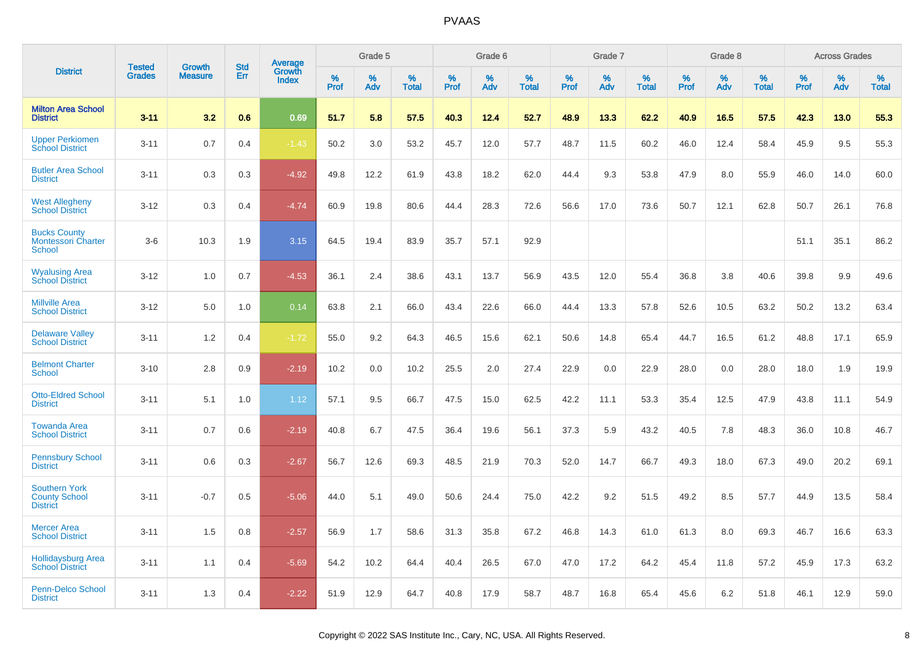|                                                                 | <b>Tested</b> | <b>Growth</b>  | <b>Std</b> | <b>Average</b>         |              | Grade 5  |                   |              | Grade 6  |                   |              | Grade 7  |                   |              | Grade 8  |                   |              | <b>Across Grades</b> |                   |
|-----------------------------------------------------------------|---------------|----------------|------------|------------------------|--------------|----------|-------------------|--------------|----------|-------------------|--------------|----------|-------------------|--------------|----------|-------------------|--------------|----------------------|-------------------|
| <b>District</b>                                                 | <b>Grades</b> | <b>Measure</b> | Err        | Growth<br><b>Index</b> | $\%$<br>Prof | %<br>Adv | %<br><b>Total</b> | $\%$<br>Prof | %<br>Adv | %<br><b>Total</b> | $\%$<br>Prof | %<br>Adv | %<br><b>Total</b> | $\%$<br>Prof | %<br>Adv | %<br><b>Total</b> | $\%$<br>Prof | %<br>Adv             | %<br><b>Total</b> |
| <b>Milton Area School</b><br><b>District</b>                    | $3 - 11$      | 3.2            | 0.6        | 0.69                   | 51.7         | 5.8      | 57.5              | 40.3         | 12.4     | 52.7              | 48.9         | 13.3     | 62.2              | 40.9         | 16.5     | 57.5              | 42.3         | 13.0                 | 55.3              |
| <b>Upper Perkiomen</b><br><b>School District</b>                | $3 - 11$      | 0.7            | 0.4        | $-1.43$                | 50.2         | 3.0      | 53.2              | 45.7         | 12.0     | 57.7              | 48.7         | 11.5     | 60.2              | 46.0         | 12.4     | 58.4              | 45.9         | 9.5                  | 55.3              |
| <b>Butler Area School</b><br><b>District</b>                    | $3 - 11$      | 0.3            | 0.3        | $-4.92$                | 49.8         | 12.2     | 61.9              | 43.8         | 18.2     | 62.0              | 44.4         | 9.3      | 53.8              | 47.9         | 8.0      | 55.9              | 46.0         | 14.0                 | 60.0              |
| <b>West Allegheny</b><br><b>School District</b>                 | $3 - 12$      | 0.3            | 0.4        | $-4.74$                | 60.9         | 19.8     | 80.6              | 44.4         | 28.3     | 72.6              | 56.6         | 17.0     | 73.6              | 50.7         | 12.1     | 62.8              | 50.7         | 26.1                 | 76.8              |
| <b>Bucks County</b><br><b>Montessori Charter</b><br>School      | $3-6$         | 10.3           | 1.9        | 3.15                   | 64.5         | 19.4     | 83.9              | 35.7         | 57.1     | 92.9              |              |          |                   |              |          |                   | 51.1         | 35.1                 | 86.2              |
| <b>Wyalusing Area</b><br><b>School District</b>                 | $3 - 12$      | 1.0            | 0.7        | $-4.53$                | 36.1         | 2.4      | 38.6              | 43.1         | 13.7     | 56.9              | 43.5         | 12.0     | 55.4              | 36.8         | 3.8      | 40.6              | 39.8         | 9.9                  | 49.6              |
| <b>Millville Area</b><br><b>School District</b>                 | $3 - 12$      | 5.0            | 1.0        | 0.14                   | 63.8         | 2.1      | 66.0              | 43.4         | 22.6     | 66.0              | 44.4         | 13.3     | 57.8              | 52.6         | 10.5     | 63.2              | 50.2         | 13.2                 | 63.4              |
| <b>Delaware Valley</b><br><b>School District</b>                | $3 - 11$      | 1.2            | 0.4        | $-1.72$                | 55.0         | 9.2      | 64.3              | 46.5         | 15.6     | 62.1              | 50.6         | 14.8     | 65.4              | 44.7         | 16.5     | 61.2              | 48.8         | 17.1                 | 65.9              |
| <b>Belmont Charter</b><br><b>School</b>                         | $3 - 10$      | 2.8            | 0.9        | $-2.19$                | 10.2         | 0.0      | 10.2              | 25.5         | 2.0      | 27.4              | 22.9         | 0.0      | 22.9              | 28.0         | 0.0      | 28.0              | 18.0         | 1.9                  | 19.9              |
| <b>Otto-Eldred School</b><br><b>District</b>                    | $3 - 11$      | 5.1            | 1.0        | 1.12                   | 57.1         | 9.5      | 66.7              | 47.5         | 15.0     | 62.5              | 42.2         | 11.1     | 53.3              | 35.4         | 12.5     | 47.9              | 43.8         | 11.1                 | 54.9              |
| <b>Towanda Area</b><br><b>School District</b>                   | $3 - 11$      | 0.7            | 0.6        | $-2.19$                | 40.8         | 6.7      | 47.5              | 36.4         | 19.6     | 56.1              | 37.3         | 5.9      | 43.2              | 40.5         | 7.8      | 48.3              | 36.0         | 10.8                 | 46.7              |
| <b>Pennsbury School</b><br><b>District</b>                      | $3 - 11$      | 0.6            | 0.3        | $-2.67$                | 56.7         | 12.6     | 69.3              | 48.5         | 21.9     | 70.3              | 52.0         | 14.7     | 66.7              | 49.3         | 18.0     | 67.3              | 49.0         | 20.2                 | 69.1              |
| <b>Southern York</b><br><b>County School</b><br><b>District</b> | $3 - 11$      | $-0.7$         | 0.5        | $-5.06$                | 44.0         | 5.1      | 49.0              | 50.6         | 24.4     | 75.0              | 42.2         | 9.2      | 51.5              | 49.2         | 8.5      | 57.7              | 44.9         | 13.5                 | 58.4              |
| <b>Mercer Area</b><br><b>School District</b>                    | $3 - 11$      | 1.5            | 0.8        | $-2.57$                | 56.9         | 1.7      | 58.6              | 31.3         | 35.8     | 67.2              | 46.8         | 14.3     | 61.0              | 61.3         | 8.0      | 69.3              | 46.7         | 16.6                 | 63.3              |
| <b>Hollidaysburg Area</b><br><b>School District</b>             | $3 - 11$      | 1.1            | 0.4        | $-5.69$                | 54.2         | 10.2     | 64.4              | 40.4         | 26.5     | 67.0              | 47.0         | 17.2     | 64.2              | 45.4         | 11.8     | 57.2              | 45.9         | 17.3                 | 63.2              |
| <b>Penn-Delco School</b><br><b>District</b>                     | $3 - 11$      | 1.3            | 0.4        | $-2.22$                | 51.9         | 12.9     | 64.7              | 40.8         | 17.9     | 58.7              | 48.7         | 16.8     | 65.4              | 45.6         | 6.2      | 51.8              | 46.1         | 12.9                 | 59.0              |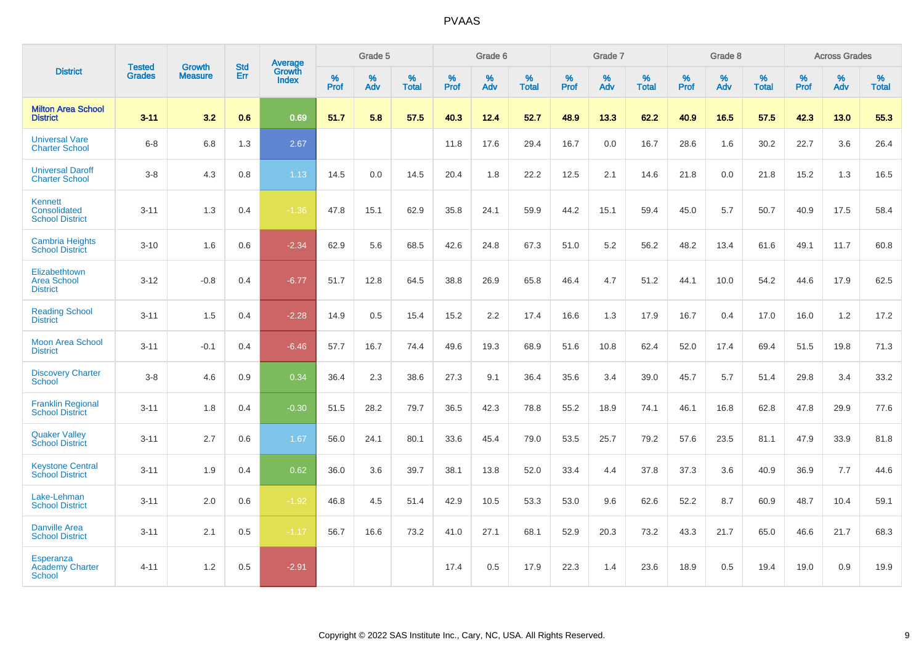| <b>District</b>                                          |                                | <b>Growth</b>  | <b>Std</b> | Average                |           | Grade 5  |                   |           | Grade 6  |                   |           | Grade 7  |                   |           | Grade 8  |                   |           | <b>Across Grades</b> |                   |
|----------------------------------------------------------|--------------------------------|----------------|------------|------------------------|-----------|----------|-------------------|-----------|----------|-------------------|-----------|----------|-------------------|-----------|----------|-------------------|-----------|----------------------|-------------------|
|                                                          | <b>Tested</b><br><b>Grades</b> | <b>Measure</b> | Err        | Growth<br><b>Index</b> | %<br>Prof | %<br>Adv | %<br><b>Total</b> | %<br>Prof | %<br>Adv | %<br><b>Total</b> | %<br>Prof | %<br>Adv | %<br><b>Total</b> | %<br>Prof | %<br>Adv | %<br><b>Total</b> | %<br>Prof | %<br>Adv             | %<br><b>Total</b> |
| <b>Milton Area School</b><br><b>District</b>             | $3 - 11$                       | 3.2            | 0.6        | 0.69                   | 51.7      | 5.8      | 57.5              | 40.3      | 12.4     | 52.7              | 48.9      | 13.3     | 62.2              | 40.9      | 16.5     | 57.5              | 42.3      | 13.0                 | 55.3              |
| <b>Universal Vare</b><br><b>Charter School</b>           | $6 - 8$                        | 6.8            | 1.3        | 2.67                   |           |          |                   | 11.8      | 17.6     | 29.4              | 16.7      | 0.0      | 16.7              | 28.6      | 1.6      | 30.2              | 22.7      | 3.6                  | 26.4              |
| <b>Universal Daroff</b><br><b>Charter School</b>         | $3 - 8$                        | 4.3            | 0.8        | 1.13                   | 14.5      | 0.0      | 14.5              | 20.4      | 1.8      | 22.2              | 12.5      | 2.1      | 14.6              | 21.8      | 0.0      | 21.8              | 15.2      | 1.3                  | 16.5              |
| <b>Kennett</b><br>Consolidated<br><b>School District</b> | $3 - 11$                       | 1.3            | 0.4        | $-1.36$                | 47.8      | 15.1     | 62.9              | 35.8      | 24.1     | 59.9              | 44.2      | 15.1     | 59.4              | 45.0      | 5.7      | 50.7              | 40.9      | 17.5                 | 58.4              |
| <b>Cambria Heights</b><br><b>School District</b>         | $3 - 10$                       | 1.6            | 0.6        | $-2.34$                | 62.9      | 5.6      | 68.5              | 42.6      | 24.8     | 67.3              | 51.0      | 5.2      | 56.2              | 48.2      | 13.4     | 61.6              | 49.1      | 11.7                 | 60.8              |
| Elizabethtown<br><b>Area School</b><br><b>District</b>   | $3 - 12$                       | $-0.8$         | 0.4        | $-6.77$                | 51.7      | 12.8     | 64.5              | 38.8      | 26.9     | 65.8              | 46.4      | 4.7      | 51.2              | 44.1      | 10.0     | 54.2              | 44.6      | 17.9                 | 62.5              |
| <b>Reading School</b><br><b>District</b>                 | $3 - 11$                       | 1.5            | 0.4        | $-2.28$                | 14.9      | 0.5      | 15.4              | 15.2      | 2.2      | 17.4              | 16.6      | 1.3      | 17.9              | 16.7      | 0.4      | 17.0              | 16.0      | 1.2                  | 17.2              |
| <b>Moon Area School</b><br><b>District</b>               | $3 - 11$                       | $-0.1$         | 0.4        | $-6.46$                | 57.7      | 16.7     | 74.4              | 49.6      | 19.3     | 68.9              | 51.6      | 10.8     | 62.4              | 52.0      | 17.4     | 69.4              | 51.5      | 19.8                 | 71.3              |
| <b>Discovery Charter</b><br>School                       | $3 - 8$                        | 4.6            | 0.9        | 0.34                   | 36.4      | 2.3      | 38.6              | 27.3      | 9.1      | 36.4              | 35.6      | 3.4      | 39.0              | 45.7      | 5.7      | 51.4              | 29.8      | 3.4                  | 33.2              |
| <b>Franklin Regional</b><br><b>School District</b>       | $3 - 11$                       | 1.8            | 0.4        | $-0.30$                | 51.5      | 28.2     | 79.7              | 36.5      | 42.3     | 78.8              | 55.2      | 18.9     | 74.1              | 46.1      | 16.8     | 62.8              | 47.8      | 29.9                 | 77.6              |
| <b>Quaker Valley</b><br><b>School District</b>           | $3 - 11$                       | 2.7            | 0.6        | 1.67                   | 56.0      | 24.1     | 80.1              | 33.6      | 45.4     | 79.0              | 53.5      | 25.7     | 79.2              | 57.6      | 23.5     | 81.1              | 47.9      | 33.9                 | 81.8              |
| <b>Keystone Central</b><br><b>School District</b>        | $3 - 11$                       | 1.9            | 0.4        | 0.62                   | 36.0      | 3.6      | 39.7              | 38.1      | 13.8     | 52.0              | 33.4      | 4.4      | 37.8              | 37.3      | 3.6      | 40.9              | 36.9      | 7.7                  | 44.6              |
| Lake-Lehman<br><b>School District</b>                    | $3 - 11$                       | 2.0            | 0.6        | $-1.92$                | 46.8      | 4.5      | 51.4              | 42.9      | 10.5     | 53.3              | 53.0      | 9.6      | 62.6              | 52.2      | 8.7      | 60.9              | 48.7      | 10.4                 | 59.1              |
| <b>Danville Area</b><br><b>School District</b>           | $3 - 11$                       | 2.1            | 0.5        | $-1.17$                | 56.7      | 16.6     | 73.2              | 41.0      | 27.1     | 68.1              | 52.9      | 20.3     | 73.2              | 43.3      | 21.7     | 65.0              | 46.6      | 21.7                 | 68.3              |
| <b>Esperanza</b><br><b>Academy Charter</b><br>School     | $4 - 11$                       | 1.2            | 0.5        | $-2.91$                |           |          |                   | 17.4      | 0.5      | 17.9              | 22.3      | 1.4      | 23.6              | 18.9      | 0.5      | 19.4              | 19.0      | 0.9                  | 19.9              |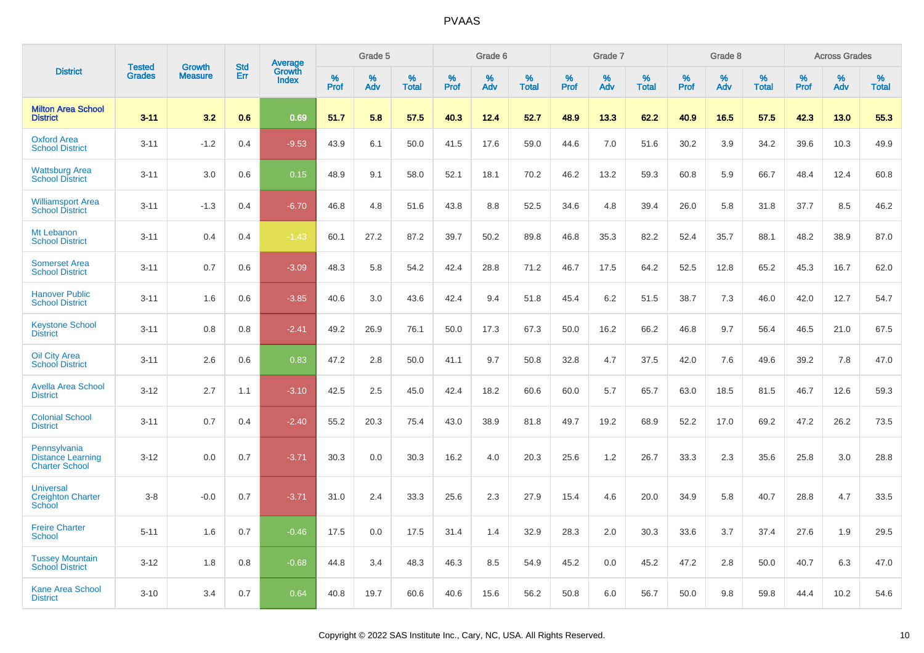|                                                                   | <b>Tested</b> | <b>Growth</b>  | <b>Std</b> | Average                |           | Grade 5  |                   |           | Grade 6  |                   |           | Grade 7  |                   |           | Grade 8  |                   |           | <b>Across Grades</b> |                   |
|-------------------------------------------------------------------|---------------|----------------|------------|------------------------|-----------|----------|-------------------|-----------|----------|-------------------|-----------|----------|-------------------|-----------|----------|-------------------|-----------|----------------------|-------------------|
| <b>District</b>                                                   | <b>Grades</b> | <b>Measure</b> | Err        | Growth<br><b>Index</b> | %<br>Prof | %<br>Adv | %<br><b>Total</b> | %<br>Prof | %<br>Adv | %<br><b>Total</b> | %<br>Prof | %<br>Adv | %<br><b>Total</b> | %<br>Prof | %<br>Adv | %<br><b>Total</b> | %<br>Prof | %<br>Adv             | %<br><b>Total</b> |
| <b>Milton Area School</b><br><b>District</b>                      | $3 - 11$      | 3.2            | 0.6        | 0.69                   | 51.7      | 5.8      | 57.5              | 40.3      | 12.4     | 52.7              | 48.9      | 13.3     | 62.2              | 40.9      | 16.5     | 57.5              | 42.3      | 13.0                 | 55.3              |
| <b>Oxford Area</b><br><b>School District</b>                      | $3 - 11$      | $-1.2$         | 0.4        | $-9.53$                | 43.9      | 6.1      | 50.0              | 41.5      | 17.6     | 59.0              | 44.6      | 7.0      | 51.6              | 30.2      | 3.9      | 34.2              | 39.6      | 10.3                 | 49.9              |
| <b>Wattsburg Area</b><br><b>School District</b>                   | $3 - 11$      | 3.0            | 0.6        | 0.15                   | 48.9      | 9.1      | 58.0              | 52.1      | 18.1     | 70.2              | 46.2      | 13.2     | 59.3              | 60.8      | 5.9      | 66.7              | 48.4      | 12.4                 | 60.8              |
| <b>Williamsport Area</b><br><b>School District</b>                | $3 - 11$      | $-1.3$         | 0.4        | $-6.70$                | 46.8      | 4.8      | 51.6              | 43.8      | 8.8      | 52.5              | 34.6      | 4.8      | 39.4              | 26.0      | 5.8      | 31.8              | 37.7      | 8.5                  | 46.2              |
| Mt Lebanon<br><b>School District</b>                              | $3 - 11$      | 0.4            | 0.4        | $-1.43$                | 60.1      | 27.2     | 87.2              | 39.7      | 50.2     | 89.8              | 46.8      | 35.3     | 82.2              | 52.4      | 35.7     | 88.1              | 48.2      | 38.9                 | 87.0              |
| <b>Somerset Area</b><br><b>School District</b>                    | $3 - 11$      | 0.7            | 0.6        | $-3.09$                | 48.3      | 5.8      | 54.2              | 42.4      | 28.8     | 71.2              | 46.7      | 17.5     | 64.2              | 52.5      | 12.8     | 65.2              | 45.3      | 16.7                 | 62.0              |
| <b>Hanover Public</b><br><b>School District</b>                   | $3 - 11$      | 1.6            | 0.6        | $-3.85$                | 40.6      | 3.0      | 43.6              | 42.4      | 9.4      | 51.8              | 45.4      | 6.2      | 51.5              | 38.7      | 7.3      | 46.0              | 42.0      | 12.7                 | 54.7              |
| <b>Keystone School</b><br><b>District</b>                         | $3 - 11$      | 0.8            | 0.8        | $-2.41$                | 49.2      | 26.9     | 76.1              | 50.0      | 17.3     | 67.3              | 50.0      | 16.2     | 66.2              | 46.8      | 9.7      | 56.4              | 46.5      | 21.0                 | 67.5              |
| <b>Oil City Area</b><br><b>School District</b>                    | $3 - 11$      | 2.6            | 0.6        | 0.83                   | 47.2      | 2.8      | 50.0              | 41.1      | 9.7      | 50.8              | 32.8      | 4.7      | 37.5              | 42.0      | 7.6      | 49.6              | 39.2      | 7.8                  | 47.0              |
| <b>Avella Area School</b><br><b>District</b>                      | $3 - 12$      | 2.7            | 1.1        | $-3.10$                | 42.5      | 2.5      | 45.0              | 42.4      | 18.2     | 60.6              | 60.0      | 5.7      | 65.7              | 63.0      | 18.5     | 81.5              | 46.7      | 12.6                 | 59.3              |
| <b>Colonial School</b><br><b>District</b>                         | $3 - 11$      | 0.7            | 0.4        | $-2.40$                | 55.2      | 20.3     | 75.4              | 43.0      | 38.9     | 81.8              | 49.7      | 19.2     | 68.9              | 52.2      | 17.0     | 69.2              | 47.2      | 26.2                 | 73.5              |
| Pennsylvania<br><b>Distance Learning</b><br><b>Charter School</b> | $3 - 12$      | 0.0            | 0.7        | $-3.71$                | 30.3      | 0.0      | 30.3              | 16.2      | 4.0      | 20.3              | 25.6      | 1.2      | 26.7              | 33.3      | 2.3      | 35.6              | 25.8      | 3.0                  | 28.8              |
| <b>Universal</b><br><b>Creighton Charter</b><br>School            | $3-8$         | $-0.0$         | 0.7        | $-3.71$                | 31.0      | 2.4      | 33.3              | 25.6      | 2.3      | 27.9              | 15.4      | 4.6      | 20.0              | 34.9      | 5.8      | 40.7              | 28.8      | 4.7                  | 33.5              |
| <b>Freire Charter</b><br><b>School</b>                            | $5 - 11$      | 1.6            | 0.7        | $-0.46$                | 17.5      | 0.0      | 17.5              | 31.4      | 1.4      | 32.9              | 28.3      | 2.0      | 30.3              | 33.6      | 3.7      | 37.4              | 27.6      | 1.9                  | 29.5              |
| <b>Tussey Mountain</b><br><b>School District</b>                  | $3 - 12$      | 1.8            | 0.8        | $-0.68$                | 44.8      | 3.4      | 48.3              | 46.3      | 8.5      | 54.9              | 45.2      | 0.0      | 45.2              | 47.2      | 2.8      | 50.0              | 40.7      | 6.3                  | 47.0              |
| <b>Kane Area School</b><br><b>District</b>                        | $3 - 10$      | 3.4            | 0.7        | 0.64                   | 40.8      | 19.7     | 60.6              | 40.6      | 15.6     | 56.2              | 50.8      | 6.0      | 56.7              | 50.0      | 9.8      | 59.8              | 44.4      | 10.2                 | 54.6              |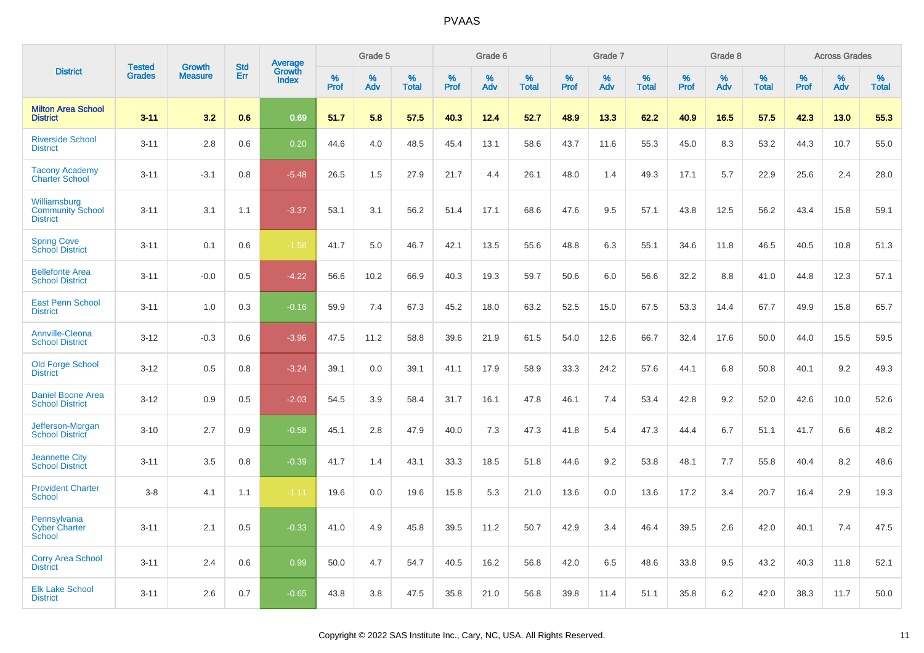|                                                            | <b>Tested</b> | <b>Growth</b>  | <b>Std</b> | Average         |              | Grade 5  |                   |              | Grade 6  |                   |              | Grade 7  |                   |              | Grade 8  |                   |              | <b>Across Grades</b> |                   |
|------------------------------------------------------------|---------------|----------------|------------|-----------------|--------------|----------|-------------------|--------------|----------|-------------------|--------------|----------|-------------------|--------------|----------|-------------------|--------------|----------------------|-------------------|
| <b>District</b>                                            | <b>Grades</b> | <b>Measure</b> | Err        | Growth<br>Index | $\%$<br>Prof | %<br>Adv | %<br><b>Total</b> | $\%$<br>Prof | %<br>Adv | %<br><b>Total</b> | $\%$<br>Prof | %<br>Adv | %<br><b>Total</b> | $\%$<br>Prof | %<br>Adv | %<br><b>Total</b> | $\%$<br>Prof | %<br>Adv             | %<br><b>Total</b> |
| <b>Milton Area School</b><br><b>District</b>               | $3 - 11$      | 3.2            | 0.6        | 0.69            | 51.7         | 5.8      | 57.5              | 40.3         | 12.4     | 52.7              | 48.9         | 13.3     | 62.2              | 40.9         | 16.5     | 57.5              | 42.3         | 13.0                 | 55.3              |
| <b>Riverside School</b><br><b>District</b>                 | $3 - 11$      | 2.8            | 0.6        | 0.20            | 44.6         | 4.0      | 48.5              | 45.4         | 13.1     | 58.6              | 43.7         | 11.6     | 55.3              | 45.0         | 8.3      | 53.2              | 44.3         | 10.7                 | 55.0              |
| <b>Tacony Academy</b><br><b>Charter School</b>             | $3 - 11$      | $-3.1$         | 0.8        | $-5.48$         | 26.5         | 1.5      | 27.9              | 21.7         | 4.4      | 26.1              | 48.0         | 1.4      | 49.3              | 17.1         | 5.7      | 22.9              | 25.6         | 2.4                  | 28.0              |
| Williamsburg<br><b>Community School</b><br><b>District</b> | $3 - 11$      | 3.1            | 1.1        | $-3.37$         | 53.1         | 3.1      | 56.2              | 51.4         | 17.1     | 68.6              | 47.6         | 9.5      | 57.1              | 43.8         | 12.5     | 56.2              | 43.4         | 15.8                 | 59.1              |
| <b>Spring Cove</b><br><b>School District</b>               | $3 - 11$      | 0.1            | 0.6        | $-1.56$         | 41.7         | 5.0      | 46.7              | 42.1         | 13.5     | 55.6              | 48.8         | 6.3      | 55.1              | 34.6         | 11.8     | 46.5              | 40.5         | 10.8                 | 51.3              |
| <b>Bellefonte Area</b><br><b>School District</b>           | $3 - 11$      | $-0.0$         | 0.5        | $-4.22$         | 56.6         | 10.2     | 66.9              | 40.3         | 19.3     | 59.7              | 50.6         | 6.0      | 56.6              | 32.2         | 8.8      | 41.0              | 44.8         | 12.3                 | 57.1              |
| <b>East Penn School</b><br><b>District</b>                 | $3 - 11$      | 1.0            | 0.3        | $-0.16$         | 59.9         | 7.4      | 67.3              | 45.2         | 18.0     | 63.2              | 52.5         | 15.0     | 67.5              | 53.3         | 14.4     | 67.7              | 49.9         | 15.8                 | 65.7              |
| <b>Annville-Cleona</b><br><b>School District</b>           | $3 - 12$      | $-0.3$         | 0.6        | $-3.96$         | 47.5         | 11.2     | 58.8              | 39.6         | 21.9     | 61.5              | 54.0         | 12.6     | 66.7              | 32.4         | 17.6     | 50.0              | 44.0         | 15.5                 | 59.5              |
| <b>Old Forge School</b><br><b>District</b>                 | $3 - 12$      | 0.5            | 0.8        | $-3.24$         | 39.1         | 0.0      | 39.1              | 41.1         | 17.9     | 58.9              | 33.3         | 24.2     | 57.6              | 44.1         | 6.8      | 50.8              | 40.1         | 9.2                  | 49.3              |
| <b>Daniel Boone Area</b><br><b>School District</b>         | $3 - 12$      | 0.9            | 0.5        | $-2.03$         | 54.5         | 3.9      | 58.4              | 31.7         | 16.1     | 47.8              | 46.1         | 7.4      | 53.4              | 42.8         | 9.2      | 52.0              | 42.6         | 10.0                 | 52.6              |
| Jefferson-Morgan<br><b>School District</b>                 | $3 - 10$      | 2.7            | 0.9        | $-0.58$         | 45.1         | 2.8      | 47.9              | 40.0         | 7.3      | 47.3              | 41.8         | 5.4      | 47.3              | 44.4         | 6.7      | 51.1              | 41.7         | 6.6                  | 48.2              |
| <b>Jeannette City</b><br><b>School District</b>            | $3 - 11$      | 3.5            | 0.8        | $-0.39$         | 41.7         | 1.4      | 43.1              | 33.3         | 18.5     | 51.8              | 44.6         | 9.2      | 53.8              | 48.1         | 7.7      | 55.8              | 40.4         | 8.2                  | 48.6              |
| <b>Provident Charter</b><br><b>School</b>                  | $3 - 8$       | 4.1            | 1.1        | $-1.11$         | 19.6         | 0.0      | 19.6              | 15.8         | 5.3      | 21.0              | 13.6         | 0.0      | 13.6              | 17.2         | 3.4      | 20.7              | 16.4         | 2.9                  | 19.3              |
| Pennsylvania<br><b>Cyber Charter</b><br>School             | $3 - 11$      | 2.1            | 0.5        | $-0.33$         | 41.0         | 4.9      | 45.8              | 39.5         | 11.2     | 50.7              | 42.9         | 3.4      | 46.4              | 39.5         | 2.6      | 42.0              | 40.1         | 7.4                  | 47.5              |
| <b>Corry Area School</b><br><b>District</b>                | $3 - 11$      | 2.4            | 0.6        | 0.99            | 50.0         | 4.7      | 54.7              | 40.5         | 16.2     | 56.8              | 42.0         | 6.5      | 48.6              | 33.8         | 9.5      | 43.2              | 40.3         | 11.8                 | 52.1              |
| <b>Elk Lake School</b><br><b>District</b>                  | $3 - 11$      | 2.6            | 0.7        | $-0.65$         | 43.8         | 3.8      | 47.5              | 35.8         | 21.0     | 56.8              | 39.8         | 11.4     | 51.1              | 35.8         | 6.2      | 42.0              | 38.3         | 11.7                 | 50.0              |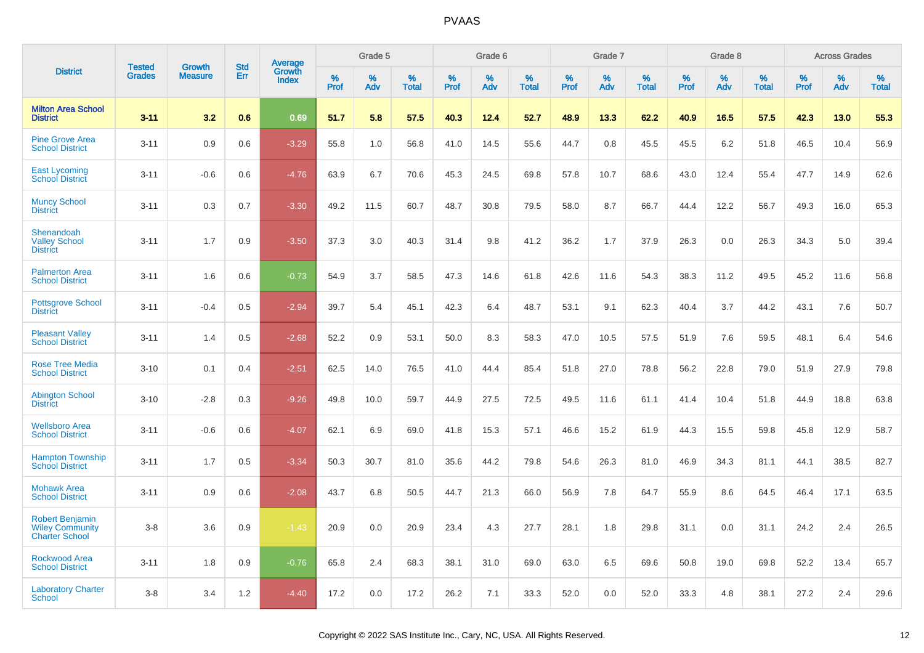|                                                                           | <b>Tested</b> | <b>Growth</b>  | <b>Std</b> |                                   |              | Grade 5  |                   |              | Grade 6  |                   |              | Grade 7  |                   |              | Grade 8  |                   |              | <b>Across Grades</b> |                   |
|---------------------------------------------------------------------------|---------------|----------------|------------|-----------------------------------|--------------|----------|-------------------|--------------|----------|-------------------|--------------|----------|-------------------|--------------|----------|-------------------|--------------|----------------------|-------------------|
| <b>District</b>                                                           | <b>Grades</b> | <b>Measure</b> | Err        | Average<br>Growth<br><b>Index</b> | $\%$<br>Prof | %<br>Adv | %<br><b>Total</b> | $\%$<br>Prof | %<br>Adv | %<br><b>Total</b> | $\%$<br>Prof | %<br>Adv | %<br><b>Total</b> | $\%$<br>Prof | %<br>Adv | %<br><b>Total</b> | $\%$<br>Prof | %<br>Adv             | %<br><b>Total</b> |
| <b>Milton Area School</b><br><b>District</b>                              | $3 - 11$      | 3.2            | 0.6        | 0.69                              | 51.7         | 5.8      | 57.5              | 40.3         | 12.4     | 52.7              | 48.9         | 13.3     | 62.2              | 40.9         | 16.5     | 57.5              | 42.3         | 13.0                 | 55.3              |
| <b>Pine Grove Area</b><br><b>School District</b>                          | $3 - 11$      | 0.9            | 0.6        | $-3.29$                           | 55.8         | 1.0      | 56.8              | 41.0         | 14.5     | 55.6              | 44.7         | 0.8      | 45.5              | 45.5         | 6.2      | 51.8              | 46.5         | 10.4                 | 56.9              |
| <b>East Lycoming</b><br><b>School District</b>                            | $3 - 11$      | $-0.6$         | 0.6        | $-4.76$                           | 63.9         | 6.7      | 70.6              | 45.3         | 24.5     | 69.8              | 57.8         | 10.7     | 68.6              | 43.0         | 12.4     | 55.4              | 47.7         | 14.9                 | 62.6              |
| <b>Muncy School</b><br><b>District</b>                                    | $3 - 11$      | 0.3            | 0.7        | $-3.30$                           | 49.2         | 11.5     | 60.7              | 48.7         | 30.8     | 79.5              | 58.0         | 8.7      | 66.7              | 44.4         | 12.2     | 56.7              | 49.3         | 16.0                 | 65.3              |
| Shenandoah<br><b>Valley School</b><br><b>District</b>                     | $3 - 11$      | 1.7            | 0.9        | $-3.50$                           | 37.3         | 3.0      | 40.3              | 31.4         | 9.8      | 41.2              | 36.2         | 1.7      | 37.9              | 26.3         | 0.0      | 26.3              | 34.3         | 5.0                  | 39.4              |
| <b>Palmerton Area</b><br><b>School District</b>                           | $3 - 11$      | 1.6            | 0.6        | $-0.73$                           | 54.9         | 3.7      | 58.5              | 47.3         | 14.6     | 61.8              | 42.6         | 11.6     | 54.3              | 38.3         | 11.2     | 49.5              | 45.2         | 11.6                 | 56.8              |
| <b>Pottsgrove School</b><br><b>District</b>                               | $3 - 11$      | $-0.4$         | 0.5        | $-2.94$                           | 39.7         | 5.4      | 45.1              | 42.3         | 6.4      | 48.7              | 53.1         | 9.1      | 62.3              | 40.4         | 3.7      | 44.2              | 43.1         | 7.6                  | 50.7              |
| <b>Pleasant Valley</b><br><b>School District</b>                          | $3 - 11$      | 1.4            | 0.5        | $-2.68$                           | 52.2         | 0.9      | 53.1              | 50.0         | 8.3      | 58.3              | 47.0         | 10.5     | 57.5              | 51.9         | 7.6      | 59.5              | 48.1         | 6.4                  | 54.6              |
| <b>Rose Tree Media</b><br><b>School District</b>                          | $3 - 10$      | 0.1            | 0.4        | $-2.51$                           | 62.5         | 14.0     | 76.5              | 41.0         | 44.4     | 85.4              | 51.8         | 27.0     | 78.8              | 56.2         | 22.8     | 79.0              | 51.9         | 27.9                 | 79.8              |
| <b>Abington School</b><br><b>District</b>                                 | $3 - 10$      | $-2.8$         | 0.3        | $-9.26$                           | 49.8         | 10.0     | 59.7              | 44.9         | 27.5     | 72.5              | 49.5         | 11.6     | 61.1              | 41.4         | 10.4     | 51.8              | 44.9         | 18.8                 | 63.8              |
| <b>Wellsboro Area</b><br><b>School District</b>                           | $3 - 11$      | $-0.6$         | 0.6        | $-4.07$                           | 62.1         | 6.9      | 69.0              | 41.8         | 15.3     | 57.1              | 46.6         | 15.2     | 61.9              | 44.3         | 15.5     | 59.8              | 45.8         | 12.9                 | 58.7              |
| <b>Hampton Township</b><br><b>School District</b>                         | $3 - 11$      | 1.7            | 0.5        | $-3.34$                           | 50.3         | 30.7     | 81.0              | 35.6         | 44.2     | 79.8              | 54.6         | 26.3     | 81.0              | 46.9         | 34.3     | 81.1              | 44.1         | 38.5                 | 82.7              |
| <b>Mohawk Area</b><br><b>School District</b>                              | $3 - 11$      | 0.9            | 0.6        | $-2.08$                           | 43.7         | 6.8      | 50.5              | 44.7         | 21.3     | 66.0              | 56.9         | 7.8      | 64.7              | 55.9         | 8.6      | 64.5              | 46.4         | 17.1                 | 63.5              |
| <b>Robert Benjamin</b><br><b>Wiley Community</b><br><b>Charter School</b> | $3-8$         | 3.6            | 0.9        | $-1.43$                           | 20.9         | 0.0      | 20.9              | 23.4         | 4.3      | 27.7              | 28.1         | 1.8      | 29.8              | 31.1         | 0.0      | 31.1              | 24.2         | 2.4                  | 26.5              |
| <b>Rockwood Area</b><br><b>School District</b>                            | $3 - 11$      | 1.8            | 0.9        | $-0.76$                           | 65.8         | 2.4      | 68.3              | 38.1         | 31.0     | 69.0              | 63.0         | 6.5      | 69.6              | 50.8         | 19.0     | 69.8              | 52.2         | 13.4                 | 65.7              |
| <b>Laboratory Charter</b><br><b>School</b>                                | $3-8$         | 3.4            | 1.2        | $-4.40$                           | 17.2         | 0.0      | 17.2              | 26.2         | 7.1      | 33.3              | 52.0         | 0.0      | 52.0              | 33.3         | 4.8      | 38.1              | 27.2         | 2.4                  | 29.6              |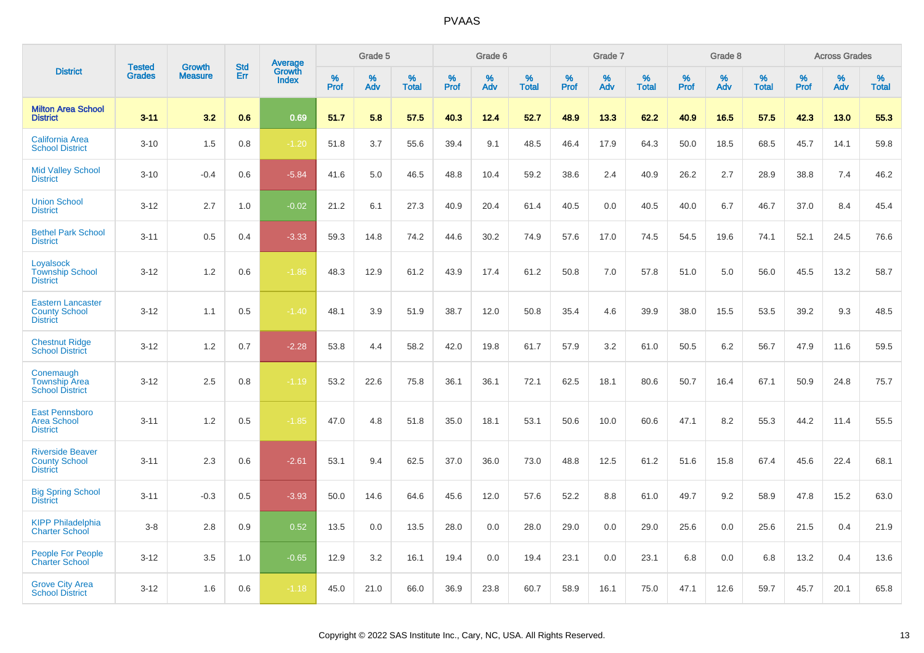|                                                                     | <b>Tested</b> | <b>Growth</b>  | <b>Std</b> | Average                |           | Grade 5  |                   |           | Grade 6  |                   |           | Grade 7  |                   |           | Grade 8  |                   |           | <b>Across Grades</b> |                   |
|---------------------------------------------------------------------|---------------|----------------|------------|------------------------|-----------|----------|-------------------|-----------|----------|-------------------|-----------|----------|-------------------|-----------|----------|-------------------|-----------|----------------------|-------------------|
| <b>District</b>                                                     | <b>Grades</b> | <b>Measure</b> | Err        | Growth<br><b>Index</b> | %<br>Prof | %<br>Adv | %<br><b>Total</b> | %<br>Prof | %<br>Adv | %<br><b>Total</b> | %<br>Prof | %<br>Adv | %<br><b>Total</b> | %<br>Prof | %<br>Adv | %<br><b>Total</b> | %<br>Prof | %<br>Adv             | %<br><b>Total</b> |
| <b>Milton Area School</b><br><b>District</b>                        | $3 - 11$      | 3.2            | 0.6        | 0.69                   | 51.7      | 5.8      | 57.5              | 40.3      | 12.4     | 52.7              | 48.9      | 13.3     | 62.2              | 40.9      | 16.5     | 57.5              | 42.3      | 13.0                 | 55.3              |
| <b>California Area</b><br><b>School District</b>                    | $3 - 10$      | 1.5            | 0.8        | $-1.20$                | 51.8      | 3.7      | 55.6              | 39.4      | 9.1      | 48.5              | 46.4      | 17.9     | 64.3              | 50.0      | 18.5     | 68.5              | 45.7      | 14.1                 | 59.8              |
| <b>Mid Valley School</b><br><b>District</b>                         | $3 - 10$      | $-0.4$         | 0.6        | $-5.84$                | 41.6      | 5.0      | 46.5              | 48.8      | 10.4     | 59.2              | 38.6      | 2.4      | 40.9              | 26.2      | 2.7      | 28.9              | 38.8      | 7.4                  | 46.2              |
| <b>Union School</b><br><b>District</b>                              | $3 - 12$      | 2.7            | 1.0        | $-0.02$                | 21.2      | 6.1      | 27.3              | 40.9      | 20.4     | 61.4              | 40.5      | 0.0      | 40.5              | 40.0      | 6.7      | 46.7              | 37.0      | 8.4                  | 45.4              |
| <b>Bethel Park School</b><br><b>District</b>                        | $3 - 11$      | 0.5            | 0.4        | $-3.33$                | 59.3      | 14.8     | 74.2              | 44.6      | 30.2     | 74.9              | 57.6      | 17.0     | 74.5              | 54.5      | 19.6     | 74.1              | 52.1      | 24.5                 | 76.6              |
| Loyalsock<br><b>Township School</b><br><b>District</b>              | $3 - 12$      | 1.2            | 0.6        | $-1.86$                | 48.3      | 12.9     | 61.2              | 43.9      | 17.4     | 61.2              | 50.8      | 7.0      | 57.8              | 51.0      | 5.0      | 56.0              | 45.5      | 13.2                 | 58.7              |
| <b>Eastern Lancaster</b><br><b>County School</b><br><b>District</b> | $3 - 12$      | 1.1            | 0.5        | $-1.40$                | 48.1      | 3.9      | 51.9              | 38.7      | 12.0     | 50.8              | 35.4      | 4.6      | 39.9              | 38.0      | 15.5     | 53.5              | 39.2      | 9.3                  | 48.5              |
| <b>Chestnut Ridge</b><br><b>School District</b>                     | $3 - 12$      | 1.2            | 0.7        | $-2.28$                | 53.8      | 4.4      | 58.2              | 42.0      | 19.8     | 61.7              | 57.9      | 3.2      | 61.0              | 50.5      | 6.2      | 56.7              | 47.9      | 11.6                 | 59.5              |
| Conemaugh<br><b>Township Area</b><br><b>School District</b>         | $3 - 12$      | 2.5            | 0.8        | $-1.19$                | 53.2      | 22.6     | 75.8              | 36.1      | 36.1     | 72.1              | 62.5      | 18.1     | 80.6              | 50.7      | 16.4     | 67.1              | 50.9      | 24.8                 | 75.7              |
| <b>East Pennsboro</b><br>Area School<br><b>District</b>             | $3 - 11$      | 1.2            | 0.5        | $-1.85$                | 47.0      | 4.8      | 51.8              | 35.0      | 18.1     | 53.1              | 50.6      | 10.0     | 60.6              | 47.1      | 8.2      | 55.3              | 44.2      | 11.4                 | 55.5              |
| <b>Riverside Beaver</b><br><b>County School</b><br><b>District</b>  | $3 - 11$      | 2.3            | 0.6        | $-2.61$                | 53.1      | 9.4      | 62.5              | 37.0      | 36.0     | 73.0              | 48.8      | 12.5     | 61.2              | 51.6      | 15.8     | 67.4              | 45.6      | 22.4                 | 68.1              |
| <b>Big Spring School</b><br><b>District</b>                         | $3 - 11$      | $-0.3$         | 0.5        | $-3.93$                | 50.0      | 14.6     | 64.6              | 45.6      | 12.0     | 57.6              | 52.2      | 8.8      | 61.0              | 49.7      | 9.2      | 58.9              | 47.8      | 15.2                 | 63.0              |
| <b>KIPP Philadelphia</b><br><b>Charter School</b>                   | $3-8$         | 2.8            | 0.9        | 0.52                   | 13.5      | 0.0      | 13.5              | 28.0      | 0.0      | 28.0              | 29.0      | 0.0      | 29.0              | 25.6      | 0.0      | 25.6              | 21.5      | 0.4                  | 21.9              |
| <b>People For People</b><br><b>Charter School</b>                   | $3 - 12$      | 3.5            | 1.0        | $-0.65$                | 12.9      | 3.2      | 16.1              | 19.4      | 0.0      | 19.4              | 23.1      | 0.0      | 23.1              | 6.8       | 0.0      | 6.8               | 13.2      | 0.4                  | 13.6              |
| <b>Grove City Area</b><br><b>School District</b>                    | $3 - 12$      | 1.6            | 0.6        | $-1.18$                | 45.0      | 21.0     | 66.0              | 36.9      | 23.8     | 60.7              | 58.9      | 16.1     | 75.0              | 47.1      | 12.6     | 59.7              | 45.7      | 20.1                 | 65.8              |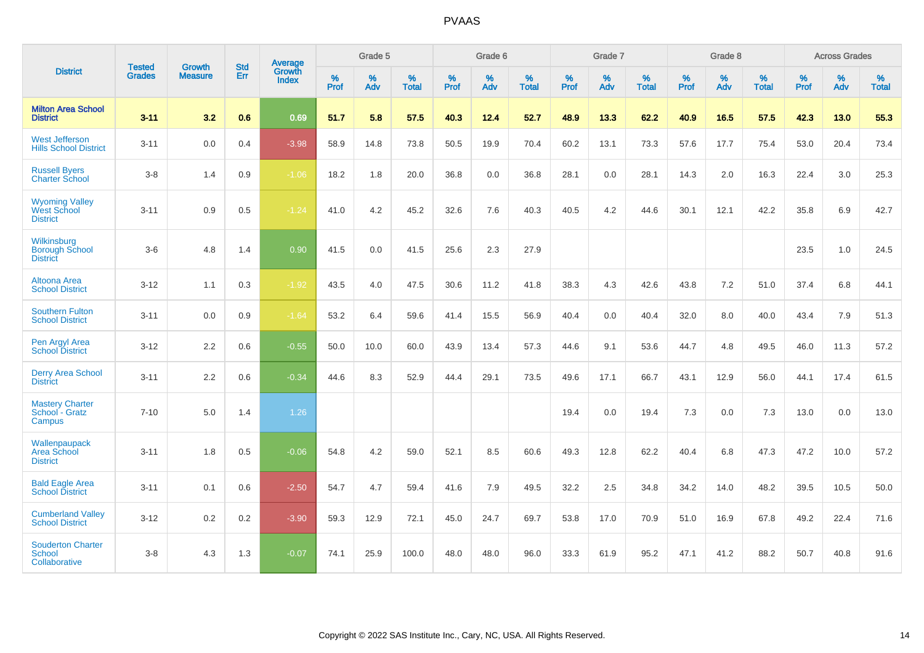|                                                                | <b>Tested</b> | <b>Growth</b>  | <b>Std</b> | Average                |                     | Grade 5     |                   |                     | Grade 6  |                   |                     | Grade 7  |                   |              | Grade 8  |                   |                     | <b>Across Grades</b> |                   |
|----------------------------------------------------------------|---------------|----------------|------------|------------------------|---------------------|-------------|-------------------|---------------------|----------|-------------------|---------------------|----------|-------------------|--------------|----------|-------------------|---------------------|----------------------|-------------------|
| <b>District</b>                                                | <b>Grades</b> | <b>Measure</b> | Err        | Growth<br><b>Index</b> | $\%$<br><b>Prof</b> | $\%$<br>Adv | %<br><b>Total</b> | $\%$<br><b>Prof</b> | %<br>Adv | %<br><b>Total</b> | $\%$<br><b>Prof</b> | %<br>Adv | %<br><b>Total</b> | $\%$<br>Prof | %<br>Adv | %<br><b>Total</b> | $\%$<br><b>Prof</b> | %<br>Adv             | %<br><b>Total</b> |
| <b>Milton Area School</b><br><b>District</b>                   | $3 - 11$      | 3.2            | 0.6        | 0.69                   | 51.7                | 5.8         | 57.5              | 40.3                | 12.4     | 52.7              | 48.9                | 13.3     | 62.2              | 40.9         | 16.5     | 57.5              | 42.3                | 13.0                 | 55.3              |
| <b>West Jefferson</b><br><b>Hills School District</b>          | $3 - 11$      | 0.0            | 0.4        | $-3.98$                | 58.9                | 14.8        | 73.8              | 50.5                | 19.9     | 70.4              | 60.2                | 13.1     | 73.3              | 57.6         | 17.7     | 75.4              | 53.0                | 20.4                 | 73.4              |
| <b>Russell Byers</b><br><b>Charter School</b>                  | $3-8$         | 1.4            | 0.9        | $-1.06$                | 18.2                | 1.8         | 20.0              | 36.8                | 0.0      | 36.8              | 28.1                | 0.0      | 28.1              | 14.3         | 2.0      | 16.3              | 22.4                | 3.0                  | 25.3              |
| <b>Wyoming Valley</b><br><b>West School</b><br><b>District</b> | $3 - 11$      | 0.9            | 0.5        | $-1.24$                | 41.0                | 4.2         | 45.2              | 32.6                | 7.6      | 40.3              | 40.5                | 4.2      | 44.6              | 30.1         | 12.1     | 42.2              | 35.8                | 6.9                  | 42.7              |
| Wilkinsburg<br><b>Borough School</b><br><b>District</b>        | $3-6$         | 4.8            | 1.4        | 0.90                   | 41.5                | 0.0         | 41.5              | 25.6                | 2.3      | 27.9              |                     |          |                   |              |          |                   | 23.5                | 1.0                  | 24.5              |
| Altoona Area<br><b>School District</b>                         | $3 - 12$      | 1.1            | 0.3        | $-1.92$                | 43.5                | 4.0         | 47.5              | 30.6                | 11.2     | 41.8              | 38.3                | 4.3      | 42.6              | 43.8         | 7.2      | 51.0              | 37.4                | 6.8                  | 44.1              |
| <b>Southern Fulton</b><br><b>School District</b>               | $3 - 11$      | 0.0            | 0.9        | $-1.64$                | 53.2                | 6.4         | 59.6              | 41.4                | 15.5     | 56.9              | 40.4                | 0.0      | 40.4              | 32.0         | 8.0      | 40.0              | 43.4                | 7.9                  | 51.3              |
| Pen Argyl Area<br><b>School District</b>                       | $3 - 12$      | 2.2            | 0.6        | $-0.55$                | 50.0                | 10.0        | 60.0              | 43.9                | 13.4     | 57.3              | 44.6                | 9.1      | 53.6              | 44.7         | 4.8      | 49.5              | 46.0                | 11.3                 | 57.2              |
| <b>Derry Area School</b><br><b>District</b>                    | $3 - 11$      | 2.2            | 0.6        | $-0.34$                | 44.6                | 8.3         | 52.9              | 44.4                | 29.1     | 73.5              | 49.6                | 17.1     | 66.7              | 43.1         | 12.9     | 56.0              | 44.1                | 17.4                 | 61.5              |
| <b>Mastery Charter</b><br>School - Gratz<br>Campus             | $7 - 10$      | 5.0            | 1.4        | 1.26                   |                     |             |                   |                     |          |                   | 19.4                | 0.0      | 19.4              | 7.3          | 0.0      | 7.3               | 13.0                | 0.0                  | 13.0              |
| Wallenpaupack<br>Area School<br><b>District</b>                | $3 - 11$      | 1.8            | 0.5        | $-0.06$                | 54.8                | 4.2         | 59.0              | 52.1                | 8.5      | 60.6              | 49.3                | 12.8     | 62.2              | 40.4         | 6.8      | 47.3              | 47.2                | 10.0                 | 57.2              |
| <b>Bald Eagle Area</b><br><b>School District</b>               | $3 - 11$      | 0.1            | 0.6        | $-2.50$                | 54.7                | 4.7         | 59.4              | 41.6                | 7.9      | 49.5              | 32.2                | 2.5      | 34.8              | 34.2         | 14.0     | 48.2              | 39.5                | 10.5                 | 50.0              |
| <b>Cumberland Valley</b><br><b>School District</b>             | $3 - 12$      | $0.2\,$        | $0.2\,$    | $-3.90$                | 59.3                | 12.9        | 72.1              | 45.0                | 24.7     | 69.7              | 53.8                | 17.0     | 70.9              | 51.0         | 16.9     | 67.8              | 49.2                | 22.4                 | 71.6              |
| <b>Souderton Charter</b><br><b>School</b><br>Collaborative     | $3-8$         | 4.3            | 1.3        | $-0.07$                | 74.1                | 25.9        | 100.0             | 48.0                | 48.0     | 96.0              | 33.3                | 61.9     | 95.2              | 47.1         | 41.2     | 88.2              | 50.7                | 40.8                 | 91.6              |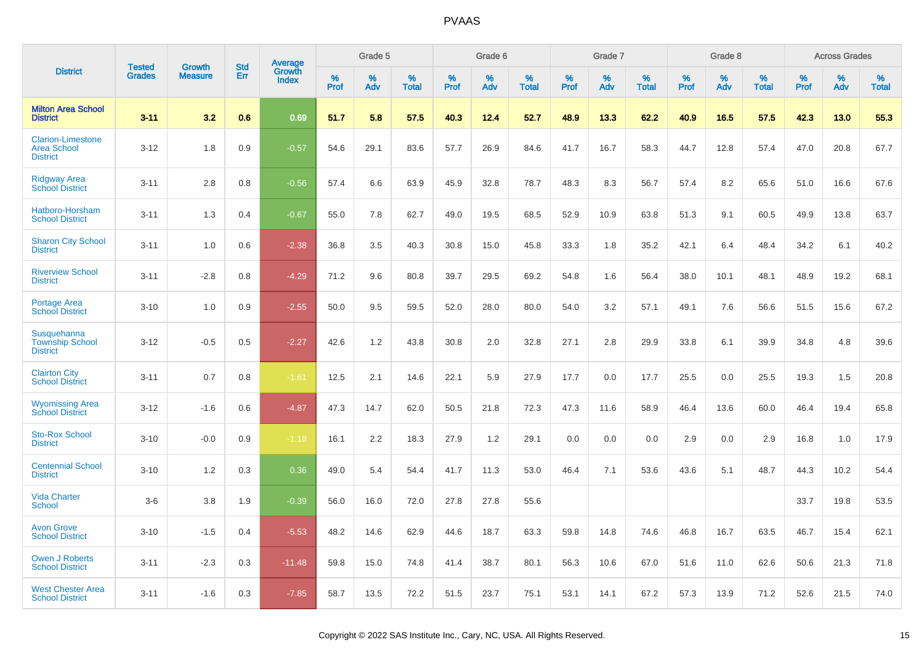|                                                                   | <b>Tested</b> | <b>Growth</b>  | <b>Std</b> |                                   |                     | Grade 5  |                   |                     | Grade 6  |                   |                  | Grade 7  |                   |              | Grade 8  |                   |                     | <b>Across Grades</b> |                   |
|-------------------------------------------------------------------|---------------|----------------|------------|-----------------------------------|---------------------|----------|-------------------|---------------------|----------|-------------------|------------------|----------|-------------------|--------------|----------|-------------------|---------------------|----------------------|-------------------|
| <b>District</b>                                                   | <b>Grades</b> | <b>Measure</b> | Err        | Average<br>Growth<br><b>Index</b> | $\%$<br><b>Prof</b> | %<br>Adv | %<br><b>Total</b> | $\%$<br><b>Prof</b> | %<br>Adv | %<br><b>Total</b> | %<br><b>Prof</b> | %<br>Adv | %<br><b>Total</b> | $\%$<br>Prof | %<br>Adv | %<br><b>Total</b> | $\%$<br><b>Prof</b> | %<br>Adv             | %<br><b>Total</b> |
| <b>Milton Area School</b><br><b>District</b>                      | $3 - 11$      | 3.2            | 0.6        | 0.69                              | 51.7                | 5.8      | 57.5              | 40.3                | 12.4     | 52.7              | 48.9             | 13.3     | 62.2              | 40.9         | 16.5     | 57.5              | 42.3                | 13.0                 | 55.3              |
| <b>Clarion-Limestone</b><br><b>Area School</b><br><b>District</b> | $3 - 12$      | 1.8            | 0.9        | $-0.57$                           | 54.6                | 29.1     | 83.6              | 57.7                | 26.9     | 84.6              | 41.7             | 16.7     | 58.3              | 44.7         | 12.8     | 57.4              | 47.0                | 20.8                 | 67.7              |
| <b>Ridgway Area</b><br><b>School District</b>                     | $3 - 11$      | 2.8            | 0.8        | $-0.56$                           | 57.4                | 6.6      | 63.9              | 45.9                | 32.8     | 78.7              | 48.3             | 8.3      | 56.7              | 57.4         | 8.2      | 65.6              | 51.0                | 16.6                 | 67.6              |
| Hatboro-Horsham<br><b>School District</b>                         | $3 - 11$      | 1.3            | 0.4        | $-0.67$                           | 55.0                | 7.8      | 62.7              | 49.0                | 19.5     | 68.5              | 52.9             | 10.9     | 63.8              | 51.3         | 9.1      | 60.5              | 49.9                | 13.8                 | 63.7              |
| <b>Sharon City School</b><br><b>District</b>                      | $3 - 11$      | 1.0            | 0.6        | $-2.38$                           | 36.8                | 3.5      | 40.3              | 30.8                | 15.0     | 45.8              | 33.3             | 1.8      | 35.2              | 42.1         | 6.4      | 48.4              | 34.2                | 6.1                  | 40.2              |
| <b>Riverview School</b><br><b>District</b>                        | $3 - 11$      | $-2.8$         | 0.8        | $-4.29$                           | 71.2                | 9.6      | 80.8              | 39.7                | 29.5     | 69.2              | 54.8             | 1.6      | 56.4              | 38.0         | 10.1     | 48.1              | 48.9                | 19.2                 | 68.1              |
| <b>Portage Area</b><br><b>School District</b>                     | $3 - 10$      | 1.0            | 0.9        | $-2.55$                           | 50.0                | 9.5      | 59.5              | 52.0                | 28.0     | 80.0              | 54.0             | 3.2      | 57.1              | 49.1         | 7.6      | 56.6              | 51.5                | 15.6                 | 67.2              |
| Susquehanna<br><b>Township School</b><br><b>District</b>          | $3 - 12$      | $-0.5$         | 0.5        | $-2.27$                           | 42.6                | 1.2      | 43.8              | 30.8                | 2.0      | 32.8              | 27.1             | 2.8      | 29.9              | 33.8         | 6.1      | 39.9              | 34.8                | 4.8                  | 39.6              |
| <b>Clairton City</b><br><b>School District</b>                    | $3 - 11$      | 0.7            | 0.8        | $-1.61$                           | 12.5                | 2.1      | 14.6              | 22.1                | 5.9      | 27.9              | 17.7             | 0.0      | 17.7              | 25.5         | 0.0      | 25.5              | 19.3                | 1.5                  | 20.8              |
| <b>Wyomissing Area</b><br><b>School District</b>                  | $3 - 12$      | $-1.6$         | 0.6        | $-4.87$                           | 47.3                | 14.7     | 62.0              | 50.5                | 21.8     | 72.3              | 47.3             | 11.6     | 58.9              | 46.4         | 13.6     | 60.0              | 46.4                | 19.4                 | 65.8              |
| <b>Sto-Rox School</b><br><b>District</b>                          | $3 - 10$      | $-0.0$         | 0.9        | $-1.18$                           | 16.1                | 2.2      | 18.3              | 27.9                | 1.2      | 29.1              | 0.0              | 0.0      | 0.0               | 2.9          | 0.0      | 2.9               | 16.8                | 1.0                  | 17.9              |
| <b>Centennial School</b><br><b>District</b>                       | $3 - 10$      | 1.2            | 0.3        | 0.36                              | 49.0                | 5.4      | 54.4              | 41.7                | 11.3     | 53.0              | 46.4             | 7.1      | 53.6              | 43.6         | 5.1      | 48.7              | 44.3                | 10.2                 | 54.4              |
| <b>Vida Charter</b><br><b>School</b>                              | $3-6$         | 3.8            | 1.9        | $-0.39$                           | 56.0                | 16.0     | 72.0              | 27.8                | 27.8     | 55.6              |                  |          |                   |              |          |                   | 33.7                | 19.8                 | 53.5              |
| <b>Avon Grove</b><br><b>School District</b>                       | $3 - 10$      | $-1.5$         | 0.4        | $-5.53$                           | 48.2                | 14.6     | 62.9              | 44.6                | 18.7     | 63.3              | 59.8             | 14.8     | 74.6              | 46.8         | 16.7     | 63.5              | 46.7                | 15.4                 | 62.1              |
| <b>Owen J Roberts</b><br><b>School District</b>                   | $3 - 11$      | $-2.3$         | 0.3        | $-11.48$                          | 59.8                | 15.0     | 74.8              | 41.4                | 38.7     | 80.1              | 56.3             | 10.6     | 67.0              | 51.6         | 11.0     | 62.6              | 50.6                | 21.3                 | 71.8              |
| <b>West Chester Area</b><br><b>School District</b>                | $3 - 11$      | $-1.6$         | 0.3        | $-7.85$                           | 58.7                | 13.5     | 72.2              | 51.5                | 23.7     | 75.1              | 53.1             | 14.1     | 67.2              | 57.3         | 13.9     | 71.2              | 52.6                | 21.5                 | 74.0              |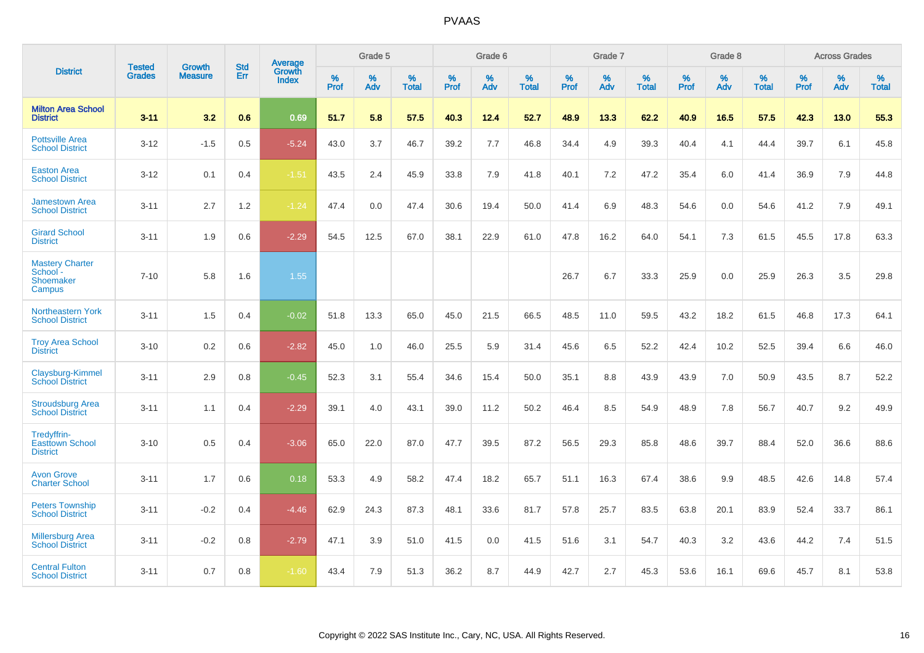|                                                           |                                |                                 | <b>Std</b> | <b>Average</b>                |           | Grade 5  |                   |           | Grade 6  |                   |           | Grade 7  |                   |           | Grade 8  |                   |           | <b>Across Grades</b> |                   |
|-----------------------------------------------------------|--------------------------------|---------------------------------|------------|-------------------------------|-----------|----------|-------------------|-----------|----------|-------------------|-----------|----------|-------------------|-----------|----------|-------------------|-----------|----------------------|-------------------|
| <b>District</b>                                           | <b>Tested</b><br><b>Grades</b> | <b>Growth</b><br><b>Measure</b> | Err        | <b>Growth</b><br><b>Index</b> | %<br>Prof | %<br>Adv | %<br><b>Total</b> | %<br>Prof | %<br>Adv | %<br><b>Total</b> | %<br>Prof | %<br>Adv | %<br><b>Total</b> | %<br>Prof | %<br>Adv | %<br><b>Total</b> | %<br>Prof | %<br>Adv             | %<br><b>Total</b> |
| <b>Milton Area School</b><br><b>District</b>              | $3 - 11$                       | 3.2                             | 0.6        | 0.69                          | 51.7      | 5.8      | 57.5              | 40.3      | 12.4     | 52.7              | 48.9      | 13.3     | 62.2              | 40.9      | 16.5     | 57.5              | 42.3      | 13.0                 | 55.3              |
| <b>Pottsville Area</b><br><b>School District</b>          | $3 - 12$                       | $-1.5$                          | 0.5        | $-5.24$                       | 43.0      | 3.7      | 46.7              | 39.2      | 7.7      | 46.8              | 34.4      | 4.9      | 39.3              | 40.4      | 4.1      | 44.4              | 39.7      | 6.1                  | 45.8              |
| <b>Easton Area</b><br><b>School District</b>              | $3 - 12$                       | 0.1                             | 0.4        | $-1.51$                       | 43.5      | 2.4      | 45.9              | 33.8      | 7.9      | 41.8              | 40.1      | 7.2      | 47.2              | 35.4      | 6.0      | 41.4              | 36.9      | 7.9                  | 44.8              |
| <b>Jamestown Area</b><br><b>School District</b>           | $3 - 11$                       | 2.7                             | 1.2        | $-1.24$                       | 47.4      | 0.0      | 47.4              | 30.6      | 19.4     | 50.0              | 41.4      | 6.9      | 48.3              | 54.6      | 0.0      | 54.6              | 41.2      | 7.9                  | 49.1              |
| <b>Girard School</b><br><b>District</b>                   | $3 - 11$                       | 1.9                             | 0.6        | $-2.29$                       | 54.5      | 12.5     | 67.0              | 38.1      | 22.9     | 61.0              | 47.8      | 16.2     | 64.0              | 54.1      | 7.3      | 61.5              | 45.5      | 17.8                 | 63.3              |
| <b>Mastery Charter</b><br>School -<br>Shoemaker<br>Campus | $7 - 10$                       | 5.8                             | 1.6        | 1.55                          |           |          |                   |           |          |                   | 26.7      | 6.7      | 33.3              | 25.9      | 0.0      | 25.9              | 26.3      | 3.5                  | 29.8              |
| <b>Northeastern York</b><br><b>School District</b>        | $3 - 11$                       | 1.5                             | 0.4        | $-0.02$                       | 51.8      | 13.3     | 65.0              | 45.0      | 21.5     | 66.5              | 48.5      | 11.0     | 59.5              | 43.2      | 18.2     | 61.5              | 46.8      | 17.3                 | 64.1              |
| <b>Troy Area School</b><br><b>District</b>                | $3 - 10$                       | 0.2                             | 0.6        | $-2.82$                       | 45.0      | 1.0      | 46.0              | 25.5      | 5.9      | 31.4              | 45.6      | 6.5      | 52.2              | 42.4      | 10.2     | 52.5              | 39.4      | 6.6                  | 46.0              |
| Claysburg-Kimmel<br><b>School District</b>                | $3 - 11$                       | 2.9                             | 0.8        | $-0.45$                       | 52.3      | 3.1      | 55.4              | 34.6      | 15.4     | 50.0              | 35.1      | 8.8      | 43.9              | 43.9      | 7.0      | 50.9              | 43.5      | 8.7                  | 52.2              |
| <b>Stroudsburg Area</b><br><b>School District</b>         | $3 - 11$                       | 1.1                             | 0.4        | $-2.29$                       | 39.1      | 4.0      | 43.1              | 39.0      | 11.2     | 50.2              | 46.4      | 8.5      | 54.9              | 48.9      | 7.8      | 56.7              | 40.7      | 9.2                  | 49.9              |
| Tredyffrin-<br><b>Easttown School</b><br><b>District</b>  | $3 - 10$                       | 0.5                             | 0.4        | $-3.06$                       | 65.0      | 22.0     | 87.0              | 47.7      | 39.5     | 87.2              | 56.5      | 29.3     | 85.8              | 48.6      | 39.7     | 88.4              | 52.0      | 36.6                 | 88.6              |
| <b>Avon Grove</b><br><b>Charter School</b>                | $3 - 11$                       | 1.7                             | 0.6        | 0.18                          | 53.3      | 4.9      | 58.2              | 47.4      | 18.2     | 65.7              | 51.1      | 16.3     | 67.4              | 38.6      | 9.9      | 48.5              | 42.6      | 14.8                 | 57.4              |
| <b>Peters Township</b><br><b>School District</b>          | $3 - 11$                       | $-0.2$                          | 0.4        | $-4.46$                       | 62.9      | 24.3     | 87.3              | 48.1      | 33.6     | 81.7              | 57.8      | 25.7     | 83.5              | 63.8      | 20.1     | 83.9              | 52.4      | 33.7                 | 86.1              |
| <b>Millersburg Area</b><br><b>School District</b>         | $3 - 11$                       | $-0.2$                          | 0.8        | $-2.79$                       | 47.1      | 3.9      | 51.0              | 41.5      | 0.0      | 41.5              | 51.6      | 3.1      | 54.7              | 40.3      | 3.2      | 43.6              | 44.2      | 7.4                  | 51.5              |
| <b>Central Fulton</b><br><b>School District</b>           | $3 - 11$                       | 0.7                             | 0.8        | $-1.60$                       | 43.4      | 7.9      | 51.3              | 36.2      | 8.7      | 44.9              | 42.7      | 2.7      | 45.3              | 53.6      | 16.1     | 69.6              | 45.7      | 8.1                  | 53.8              |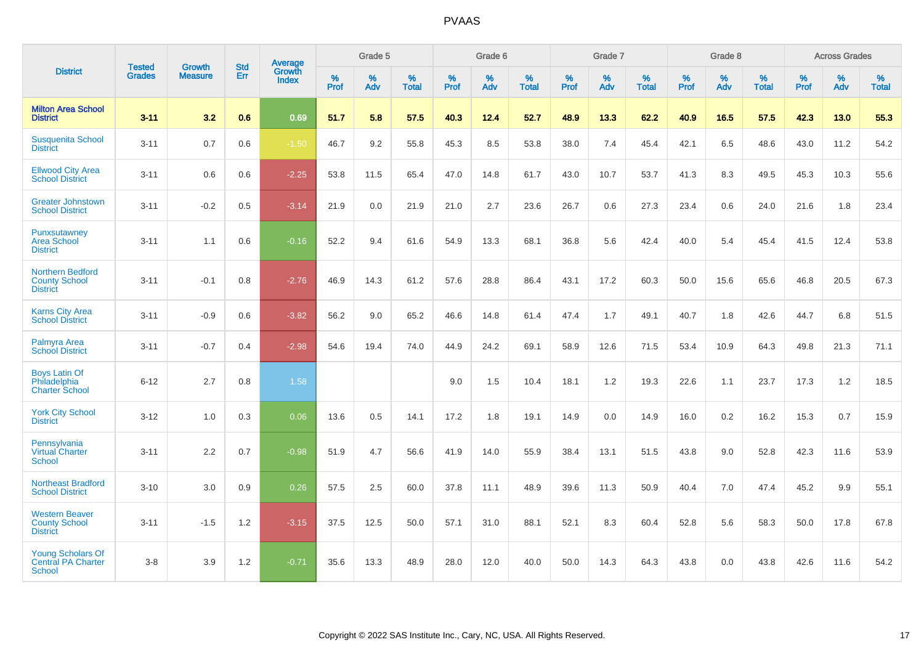|                                                                        |                                |                                 | <b>Std</b> | <b>Average</b>                |              | Grade 5  |                   |           | Grade 6  |                   |           | Grade 7  |                   |           | Grade 8  |                   |           | <b>Across Grades</b> |                   |
|------------------------------------------------------------------------|--------------------------------|---------------------------------|------------|-------------------------------|--------------|----------|-------------------|-----------|----------|-------------------|-----------|----------|-------------------|-----------|----------|-------------------|-----------|----------------------|-------------------|
| <b>District</b>                                                        | <b>Tested</b><br><b>Grades</b> | <b>Growth</b><br><b>Measure</b> | Err        | <b>Growth</b><br><b>Index</b> | $\%$<br>Prof | %<br>Adv | %<br><b>Total</b> | %<br>Prof | %<br>Adv | %<br><b>Total</b> | %<br>Prof | %<br>Adv | %<br><b>Total</b> | %<br>Prof | %<br>Adv | %<br><b>Total</b> | %<br>Prof | %<br>Adv             | %<br><b>Total</b> |
| <b>Milton Area School</b><br><b>District</b>                           | $3 - 11$                       | 3.2                             | 0.6        | 0.69                          | 51.7         | 5.8      | 57.5              | 40.3      | 12.4     | 52.7              | 48.9      | 13.3     | 62.2              | 40.9      | 16.5     | 57.5              | 42.3      | 13.0                 | 55.3              |
| <b>Susquenita School</b><br><b>District</b>                            | $3 - 11$                       | 0.7                             | 0.6        | $-1.50$                       | 46.7         | 9.2      | 55.8              | 45.3      | 8.5      | 53.8              | 38.0      | 7.4      | 45.4              | 42.1      | 6.5      | 48.6              | 43.0      | 11.2                 | 54.2              |
| <b>Ellwood City Area</b><br><b>School District</b>                     | $3 - 11$                       | 0.6                             | 0.6        | $-2.25$                       | 53.8         | 11.5     | 65.4              | 47.0      | 14.8     | 61.7              | 43.0      | 10.7     | 53.7              | 41.3      | 8.3      | 49.5              | 45.3      | 10.3                 | 55.6              |
| <b>Greater Johnstown</b><br><b>School District</b>                     | $3 - 11$                       | $-0.2$                          | 0.5        | $-3.14$                       | 21.9         | 0.0      | 21.9              | 21.0      | 2.7      | 23.6              | 26.7      | 0.6      | 27.3              | 23.4      | 0.6      | 24.0              | 21.6      | 1.8                  | 23.4              |
| Punxsutawney<br><b>Area School</b><br><b>District</b>                  | $3 - 11$                       | 1.1                             | 0.6        | $-0.16$                       | 52.2         | 9.4      | 61.6              | 54.9      | 13.3     | 68.1              | 36.8      | 5.6      | 42.4              | 40.0      | 5.4      | 45.4              | 41.5      | 12.4                 | 53.8              |
| Northern Bedford<br><b>County School</b><br><b>District</b>            | $3 - 11$                       | $-0.1$                          | 0.8        | $-2.76$                       | 46.9         | 14.3     | 61.2              | 57.6      | 28.8     | 86.4              | 43.1      | 17.2     | 60.3              | 50.0      | 15.6     | 65.6              | 46.8      | 20.5                 | 67.3              |
| <b>Karns City Area</b><br><b>School District</b>                       | $3 - 11$                       | $-0.9$                          | 0.6        | $-3.82$                       | 56.2         | 9.0      | 65.2              | 46.6      | 14.8     | 61.4              | 47.4      | 1.7      | 49.1              | 40.7      | 1.8      | 42.6              | 44.7      | 6.8                  | 51.5              |
| <b>Palmyra Area</b><br><b>School District</b>                          | $3 - 11$                       | $-0.7$                          | 0.4        | $-2.98$                       | 54.6         | 19.4     | 74.0              | 44.9      | 24.2     | 69.1              | 58.9      | 12.6     | 71.5              | 53.4      | 10.9     | 64.3              | 49.8      | 21.3                 | 71.1              |
| <b>Boys Latin Of</b><br>Philadelphia<br><b>Charter School</b>          | $6 - 12$                       | 2.7                             | 0.8        | 1.58                          |              |          |                   | 9.0       | 1.5      | 10.4              | 18.1      | 1.2      | 19.3              | 22.6      | 1.1      | 23.7              | 17.3      | 1.2                  | 18.5              |
| <b>York City School</b><br><b>District</b>                             | $3 - 12$                       | 1.0                             | 0.3        | 0.06                          | 13.6         | 0.5      | 14.1              | 17.2      | 1.8      | 19.1              | 14.9      | 0.0      | 14.9              | 16.0      | 0.2      | 16.2              | 15.3      | 0.7                  | 15.9              |
| Pennsylvania<br><b>Virtual Charter</b><br><b>School</b>                | $3 - 11$                       | 2.2                             | 0.7        | $-0.98$                       | 51.9         | 4.7      | 56.6              | 41.9      | 14.0     | 55.9              | 38.4      | 13.1     | 51.5              | 43.8      | 9.0      | 52.8              | 42.3      | 11.6                 | 53.9              |
| <b>Northeast Bradford</b><br><b>School District</b>                    | $3 - 10$                       | 3.0                             | 0.9        | 0.26                          | 57.5         | 2.5      | 60.0              | 37.8      | 11.1     | 48.9              | 39.6      | 11.3     | 50.9              | 40.4      | 7.0      | 47.4              | 45.2      | 9.9                  | 55.1              |
| <b>Western Beaver</b><br><b>County School</b><br><b>District</b>       | $3 - 11$                       | $-1.5$                          | 1.2        | $-3.15$                       | 37.5         | 12.5     | 50.0              | 57.1      | 31.0     | 88.1              | 52.1      | 8.3      | 60.4              | 52.8      | 5.6      | 58.3              | 50.0      | 17.8                 | 67.8              |
| <b>Young Scholars Of</b><br><b>Central PA Charter</b><br><b>School</b> | $3 - 8$                        | 3.9                             | 1.2        | $-0.71$                       | 35.6         | 13.3     | 48.9              | 28.0      | 12.0     | 40.0              | 50.0      | 14.3     | 64.3              | 43.8      | 0.0      | 43.8              | 42.6      | 11.6                 | 54.2              |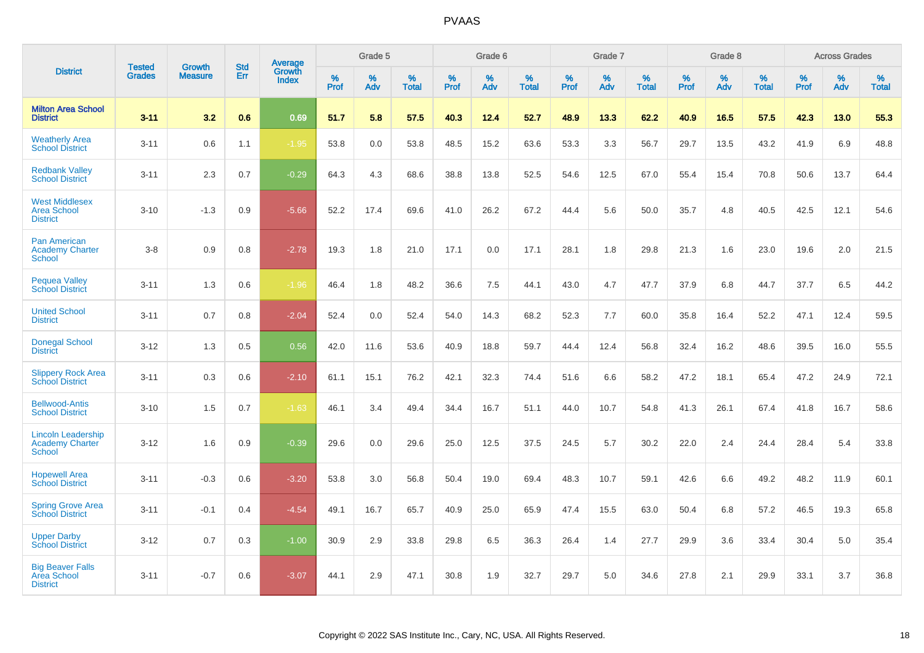|                                                                      |                                |                                 | <b>Std</b> | <b>Average</b>         |           | Grade 5  |                   |           | Grade 6  |                   |           | Grade 7  |                   |           | Grade 8  |                   |              | <b>Across Grades</b> |                   |
|----------------------------------------------------------------------|--------------------------------|---------------------------------|------------|------------------------|-----------|----------|-------------------|-----------|----------|-------------------|-----------|----------|-------------------|-----------|----------|-------------------|--------------|----------------------|-------------------|
| <b>District</b>                                                      | <b>Tested</b><br><b>Grades</b> | <b>Growth</b><br><b>Measure</b> | Err        | Growth<br><b>Index</b> | %<br>Prof | %<br>Adv | %<br><b>Total</b> | %<br>Prof | %<br>Adv | %<br><b>Total</b> | %<br>Prof | %<br>Adv | %<br><b>Total</b> | %<br>Prof | %<br>Adv | %<br><b>Total</b> | $\%$<br>Prof | %<br>Adv             | %<br><b>Total</b> |
| <b>Milton Area School</b><br><b>District</b>                         | $3 - 11$                       | 3.2                             | 0.6        | 0.69                   | 51.7      | 5.8      | 57.5              | 40.3      | 12.4     | 52.7              | 48.9      | 13.3     | 62.2              | 40.9      | 16.5     | 57.5              | 42.3         | 13.0                 | 55.3              |
| <b>Weatherly Area</b><br><b>School District</b>                      | $3 - 11$                       | 0.6                             | 1.1        | $-1.95$                | 53.8      | 0.0      | 53.8              | 48.5      | 15.2     | 63.6              | 53.3      | 3.3      | 56.7              | 29.7      | 13.5     | 43.2              | 41.9         | 6.9                  | 48.8              |
| <b>Redbank Valley</b><br><b>School District</b>                      | $3 - 11$                       | 2.3                             | 0.7        | $-0.29$                | 64.3      | 4.3      | 68.6              | 38.8      | 13.8     | 52.5              | 54.6      | 12.5     | 67.0              | 55.4      | 15.4     | 70.8              | 50.6         | 13.7                 | 64.4              |
| <b>West Middlesex</b><br><b>Area School</b><br><b>District</b>       | $3 - 10$                       | $-1.3$                          | 0.9        | $-5.66$                | 52.2      | 17.4     | 69.6              | 41.0      | 26.2     | 67.2              | 44.4      | 5.6      | 50.0              | 35.7      | 4.8      | 40.5              | 42.5         | 12.1                 | 54.6              |
| <b>Pan American</b><br><b>Academy Charter</b><br><b>School</b>       | $3-8$                          | 0.9                             | 0.8        | $-2.78$                | 19.3      | 1.8      | 21.0              | 17.1      | 0.0      | 17.1              | 28.1      | 1.8      | 29.8              | 21.3      | 1.6      | 23.0              | 19.6         | 2.0                  | 21.5              |
| <b>Pequea Valley</b><br><b>School District</b>                       | $3 - 11$                       | 1.3                             | 0.6        | $-1.96$                | 46.4      | 1.8      | 48.2              | 36.6      | 7.5      | 44.1              | 43.0      | 4.7      | 47.7              | 37.9      | 6.8      | 44.7              | 37.7         | 6.5                  | 44.2              |
| <b>United School</b><br><b>District</b>                              | $3 - 11$                       | 0.7                             | 0.8        | $-2.04$                | 52.4      | 0.0      | 52.4              | 54.0      | 14.3     | 68.2              | 52.3      | 7.7      | 60.0              | 35.8      | 16.4     | 52.2              | 47.1         | 12.4                 | 59.5              |
| <b>Donegal School</b><br><b>District</b>                             | $3 - 12$                       | 1.3                             | 0.5        | 0.56                   | 42.0      | 11.6     | 53.6              | 40.9      | 18.8     | 59.7              | 44.4      | 12.4     | 56.8              | 32.4      | 16.2     | 48.6              | 39.5         | 16.0                 | 55.5              |
| <b>Slippery Rock Area</b><br><b>School District</b>                  | $3 - 11$                       | 0.3                             | 0.6        | $-2.10$                | 61.1      | 15.1     | 76.2              | 42.1      | 32.3     | 74.4              | 51.6      | 6.6      | 58.2              | 47.2      | 18.1     | 65.4              | 47.2         | 24.9                 | 72.1              |
| <b>Bellwood-Antis</b><br><b>School District</b>                      | $3 - 10$                       | 1.5                             | 0.7        | $-1.63$                | 46.1      | 3.4      | 49.4              | 34.4      | 16.7     | 51.1              | 44.0      | 10.7     | 54.8              | 41.3      | 26.1     | 67.4              | 41.8         | 16.7                 | 58.6              |
| <b>Lincoln Leadership</b><br><b>Academy Charter</b><br><b>School</b> | $3 - 12$                       | 1.6                             | 0.9        | $-0.39$                | 29.6      | 0.0      | 29.6              | 25.0      | 12.5     | 37.5              | 24.5      | 5.7      | 30.2              | 22.0      | 2.4      | 24.4              | 28.4         | 5.4                  | 33.8              |
| <b>Hopewell Area</b><br><b>School District</b>                       | $3 - 11$                       | $-0.3$                          | 0.6        | $-3.20$                | 53.8      | 3.0      | 56.8              | 50.4      | 19.0     | 69.4              | 48.3      | 10.7     | 59.1              | 42.6      | 6.6      | 49.2              | 48.2         | 11.9                 | 60.1              |
| <b>Spring Grove Area</b><br><b>School District</b>                   | $3 - 11$                       | $-0.1$                          | 0.4        | $-4.54$                | 49.1      | 16.7     | 65.7              | 40.9      | 25.0     | 65.9              | 47.4      | 15.5     | 63.0              | 50.4      | 6.8      | 57.2              | 46.5         | 19.3                 | 65.8              |
| <b>Upper Darby</b><br><b>School District</b>                         | $3 - 12$                       | 0.7                             | 0.3        | $-1.00$                | 30.9      | 2.9      | 33.8              | 29.8      | 6.5      | 36.3              | 26.4      | 1.4      | 27.7              | 29.9      | 3.6      | 33.4              | 30.4         | 5.0                  | 35.4              |
| <b>Big Beaver Falls</b><br>Area School<br><b>District</b>            | $3 - 11$                       | $-0.7$                          | 0.6        | $-3.07$                | 44.1      | 2.9      | 47.1              | 30.8      | 1.9      | 32.7              | 29.7      | 5.0      | 34.6              | 27.8      | 2.1      | 29.9              | 33.1         | 3.7                  | 36.8              |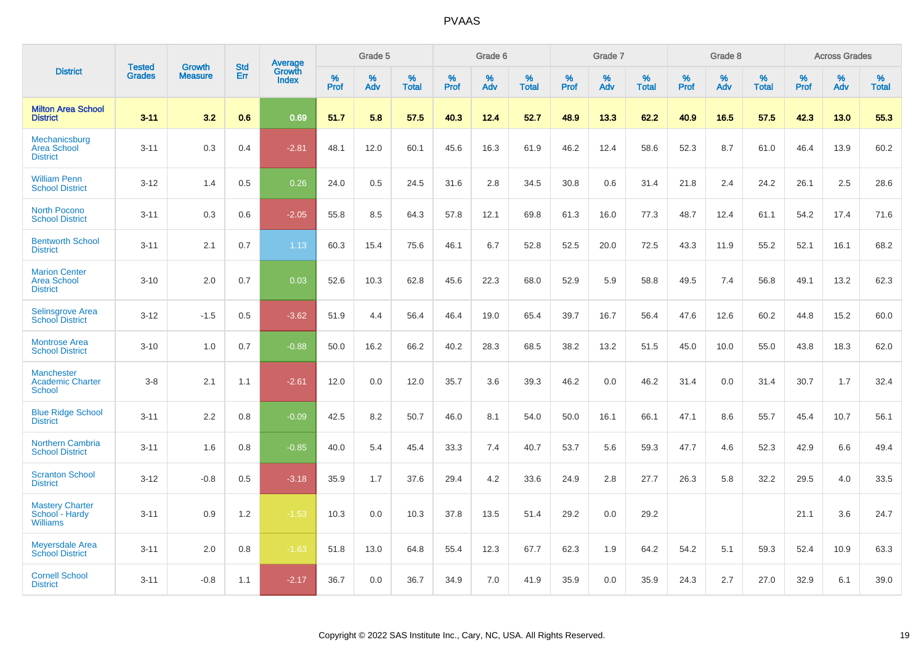|                                                               | <b>Tested</b> | <b>Growth</b>  | <b>Std</b> | <b>Average</b><br>Growth |                     | Grade 5  |                   |                  | Grade 6  |                   |                  | Grade 7  |                   |           | Grade 8  |                   |                  | <b>Across Grades</b> |                   |
|---------------------------------------------------------------|---------------|----------------|------------|--------------------------|---------------------|----------|-------------------|------------------|----------|-------------------|------------------|----------|-------------------|-----------|----------|-------------------|------------------|----------------------|-------------------|
| <b>District</b>                                               | <b>Grades</b> | <b>Measure</b> | Err        | <b>Index</b>             | $\%$<br><b>Prof</b> | %<br>Adv | %<br><b>Total</b> | %<br><b>Prof</b> | %<br>Adv | %<br><b>Total</b> | %<br><b>Prof</b> | %<br>Adv | %<br><b>Total</b> | %<br>Prof | %<br>Adv | %<br><b>Total</b> | %<br><b>Prof</b> | %<br>Adv             | %<br><b>Total</b> |
| <b>Milton Area School</b><br><b>District</b>                  | $3 - 11$      | 3.2            | 0.6        | 0.69                     | 51.7                | 5.8      | 57.5              | 40.3             | 12.4     | 52.7              | 48.9             | 13.3     | 62.2              | 40.9      | 16.5     | 57.5              | 42.3             | 13.0                 | 55.3              |
| Mechanicsburg<br><b>Area School</b><br><b>District</b>        | $3 - 11$      | 0.3            | 0.4        | $-2.81$                  | 48.1                | 12.0     | 60.1              | 45.6             | 16.3     | 61.9              | 46.2             | 12.4     | 58.6              | 52.3      | 8.7      | 61.0              | 46.4             | 13.9                 | 60.2              |
| <b>William Penn</b><br><b>School District</b>                 | $3 - 12$      | 1.4            | 0.5        | 0.26                     | 24.0                | 0.5      | 24.5              | 31.6             | 2.8      | 34.5              | 30.8             | 0.6      | 31.4              | 21.8      | 2.4      | 24.2              | 26.1             | 2.5                  | 28.6              |
| <b>North Pocono</b><br><b>School District</b>                 | $3 - 11$      | 0.3            | 0.6        | $-2.05$                  | 55.8                | 8.5      | 64.3              | 57.8             | 12.1     | 69.8              | 61.3             | 16.0     | 77.3              | 48.7      | 12.4     | 61.1              | 54.2             | 17.4                 | 71.6              |
| <b>Bentworth School</b><br><b>District</b>                    | $3 - 11$      | 2.1            | 0.7        | 1.13                     | 60.3                | 15.4     | 75.6              | 46.1             | 6.7      | 52.8              | 52.5             | 20.0     | 72.5              | 43.3      | 11.9     | 55.2              | 52.1             | 16.1                 | 68.2              |
| <b>Marion Center</b><br><b>Area School</b><br><b>District</b> | $3 - 10$      | 2.0            | 0.7        | 0.03                     | 52.6                | 10.3     | 62.8              | 45.6             | 22.3     | 68.0              | 52.9             | 5.9      | 58.8              | 49.5      | 7.4      | 56.8              | 49.1             | 13.2                 | 62.3              |
| <b>Selinsgrove Area</b><br><b>School District</b>             | $3 - 12$      | $-1.5$         | 0.5        | $-3.62$                  | 51.9                | 4.4      | 56.4              | 46.4             | 19.0     | 65.4              | 39.7             | 16.7     | 56.4              | 47.6      | 12.6     | 60.2              | 44.8             | 15.2                 | 60.0              |
| <b>Montrose Area</b><br><b>School District</b>                | $3 - 10$      | 1.0            | 0.7        | $-0.88$                  | 50.0                | 16.2     | 66.2              | 40.2             | 28.3     | 68.5              | 38.2             | 13.2     | 51.5              | 45.0      | 10.0     | 55.0              | 43.8             | 18.3                 | 62.0              |
| <b>Manchester</b><br><b>Academic Charter</b><br><b>School</b> | $3-8$         | 2.1            | 1.1        | $-2.61$                  | 12.0                | 0.0      | 12.0              | 35.7             | 3.6      | 39.3              | 46.2             | 0.0      | 46.2              | 31.4      | 0.0      | 31.4              | 30.7             | 1.7                  | 32.4              |
| <b>Blue Ridge School</b><br><b>District</b>                   | $3 - 11$      | 2.2            | 0.8        | $-0.09$                  | 42.5                | 8.2      | 50.7              | 46.0             | 8.1      | 54.0              | 50.0             | 16.1     | 66.1              | 47.1      | 8.6      | 55.7              | 45.4             | 10.7                 | 56.1              |
| <b>Northern Cambria</b><br><b>School District</b>             | $3 - 11$      | 1.6            | 0.8        | $-0.85$                  | 40.0                | 5.4      | 45.4              | 33.3             | 7.4      | 40.7              | 53.7             | 5.6      | 59.3              | 47.7      | 4.6      | 52.3              | 42.9             | 6.6                  | 49.4              |
| <b>Scranton School</b><br><b>District</b>                     | $3 - 12$      | $-0.8$         | 0.5        | $-3.18$                  | 35.9                | 1.7      | 37.6              | 29.4             | 4.2      | 33.6              | 24.9             | 2.8      | 27.7              | 26.3      | 5.8      | 32.2              | 29.5             | 4.0                  | 33.5              |
| <b>Mastery Charter</b><br>School - Hardy<br><b>Williams</b>   | $3 - 11$      | 0.9            | 1.2        | $-1.53$                  | 10.3                | 0.0      | 10.3              | 37.8             | 13.5     | 51.4              | 29.2             | 0.0      | 29.2              |           |          |                   | 21.1             | 3.6                  | 24.7              |
| <b>Meyersdale Area</b><br><b>School District</b>              | $3 - 11$      | 2.0            | 0.8        | $-1.63$                  | 51.8                | 13.0     | 64.8              | 55.4             | 12.3     | 67.7              | 62.3             | 1.9      | 64.2              | 54.2      | 5.1      | 59.3              | 52.4             | 10.9                 | 63.3              |
| <b>Cornell School</b><br><b>District</b>                      | $3 - 11$      | $-0.8$         | 1.1        | $-2.17$                  | 36.7                | 0.0      | 36.7              | 34.9             | 7.0      | 41.9              | 35.9             | 0.0      | 35.9              | 24.3      | 2.7      | 27.0              | 32.9             | 6.1                  | 39.0              |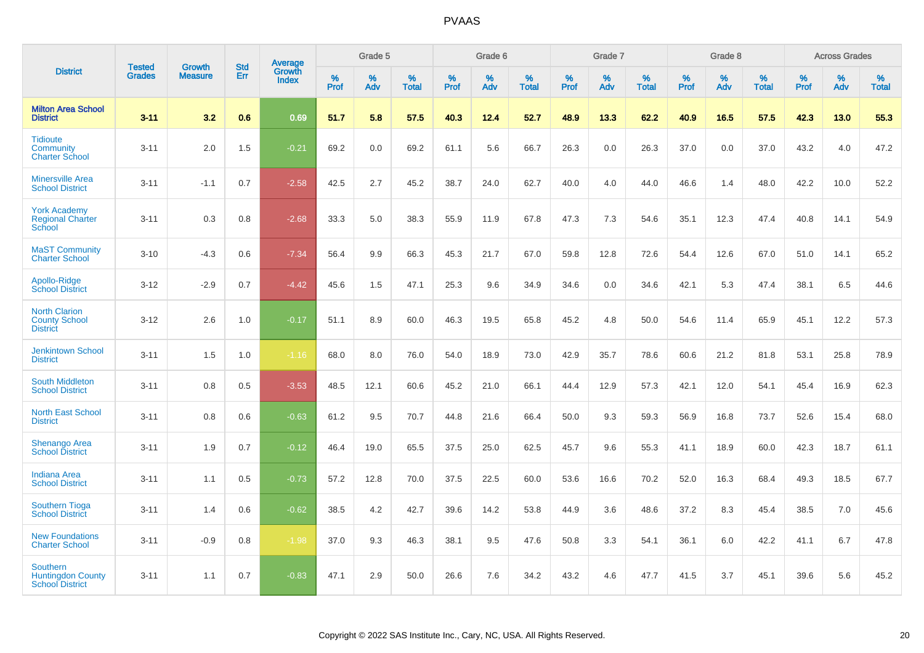|                                                                       |                                |                                 | <b>Std</b> | Average                |                     | Grade 5     |                   |           | Grade 6  |                   |           | Grade 7  |                   |           | Grade 8  |                   |              | <b>Across Grades</b> |                   |
|-----------------------------------------------------------------------|--------------------------------|---------------------------------|------------|------------------------|---------------------|-------------|-------------------|-----------|----------|-------------------|-----------|----------|-------------------|-----------|----------|-------------------|--------------|----------------------|-------------------|
| <b>District</b>                                                       | <b>Tested</b><br><b>Grades</b> | <b>Growth</b><br><b>Measure</b> | Err        | Growth<br><b>Index</b> | $\%$<br><b>Prof</b> | $\%$<br>Adv | %<br><b>Total</b> | %<br>Prof | %<br>Adv | %<br><b>Total</b> | %<br>Prof | %<br>Adv | %<br><b>Total</b> | %<br>Prof | %<br>Adv | %<br><b>Total</b> | $\%$<br>Prof | %<br>Adv             | %<br><b>Total</b> |
| <b>Milton Area School</b><br><b>District</b>                          | $3 - 11$                       | 3.2                             | 0.6        | 0.69                   | 51.7                | 5.8         | 57.5              | 40.3      | 12.4     | 52.7              | 48.9      | 13.3     | 62.2              | 40.9      | 16.5     | 57.5              | 42.3         | 13.0                 | 55.3              |
| <b>Tidioute</b><br>Community<br><b>Charter School</b>                 | $3 - 11$                       | 2.0                             | 1.5        | $-0.21$                | 69.2                | 0.0         | 69.2              | 61.1      | 5.6      | 66.7              | 26.3      | 0.0      | 26.3              | 37.0      | 0.0      | 37.0              | 43.2         | 4.0                  | 47.2              |
| <b>Minersville Area</b><br><b>School District</b>                     | $3 - 11$                       | $-1.1$                          | 0.7        | $-2.58$                | 42.5                | 2.7         | 45.2              | 38.7      | 24.0     | 62.7              | 40.0      | 4.0      | 44.0              | 46.6      | 1.4      | 48.0              | 42.2         | 10.0                 | 52.2              |
| <b>York Academy</b><br><b>Regional Charter</b><br>School              | $3 - 11$                       | 0.3                             | 0.8        | $-2.68$                | 33.3                | 5.0         | 38.3              | 55.9      | 11.9     | 67.8              | 47.3      | 7.3      | 54.6              | 35.1      | 12.3     | 47.4              | 40.8         | 14.1                 | 54.9              |
| <b>MaST Community</b><br><b>Charter School</b>                        | $3 - 10$                       | $-4.3$                          | 0.6        | $-7.34$                | 56.4                | 9.9         | 66.3              | 45.3      | 21.7     | 67.0              | 59.8      | 12.8     | 72.6              | 54.4      | 12.6     | 67.0              | 51.0         | 14.1                 | 65.2              |
| Apollo-Ridge<br><b>School District</b>                                | $3 - 12$                       | $-2.9$                          | 0.7        | $-4.42$                | 45.6                | 1.5         | 47.1              | 25.3      | 9.6      | 34.9              | 34.6      | 0.0      | 34.6              | 42.1      | 5.3      | 47.4              | 38.1         | 6.5                  | 44.6              |
| <b>North Clarion</b><br><b>County School</b><br><b>District</b>       | $3 - 12$                       | 2.6                             | 1.0        | $-0.17$                | 51.1                | 8.9         | 60.0              | 46.3      | 19.5     | 65.8              | 45.2      | 4.8      | 50.0              | 54.6      | 11.4     | 65.9              | 45.1         | 12.2                 | 57.3              |
| <b>Jenkintown School</b><br><b>District</b>                           | $3 - 11$                       | 1.5                             | 1.0        | $-1.16$                | 68.0                | 8.0         | 76.0              | 54.0      | 18.9     | 73.0              | 42.9      | 35.7     | 78.6              | 60.6      | 21.2     | 81.8              | 53.1         | 25.8                 | 78.9              |
| <b>South Middleton</b><br><b>School District</b>                      | $3 - 11$                       | 0.8                             | 0.5        | $-3.53$                | 48.5                | 12.1        | 60.6              | 45.2      | 21.0     | 66.1              | 44.4      | 12.9     | 57.3              | 42.1      | 12.0     | 54.1              | 45.4         | 16.9                 | 62.3              |
| <b>North East School</b><br><b>District</b>                           | $3 - 11$                       | 0.8                             | 0.6        | $-0.63$                | 61.2                | 9.5         | 70.7              | 44.8      | 21.6     | 66.4              | 50.0      | 9.3      | 59.3              | 56.9      | 16.8     | 73.7              | 52.6         | 15.4                 | 68.0              |
| Shenango Area<br><b>School District</b>                               | $3 - 11$                       | 1.9                             | 0.7        | $-0.12$                | 46.4                | 19.0        | 65.5              | 37.5      | 25.0     | 62.5              | 45.7      | 9.6      | 55.3              | 41.1      | 18.9     | 60.0              | 42.3         | 18.7                 | 61.1              |
| <b>Indiana Area</b><br><b>School District</b>                         | $3 - 11$                       | 1.1                             | 0.5        | $-0.73$                | 57.2                | 12.8        | 70.0              | 37.5      | 22.5     | 60.0              | 53.6      | 16.6     | 70.2              | 52.0      | 16.3     | 68.4              | 49.3         | 18.5                 | 67.7              |
| <b>Southern Tioga</b><br><b>School District</b>                       | $3 - 11$                       | 1.4                             | 0.6        | $-0.62$                | 38.5                | 4.2         | 42.7              | 39.6      | 14.2     | 53.8              | 44.9      | 3.6      | 48.6              | 37.2      | 8.3      | 45.4              | 38.5         | 7.0                  | 45.6              |
| <b>New Foundations</b><br><b>Charter School</b>                       | $3 - 11$                       | $-0.9$                          | 0.8        | $-1.98$                | 37.0                | 9.3         | 46.3              | 38.1      | 9.5      | 47.6              | 50.8      | 3.3      | 54.1              | 36.1      | 6.0      | 42.2              | 41.1         | 6.7                  | 47.8              |
| <b>Southern</b><br><b>Huntingdon County</b><br><b>School District</b> | $3 - 11$                       | 1.1                             | 0.7        | $-0.83$                | 47.1                | 2.9         | 50.0              | 26.6      | 7.6      | 34.2              | 43.2      | 4.6      | 47.7              | 41.5      | 3.7      | 45.1              | 39.6         | 5.6                  | 45.2              |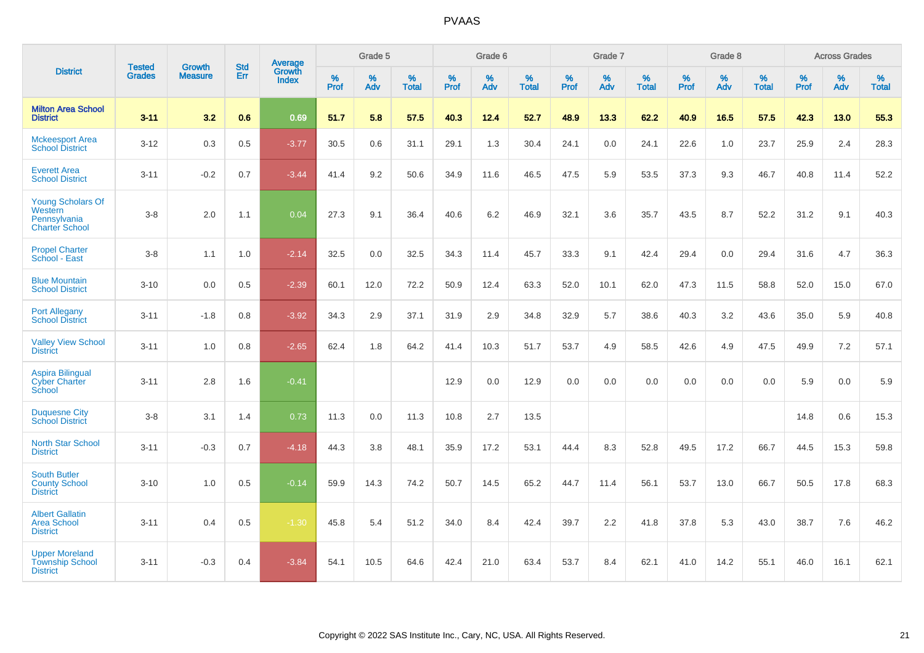|                                                                              |                                |                                 | <b>Std</b> | Average                |              | Grade 5  |                   |           | Grade 6  |                   |           | Grade 7  |                   |           | Grade 8  |                   |           | <b>Across Grades</b> |                   |
|------------------------------------------------------------------------------|--------------------------------|---------------------------------|------------|------------------------|--------------|----------|-------------------|-----------|----------|-------------------|-----------|----------|-------------------|-----------|----------|-------------------|-----------|----------------------|-------------------|
| <b>District</b>                                                              | <b>Tested</b><br><b>Grades</b> | <b>Growth</b><br><b>Measure</b> | Err        | Growth<br><b>Index</b> | $\%$<br>Prof | %<br>Adv | %<br><b>Total</b> | %<br>Prof | %<br>Adv | %<br><b>Total</b> | %<br>Prof | %<br>Adv | %<br><b>Total</b> | %<br>Prof | %<br>Adv | %<br><b>Total</b> | %<br>Prof | %<br>Adv             | %<br><b>Total</b> |
| <b>Milton Area School</b><br><b>District</b>                                 | $3 - 11$                       | 3.2                             | 0.6        | 0.69                   | 51.7         | 5.8      | 57.5              | 40.3      | 12.4     | 52.7              | 48.9      | 13.3     | 62.2              | 40.9      | 16.5     | 57.5              | 42.3      | 13.0                 | 55.3              |
| <b>Mckeesport Area</b><br><b>School District</b>                             | $3 - 12$                       | 0.3                             | 0.5        | $-3.77$                | 30.5         | 0.6      | 31.1              | 29.1      | 1.3      | 30.4              | 24.1      | 0.0      | 24.1              | 22.6      | 1.0      | 23.7              | 25.9      | 2.4                  | 28.3              |
| <b>Everett Area</b><br><b>School District</b>                                | $3 - 11$                       | $-0.2$                          | 0.7        | $-3.44$                | 41.4         | 9.2      | 50.6              | 34.9      | 11.6     | 46.5              | 47.5      | 5.9      | 53.5              | 37.3      | 9.3      | 46.7              | 40.8      | 11.4                 | 52.2              |
| <b>Young Scholars Of</b><br>Western<br>Pennsylvania<br><b>Charter School</b> | $3-8$                          | 2.0                             | 1.1        | 0.04                   | 27.3         | 9.1      | 36.4              | 40.6      | 6.2      | 46.9              | 32.1      | 3.6      | 35.7              | 43.5      | 8.7      | 52.2              | 31.2      | 9.1                  | 40.3              |
| <b>Propel Charter</b><br>School - East                                       | $3-8$                          | 1.1                             | 1.0        | $-2.14$                | 32.5         | 0.0      | 32.5              | 34.3      | 11.4     | 45.7              | 33.3      | 9.1      | 42.4              | 29.4      | 0.0      | 29.4              | 31.6      | 4.7                  | 36.3              |
| <b>Blue Mountain</b><br><b>School District</b>                               | $3 - 10$                       | 0.0                             | 0.5        | $-2.39$                | 60.1         | 12.0     | 72.2              | 50.9      | 12.4     | 63.3              | 52.0      | 10.1     | 62.0              | 47.3      | 11.5     | 58.8              | 52.0      | 15.0                 | 67.0              |
| <b>Port Allegany</b><br><b>School District</b>                               | $3 - 11$                       | $-1.8$                          | 0.8        | $-3.92$                | 34.3         | 2.9      | 37.1              | 31.9      | 2.9      | 34.8              | 32.9      | 5.7      | 38.6              | 40.3      | 3.2      | 43.6              | 35.0      | 5.9                  | 40.8              |
| <b>Valley View School</b><br><b>District</b>                                 | $3 - 11$                       | 1.0                             | 0.8        | $-2.65$                | 62.4         | 1.8      | 64.2              | 41.4      | 10.3     | 51.7              | 53.7      | 4.9      | 58.5              | 42.6      | 4.9      | 47.5              | 49.9      | 7.2                  | 57.1              |
| <b>Aspira Bilingual</b><br><b>Cyber Charter</b><br>School                    | $3 - 11$                       | 2.8                             | 1.6        | $-0.41$                |              |          |                   | 12.9      | 0.0      | 12.9              | 0.0       | 0.0      | 0.0               | 0.0       | 0.0      | 0.0               | 5.9       | 0.0                  | 5.9               |
| <b>Duquesne City</b><br><b>School District</b>                               | $3-8$                          | 3.1                             | 1.4        | 0.73                   | 11.3         | 0.0      | 11.3              | 10.8      | 2.7      | 13.5              |           |          |                   |           |          |                   | 14.8      | 0.6                  | 15.3              |
| <b>North Star School</b><br><b>District</b>                                  | $3 - 11$                       | $-0.3$                          | 0.7        | $-4.18$                | 44.3         | 3.8      | 48.1              | 35.9      | 17.2     | 53.1              | 44.4      | 8.3      | 52.8              | 49.5      | 17.2     | 66.7              | 44.5      | 15.3                 | 59.8              |
| <b>South Butler</b><br><b>County School</b><br><b>District</b>               | $3 - 10$                       | 1.0                             | 0.5        | $-0.14$                | 59.9         | 14.3     | 74.2              | 50.7      | 14.5     | 65.2              | 44.7      | 11.4     | 56.1              | 53.7      | 13.0     | 66.7              | 50.5      | 17.8                 | 68.3              |
| <b>Albert Gallatin</b><br><b>Area School</b><br><b>District</b>              | $3 - 11$                       | 0.4                             | 0.5        | $-1.30$                | 45.8         | 5.4      | 51.2              | 34.0      | 8.4      | 42.4              | 39.7      | 2.2      | 41.8              | 37.8      | 5.3      | 43.0              | 38.7      | 7.6                  | 46.2              |
| <b>Upper Moreland</b><br><b>Township School</b><br><b>District</b>           | $3 - 11$                       | $-0.3$                          | 0.4        | $-3.84$                | 54.1         | 10.5     | 64.6              | 42.4      | 21.0     | 63.4              | 53.7      | 8.4      | 62.1              | 41.0      | 14.2     | 55.1              | 46.0      | 16.1                 | 62.1              |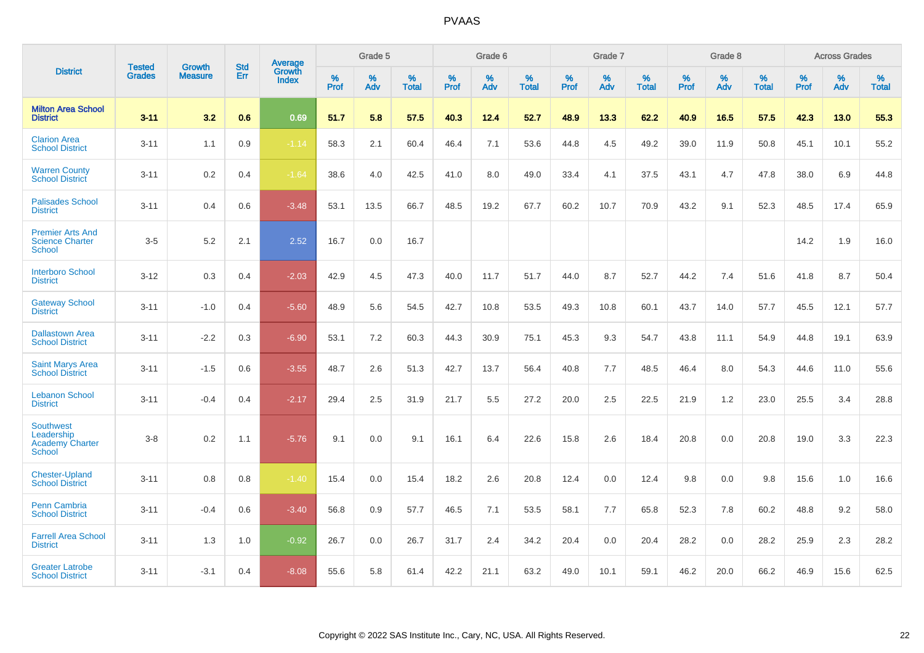|                                                                    | <b>Tested</b> | <b>Growth</b>  | <b>Std</b> |                                          |              | Grade 5  |                   |              | Grade 6  |                   |              | Grade 7  |                      |              | Grade 8  |                   |              | <b>Across Grades</b> |                   |
|--------------------------------------------------------------------|---------------|----------------|------------|------------------------------------------|--------------|----------|-------------------|--------------|----------|-------------------|--------------|----------|----------------------|--------------|----------|-------------------|--------------|----------------------|-------------------|
| <b>District</b>                                                    | <b>Grades</b> | <b>Measure</b> | <b>Err</b> | <b>Average</b><br>Growth<br><b>Index</b> | $\%$<br>Prof | %<br>Adv | %<br><b>Total</b> | $\%$<br>Prof | %<br>Adv | %<br><b>Total</b> | $\%$<br>Prof | %<br>Adv | $\%$<br><b>Total</b> | $\%$<br>Prof | %<br>Adv | %<br><b>Total</b> | $\%$<br>Prof | %<br>Adv             | %<br><b>Total</b> |
| <b>Milton Area School</b><br><b>District</b>                       | $3 - 11$      | 3.2            | 0.6        | 0.69                                     | 51.7         | 5.8      | 57.5              | 40.3         | 12.4     | 52.7              | 48.9         | 13.3     | 62.2                 | 40.9         | 16.5     | 57.5              | 42.3         | 13.0                 | 55.3              |
| <b>Clarion Area</b><br><b>School District</b>                      | $3 - 11$      | 1.1            | 0.9        | $-1.14$                                  | 58.3         | 2.1      | 60.4              | 46.4         | 7.1      | 53.6              | 44.8         | 4.5      | 49.2                 | 39.0         | 11.9     | 50.8              | 45.1         | 10.1                 | 55.2              |
| <b>Warren County</b><br><b>School District</b>                     | $3 - 11$      | 0.2            | 0.4        | $-1.64$                                  | 38.6         | 4.0      | 42.5              | 41.0         | 8.0      | 49.0              | 33.4         | 4.1      | 37.5                 | 43.1         | 4.7      | 47.8              | 38.0         | 6.9                  | 44.8              |
| <b>Palisades School</b><br><b>District</b>                         | $3 - 11$      | 0.4            | 0.6        | $-3.48$                                  | 53.1         | 13.5     | 66.7              | 48.5         | 19.2     | 67.7              | 60.2         | 10.7     | 70.9                 | 43.2         | 9.1      | 52.3              | 48.5         | 17.4                 | 65.9              |
| <b>Premier Arts And</b><br><b>Science Charter</b><br><b>School</b> | $3-5$         | 5.2            | 2.1        | 2.52                                     | 16.7         | 0.0      | 16.7              |              |          |                   |              |          |                      |              |          |                   | 14.2         | 1.9                  | 16.0              |
| <b>Interboro School</b><br><b>District</b>                         | $3 - 12$      | 0.3            | 0.4        | $-2.03$                                  | 42.9         | 4.5      | 47.3              | 40.0         | 11.7     | 51.7              | 44.0         | 8.7      | 52.7                 | 44.2         | 7.4      | 51.6              | 41.8         | 8.7                  | 50.4              |
| <b>Gateway School</b><br><b>District</b>                           | $3 - 11$      | $-1.0$         | 0.4        | $-5.60$                                  | 48.9         | 5.6      | 54.5              | 42.7         | 10.8     | 53.5              | 49.3         | 10.8     | 60.1                 | 43.7         | 14.0     | 57.7              | 45.5         | 12.1                 | 57.7              |
| <b>Dallastown Area</b><br><b>School District</b>                   | $3 - 11$      | $-2.2$         | 0.3        | $-6.90$                                  | 53.1         | 7.2      | 60.3              | 44.3         | 30.9     | 75.1              | 45.3         | 9.3      | 54.7                 | 43.8         | 11.1     | 54.9              | 44.8         | 19.1                 | 63.9              |
| <b>Saint Marys Area</b><br><b>School District</b>                  | $3 - 11$      | $-1.5$         | 0.6        | $-3.55$                                  | 48.7         | 2.6      | 51.3              | 42.7         | 13.7     | 56.4              | 40.8         | 7.7      | 48.5                 | 46.4         | 8.0      | 54.3              | 44.6         | 11.0                 | 55.6              |
| <b>Lebanon School</b><br><b>District</b>                           | $3 - 11$      | $-0.4$         | 0.4        | $-2.17$                                  | 29.4         | 2.5      | 31.9              | 21.7         | 5.5      | 27.2              | 20.0         | 2.5      | 22.5                 | 21.9         | 1.2      | 23.0              | 25.5         | 3.4                  | 28.8              |
| <b>Southwest</b><br>Leadership<br><b>Academy Charter</b><br>School | $3 - 8$       | 0.2            | 1.1        | $-5.76$                                  | 9.1          | 0.0      | 9.1               | 16.1         | 6.4      | 22.6              | 15.8         | 2.6      | 18.4                 | 20.8         | 0.0      | 20.8              | 19.0         | 3.3                  | 22.3              |
| <b>Chester-Upland</b><br><b>School District</b>                    | $3 - 11$      | 0.8            | 0.8        | $-1.40$                                  | 15.4         | 0.0      | 15.4              | 18.2         | 2.6      | 20.8              | 12.4         | 0.0      | 12.4                 | 9.8          | 0.0      | 9.8               | 15.6         | 1.0                  | 16.6              |
| Penn Cambria<br><b>School District</b>                             | $3 - 11$      | $-0.4$         | 0.6        | $-3.40$                                  | 56.8         | 0.9      | 57.7              | 46.5         | 7.1      | 53.5              | 58.1         | 7.7      | 65.8                 | 52.3         | 7.8      | 60.2              | 48.8         | 9.2                  | 58.0              |
| <b>Farrell Area School</b><br><b>District</b>                      | $3 - 11$      | 1.3            | 1.0        | $-0.92$                                  | 26.7         | 0.0      | 26.7              | 31.7         | 2.4      | 34.2              | 20.4         | 0.0      | 20.4                 | 28.2         | 0.0      | 28.2              | 25.9         | 2.3                  | 28.2              |
| <b>Greater Latrobe</b><br><b>School District</b>                   | $3 - 11$      | $-3.1$         | 0.4        | $-8.08$                                  | 55.6         | 5.8      | 61.4              | 42.2         | 21.1     | 63.2              | 49.0         | 10.1     | 59.1                 | 46.2         | 20.0     | 66.2              | 46.9         | 15.6                 | 62.5              |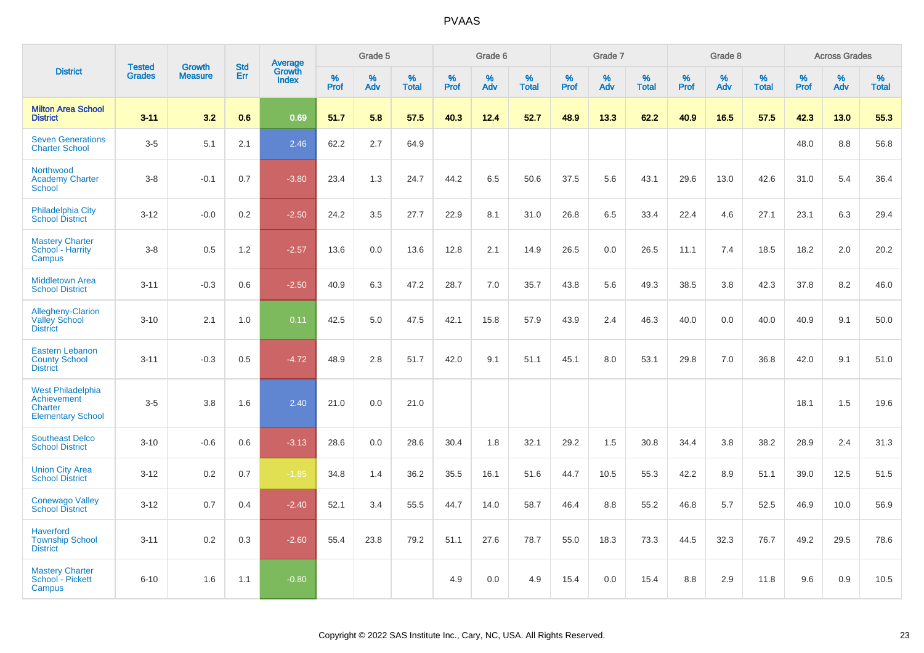|                                                                                |                                |                                 |                   | Average                |                     | Grade 5     |                   |              | Grade 6  |                      |              | Grade 7  |                   |              | Grade 8  |                   |              | <b>Across Grades</b> |            |
|--------------------------------------------------------------------------------|--------------------------------|---------------------------------|-------------------|------------------------|---------------------|-------------|-------------------|--------------|----------|----------------------|--------------|----------|-------------------|--------------|----------|-------------------|--------------|----------------------|------------|
| <b>District</b>                                                                | <b>Tested</b><br><b>Grades</b> | <b>Growth</b><br><b>Measure</b> | <b>Std</b><br>Err | Growth<br><b>Index</b> | $\%$<br><b>Prof</b> | $\%$<br>Adv | %<br><b>Total</b> | $\%$<br>Prof | %<br>Adv | $\%$<br><b>Total</b> | $\%$<br>Prof | %<br>Adv | %<br><b>Total</b> | $\%$<br>Prof | %<br>Adv | %<br><b>Total</b> | $\%$<br>Prof | %<br>Adv             | %<br>Total |
| <b>Milton Area School</b><br><b>District</b>                                   | $3 - 11$                       | 3.2                             | 0.6               | 0.69                   | 51.7                | 5.8         | 57.5              | 40.3         | 12.4     | 52.7                 | 48.9         | 13.3     | 62.2              | 40.9         | 16.5     | 57.5              | 42.3         | 13.0                 | 55.3       |
| <b>Seven Generations</b><br><b>Charter School</b>                              | $3-5$                          | 5.1                             | 2.1               | 2.46                   | 62.2                | 2.7         | 64.9              |              |          |                      |              |          |                   |              |          |                   | 48.0         | 8.8                  | 56.8       |
| Northwood<br><b>Academy Charter</b><br><b>School</b>                           | $3-8$                          | $-0.1$                          | 0.7               | $-3.80$                | 23.4                | 1.3         | 24.7              | 44.2         | 6.5      | 50.6                 | 37.5         | 5.6      | 43.1              | 29.6         | 13.0     | 42.6              | 31.0         | 5.4                  | 36.4       |
| Philadelphia City<br><b>School District</b>                                    | $3 - 12$                       | $-0.0$                          | 0.2               | $-2.50$                | 24.2                | 3.5         | 27.7              | 22.9         | 8.1      | 31.0                 | 26.8         | 6.5      | 33.4              | 22.4         | 4.6      | 27.1              | 23.1         | 6.3                  | 29.4       |
| <b>Mastery Charter</b><br>School - Harrity<br>Campus                           | $3 - 8$                        | 0.5                             | 1.2               | $-2.57$                | 13.6                | 0.0         | 13.6              | 12.8         | 2.1      | 14.9                 | 26.5         | 0.0      | 26.5              | 11.1         | 7.4      | 18.5              | 18.2         | 2.0                  | 20.2       |
| <b>Middletown Area</b><br><b>School District</b>                               | $3 - 11$                       | $-0.3$                          | 0.6               | $-2.50$                | 40.9                | 6.3         | 47.2              | 28.7         | 7.0      | 35.7                 | 43.8         | 5.6      | 49.3              | 38.5         | 3.8      | 42.3              | 37.8         | 8.2                  | 46.0       |
| <b>Allegheny-Clarion</b><br><b>Valley School</b><br><b>District</b>            | $3 - 10$                       | 2.1                             | 1.0               | 0.11                   | 42.5                | 5.0         | 47.5              | 42.1         | 15.8     | 57.9                 | 43.9         | 2.4      | 46.3              | 40.0         | 0.0      | 40.0              | 40.9         | 9.1                  | 50.0       |
| Eastern Lebanon<br><b>County School</b><br><b>District</b>                     | $3 - 11$                       | $-0.3$                          | 0.5               | $-4.72$                | 48.9                | 2.8         | 51.7              | 42.0         | 9.1      | 51.1                 | 45.1         | 8.0      | 53.1              | 29.8         | 7.0      | 36.8              | 42.0         | 9.1                  | 51.0       |
| <b>West Philadelphia</b><br>Achievement<br>Charter<br><b>Elementary School</b> | $3-5$                          | 3.8                             | 1.6               | 2.40                   | 21.0                | 0.0         | 21.0              |              |          |                      |              |          |                   |              |          |                   | 18.1         | 1.5                  | 19.6       |
| <b>Southeast Delco</b><br><b>School District</b>                               | $3 - 10$                       | $-0.6$                          | 0.6               | $-3.13$                | 28.6                | 0.0         | 28.6              | 30.4         | 1.8      | 32.1                 | 29.2         | 1.5      | 30.8              | 34.4         | 3.8      | 38.2              | 28.9         | 2.4                  | 31.3       |
| <b>Union City Area</b><br><b>School District</b>                               | $3 - 12$                       | 0.2                             | 0.7               | $-1.85$                | 34.8                | 1.4         | 36.2              | 35.5         | 16.1     | 51.6                 | 44.7         | 10.5     | 55.3              | 42.2         | 8.9      | 51.1              | 39.0         | 12.5                 | 51.5       |
| <b>Conewago Valley</b><br><b>School District</b>                               | $3 - 12$                       | 0.7                             | 0.4               | $-2.40$                | 52.1                | 3.4         | 55.5              | 44.7         | 14.0     | 58.7                 | 46.4         | 8.8      | 55.2              | 46.8         | 5.7      | 52.5              | 46.9         | 10.0                 | 56.9       |
| <b>Haverford</b><br><b>Township School</b><br><b>District</b>                  | $3 - 11$                       | 0.2                             | 0.3               | $-2.60$                | 55.4                | 23.8        | 79.2              | 51.1         | 27.6     | 78.7                 | 55.0         | 18.3     | 73.3              | 44.5         | 32.3     | 76.7              | 49.2         | 29.5                 | 78.6       |
| <b>Mastery Charter</b><br>School - Pickett<br>Campus                           | $6 - 10$                       | 1.6                             | 1.1               | $-0.80$                |                     |             |                   | 4.9          | 0.0      | 4.9                  | 15.4         | 0.0      | 15.4              | 8.8          | 2.9      | 11.8              | 9.6          | 0.9                  | 10.5       |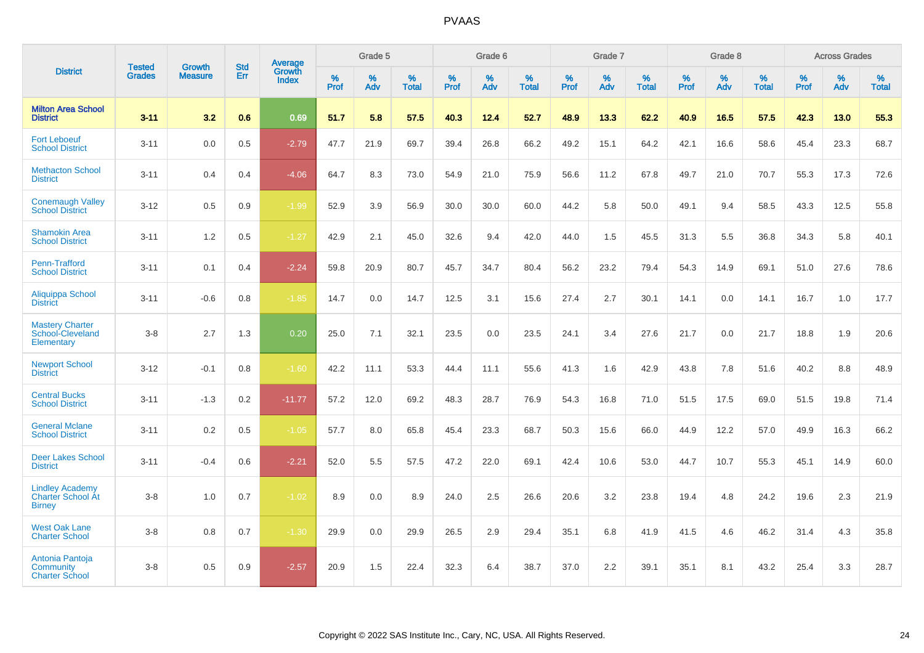|                                                                     |                                |                                 | <b>Std</b> | Average                |           | Grade 5  |                   |           | Grade 6  |                   |           | Grade 7  |                   |           | Grade 8  |                   |           | <b>Across Grades</b> |                   |
|---------------------------------------------------------------------|--------------------------------|---------------------------------|------------|------------------------|-----------|----------|-------------------|-----------|----------|-------------------|-----------|----------|-------------------|-----------|----------|-------------------|-----------|----------------------|-------------------|
| <b>District</b>                                                     | <b>Tested</b><br><b>Grades</b> | <b>Growth</b><br><b>Measure</b> | Err        | Growth<br><b>Index</b> | %<br>Prof | %<br>Adv | %<br><b>Total</b> | %<br>Prof | %<br>Adv | %<br><b>Total</b> | %<br>Prof | %<br>Adv | %<br><b>Total</b> | %<br>Prof | %<br>Adv | %<br><b>Total</b> | %<br>Prof | %<br>Adv             | %<br><b>Total</b> |
| <b>Milton Area School</b><br><b>District</b>                        | $3 - 11$                       | 3.2                             | 0.6        | 0.69                   | 51.7      | 5.8      | 57.5              | 40.3      | 12.4     | 52.7              | 48.9      | 13.3     | 62.2              | 40.9      | 16.5     | 57.5              | 42.3      | 13.0                 | 55.3              |
| <b>Fort Leboeuf</b><br><b>School District</b>                       | $3 - 11$                       | 0.0                             | 0.5        | $-2.79$                | 47.7      | 21.9     | 69.7              | 39.4      | 26.8     | 66.2              | 49.2      | 15.1     | 64.2              | 42.1      | 16.6     | 58.6              | 45.4      | 23.3                 | 68.7              |
| <b>Methacton School</b><br><b>District</b>                          | $3 - 11$                       | 0.4                             | 0.4        | $-4.06$                | 64.7      | 8.3      | 73.0              | 54.9      | 21.0     | 75.9              | 56.6      | 11.2     | 67.8              | 49.7      | 21.0     | 70.7              | 55.3      | 17.3                 | 72.6              |
| <b>Conemaugh Valley</b><br><b>School District</b>                   | $3 - 12$                       | 0.5                             | 0.9        | $-1.99$                | 52.9      | 3.9      | 56.9              | 30.0      | 30.0     | 60.0              | 44.2      | 5.8      | 50.0              | 49.1      | 9.4      | 58.5              | 43.3      | 12.5                 | 55.8              |
| <b>Shamokin Area</b><br><b>School District</b>                      | $3 - 11$                       | 1.2                             | 0.5        | $-1.27$                | 42.9      | 2.1      | 45.0              | 32.6      | 9.4      | 42.0              | 44.0      | 1.5      | 45.5              | 31.3      | 5.5      | 36.8              | 34.3      | 5.8                  | 40.1              |
| Penn-Trafford<br><b>School District</b>                             | $3 - 11$                       | 0.1                             | 0.4        | $-2.24$                | 59.8      | 20.9     | 80.7              | 45.7      | 34.7     | 80.4              | 56.2      | 23.2     | 79.4              | 54.3      | 14.9     | 69.1              | 51.0      | 27.6                 | 78.6              |
| Aliquippa School<br><b>District</b>                                 | $3 - 11$                       | $-0.6$                          | 0.8        | $-1.85$                | 14.7      | 0.0      | 14.7              | 12.5      | 3.1      | 15.6              | 27.4      | 2.7      | 30.1              | 14.1      | 0.0      | 14.1              | 16.7      | 1.0                  | 17.7              |
| <b>Mastery Charter</b><br>School-Cleveland<br>Elementary            | $3-8$                          | 2.7                             | 1.3        | 0.20                   | 25.0      | 7.1      | 32.1              | 23.5      | 0.0      | 23.5              | 24.1      | 3.4      | 27.6              | 21.7      | 0.0      | 21.7              | 18.8      | 1.9                  | 20.6              |
| <b>Newport School</b><br><b>District</b>                            | $3 - 12$                       | $-0.1$                          | 0.8        | $-1.60$                | 42.2      | 11.1     | 53.3              | 44.4      | 11.1     | 55.6              | 41.3      | 1.6      | 42.9              | 43.8      | 7.8      | 51.6              | 40.2      | 8.8                  | 48.9              |
| <b>Central Bucks</b><br><b>School District</b>                      | $3 - 11$                       | $-1.3$                          | $0.2\,$    | $-11.77$               | 57.2      | 12.0     | 69.2              | 48.3      | 28.7     | 76.9              | 54.3      | 16.8     | 71.0              | 51.5      | 17.5     | 69.0              | 51.5      | 19.8                 | 71.4              |
| <b>General Mclane</b><br><b>School District</b>                     | $3 - 11$                       | 0.2                             | 0.5        | $-1.05$                | 57.7      | 8.0      | 65.8              | 45.4      | 23.3     | 68.7              | 50.3      | 15.6     | 66.0              | 44.9      | 12.2     | 57.0              | 49.9      | 16.3                 | 66.2              |
| <b>Deer Lakes School</b><br><b>District</b>                         | $3 - 11$                       | $-0.4$                          | 0.6        | $-2.21$                | 52.0      | 5.5      | 57.5              | 47.2      | 22.0     | 69.1              | 42.4      | 10.6     | 53.0              | 44.7      | 10.7     | 55.3              | 45.1      | 14.9                 | 60.0              |
| <b>Lindley Academy</b><br><b>Charter School At</b><br><b>Birney</b> | $3-8$                          | 1.0                             | 0.7        | $-1.02$                | 8.9       | 0.0      | 8.9               | 24.0      | 2.5      | 26.6              | 20.6      | 3.2      | 23.8              | 19.4      | 4.8      | 24.2              | 19.6      | 2.3                  | 21.9              |
| <b>West Oak Lane</b><br><b>Charter School</b>                       | $3-8$                          | 0.8                             | 0.7        | $-1.30$                | 29.9      | 0.0      | 29.9              | 26.5      | 2.9      | 29.4              | 35.1      | 6.8      | 41.9              | 41.5      | 4.6      | 46.2              | 31.4      | 4.3                  | 35.8              |
| Antonia Pantoja<br>Community<br><b>Charter School</b>               | $3-8$                          | 0.5                             | 0.9        | $-2.57$                | 20.9      | 1.5      | 22.4              | 32.3      | 6.4      | 38.7              | 37.0      | 2.2      | 39.1              | 35.1      | 8.1      | 43.2              | 25.4      | 3.3                  | 28.7              |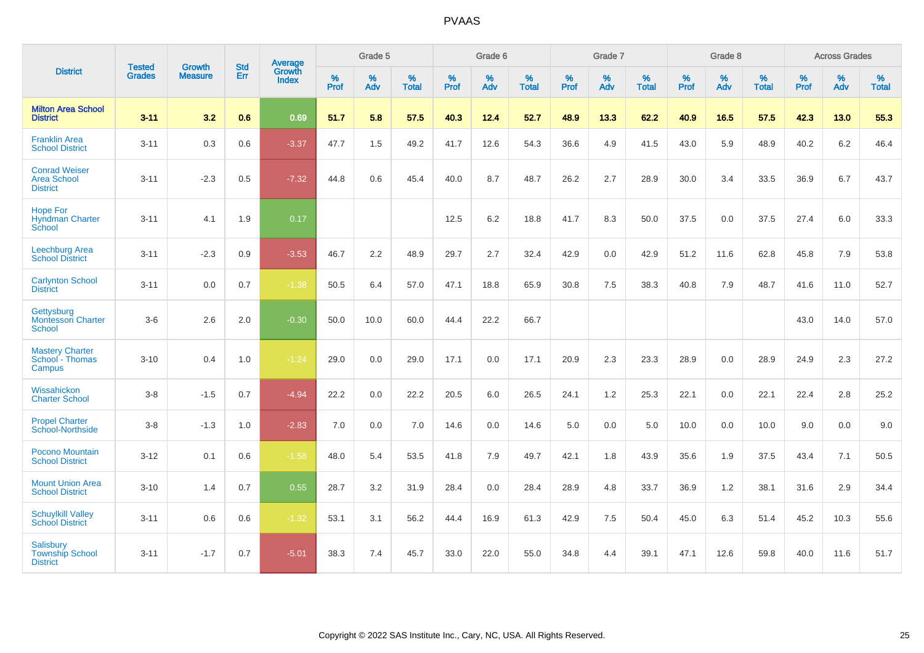|                                                               | <b>Tested</b> | <b>Growth</b>  | <b>Std</b> | Average                |                     | Grade 5     |                   |                     | Grade 6  |                   |                     | Grade 7  |                   |              | Grade 8  |                   |                     | <b>Across Grades</b> |                   |
|---------------------------------------------------------------|---------------|----------------|------------|------------------------|---------------------|-------------|-------------------|---------------------|----------|-------------------|---------------------|----------|-------------------|--------------|----------|-------------------|---------------------|----------------------|-------------------|
| <b>District</b>                                               | <b>Grades</b> | <b>Measure</b> | Err        | Growth<br><b>Index</b> | $\%$<br><b>Prof</b> | $\%$<br>Adv | %<br><b>Total</b> | $\%$<br><b>Prof</b> | %<br>Adv | %<br><b>Total</b> | $\%$<br><b>Prof</b> | %<br>Adv | %<br><b>Total</b> | $\%$<br>Prof | %<br>Adv | %<br><b>Total</b> | $\%$<br><b>Prof</b> | %<br>Adv             | %<br><b>Total</b> |
| <b>Milton Area School</b><br><b>District</b>                  | $3 - 11$      | 3.2            | 0.6        | 0.69                   | 51.7                | 5.8         | 57.5              | 40.3                | 12.4     | 52.7              | 48.9                | 13.3     | 62.2              | 40.9         | 16.5     | 57.5              | 42.3                | 13.0                 | 55.3              |
| <b>Franklin Area</b><br><b>School District</b>                | $3 - 11$      | 0.3            | 0.6        | $-3.37$                | 47.7                | 1.5         | 49.2              | 41.7                | 12.6     | 54.3              | 36.6                | 4.9      | 41.5              | 43.0         | 5.9      | 48.9              | 40.2                | 6.2                  | 46.4              |
| <b>Conrad Weiser</b><br>Area School<br><b>District</b>        | $3 - 11$      | $-2.3$         | 0.5        | $-7.32$                | 44.8                | 0.6         | 45.4              | 40.0                | 8.7      | 48.7              | 26.2                | 2.7      | 28.9              | 30.0         | 3.4      | 33.5              | 36.9                | 6.7                  | 43.7              |
| <b>Hope For</b><br><b>Hyndman Charter</b><br>School           | $3 - 11$      | 4.1            | 1.9        | 0.17                   |                     |             |                   | 12.5                | 6.2      | 18.8              | 41.7                | 8.3      | 50.0              | 37.5         | 0.0      | 37.5              | 27.4                | 6.0                  | 33.3              |
| Leechburg Area<br><b>School District</b>                      | $3 - 11$      | $-2.3$         | 0.9        | $-3.53$                | 46.7                | 2.2         | 48.9              | 29.7                | 2.7      | 32.4              | 42.9                | 0.0      | 42.9              | 51.2         | 11.6     | 62.8              | 45.8                | 7.9                  | 53.8              |
| <b>Carlynton School</b><br><b>District</b>                    | $3 - 11$      | 0.0            | 0.7        | $-1.38$                | 50.5                | 6.4         | 57.0              | 47.1                | 18.8     | 65.9              | 30.8                | 7.5      | 38.3              | 40.8         | 7.9      | 48.7              | 41.6                | 11.0                 | 52.7              |
| Gettysburg<br><b>Montessori Charter</b><br>School             | $3-6$         | 2.6            | 2.0        | $-0.30$                | 50.0                | 10.0        | 60.0              | 44.4                | 22.2     | 66.7              |                     |          |                   |              |          |                   | 43.0                | 14.0                 | 57.0              |
| <b>Mastery Charter</b><br>School - Thomas<br>Campus           | $3 - 10$      | 0.4            | 1.0        | $-1.24$                | 29.0                | 0.0         | 29.0              | 17.1                | 0.0      | 17.1              | 20.9                | 2.3      | 23.3              | 28.9         | 0.0      | 28.9              | 24.9                | 2.3                  | 27.2              |
| Wissahickon<br><b>Charter School</b>                          | $3-8$         | $-1.5$         | 0.7        | $-4.94$                | 22.2                | 0.0         | 22.2              | 20.5                | 6.0      | 26.5              | 24.1                | 1.2      | 25.3              | 22.1         | 0.0      | 22.1              | 22.4                | 2.8                  | 25.2              |
| <b>Propel Charter</b><br>School-Northside                     | $3-8$         | $-1.3$         | 1.0        | $-2.83$                | 7.0                 | 0.0         | 7.0               | 14.6                | 0.0      | 14.6              | 5.0                 | 0.0      | 5.0               | 10.0         | 0.0      | 10.0              | 9.0                 | 0.0                  | 9.0               |
| Pocono Mountain<br><b>School District</b>                     | $3 - 12$      | 0.1            | 0.6        | $-1.58$                | 48.0                | 5.4         | 53.5              | 41.8                | 7.9      | 49.7              | 42.1                | 1.8      | 43.9              | 35.6         | 1.9      | 37.5              | 43.4                | 7.1                  | 50.5              |
| <b>Mount Union Area</b><br><b>School District</b>             | $3 - 10$      | 1.4            | 0.7        | 0.55                   | 28.7                | 3.2         | 31.9              | 28.4                | 0.0      | 28.4              | 28.9                | 4.8      | 33.7              | 36.9         | 1.2      | 38.1              | 31.6                | 2.9                  | 34.4              |
| <b>Schuylkill Valley</b><br><b>School District</b>            | $3 - 11$      | 0.6            | 0.6        | $-1.32$                | 53.1                | 3.1         | 56.2              | 44.4                | 16.9     | 61.3              | 42.9                | 7.5      | 50.4              | 45.0         | 6.3      | 51.4              | 45.2                | 10.3                 | 55.6              |
| <b>Salisbury</b><br><b>Township School</b><br><b>District</b> | $3 - 11$      | $-1.7$         | 0.7        | $-5.01$                | 38.3                | 7.4         | 45.7              | 33.0                | 22.0     | 55.0              | 34.8                | 4.4      | 39.1              | 47.1         | 12.6     | 59.8              | 40.0                | 11.6                 | 51.7              |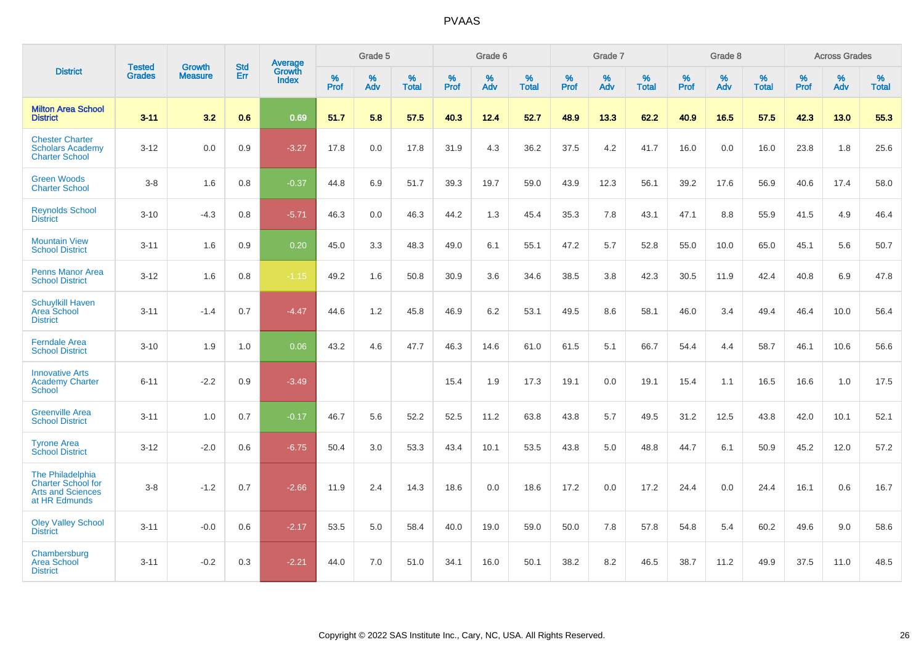|                                                                                            |                                |                                 | <b>Std</b> | Average                       |              | Grade 5  |                   |           | Grade 6  |                   |           | Grade 7  |                   |           | Grade 8  |                   |           | <b>Across Grades</b> |                   |
|--------------------------------------------------------------------------------------------|--------------------------------|---------------------------------|------------|-------------------------------|--------------|----------|-------------------|-----------|----------|-------------------|-----------|----------|-------------------|-----------|----------|-------------------|-----------|----------------------|-------------------|
| <b>District</b>                                                                            | <b>Tested</b><br><b>Grades</b> | <b>Growth</b><br><b>Measure</b> | Err        | <b>Growth</b><br><b>Index</b> | $\%$<br>Prof | %<br>Adv | %<br><b>Total</b> | %<br>Prof | %<br>Adv | %<br><b>Total</b> | %<br>Prof | %<br>Adv | %<br><b>Total</b> | %<br>Prof | %<br>Adv | %<br><b>Total</b> | %<br>Prof | %<br>Adv             | %<br><b>Total</b> |
| <b>Milton Area School</b><br><b>District</b>                                               | $3 - 11$                       | 3.2                             | 0.6        | 0.69                          | 51.7         | 5.8      | 57.5              | 40.3      | 12.4     | 52.7              | 48.9      | 13.3     | 62.2              | 40.9      | 16.5     | 57.5              | 42.3      | 13.0                 | 55.3              |
| <b>Chester Charter</b><br><b>Scholars Academy</b><br><b>Charter School</b>                 | $3 - 12$                       | 0.0                             | 0.9        | $-3.27$                       | 17.8         | 0.0      | 17.8              | 31.9      | 4.3      | 36.2              | 37.5      | 4.2      | 41.7              | 16.0      | 0.0      | 16.0              | 23.8      | 1.8                  | 25.6              |
| <b>Green Woods</b><br><b>Charter School</b>                                                | $3-8$                          | 1.6                             | 0.8        | $-0.37$                       | 44.8         | 6.9      | 51.7              | 39.3      | 19.7     | 59.0              | 43.9      | 12.3     | 56.1              | 39.2      | 17.6     | 56.9              | 40.6      | 17.4                 | 58.0              |
| <b>Reynolds School</b><br><b>District</b>                                                  | $3 - 10$                       | $-4.3$                          | 0.8        | $-5.71$                       | 46.3         | 0.0      | 46.3              | 44.2      | 1.3      | 45.4              | 35.3      | 7.8      | 43.1              | 47.1      | 8.8      | 55.9              | 41.5      | 4.9                  | 46.4              |
| <b>Mountain View</b><br><b>School District</b>                                             | $3 - 11$                       | 1.6                             | 0.9        | 0.20                          | 45.0         | 3.3      | 48.3              | 49.0      | 6.1      | 55.1              | 47.2      | 5.7      | 52.8              | 55.0      | 10.0     | 65.0              | 45.1      | 5.6                  | 50.7              |
| <b>Penns Manor Area</b><br><b>School District</b>                                          | $3 - 12$                       | 1.6                             | 0.8        | $-1.15$                       | 49.2         | 1.6      | 50.8              | 30.9      | 3.6      | 34.6              | 38.5      | 3.8      | 42.3              | 30.5      | 11.9     | 42.4              | 40.8      | 6.9                  | 47.8              |
| <b>Schuylkill Haven</b><br>Area School<br><b>District</b>                                  | $3 - 11$                       | $-1.4$                          | 0.7        | $-4.47$                       | 44.6         | 1.2      | 45.8              | 46.9      | 6.2      | 53.1              | 49.5      | 8.6      | 58.1              | 46.0      | 3.4      | 49.4              | 46.4      | 10.0                 | 56.4              |
| <b>Ferndale Area</b><br><b>School District</b>                                             | $3 - 10$                       | 1.9                             | 1.0        | 0.06                          | 43.2         | 4.6      | 47.7              | 46.3      | 14.6     | 61.0              | 61.5      | 5.1      | 66.7              | 54.4      | 4.4      | 58.7              | 46.1      | 10.6                 | 56.6              |
| <b>Innovative Arts</b><br><b>Academy Charter</b><br>School                                 | $6 - 11$                       | $-2.2$                          | 0.9        | $-3.49$                       |              |          |                   | 15.4      | 1.9      | 17.3              | 19.1      | 0.0      | 19.1              | 15.4      | 1.1      | 16.5              | 16.6      | 1.0                  | 17.5              |
| <b>Greenville Area</b><br><b>School District</b>                                           | $3 - 11$                       | 1.0                             | 0.7        | $-0.17$                       | 46.7         | 5.6      | 52.2              | 52.5      | 11.2     | 63.8              | 43.8      | 5.7      | 49.5              | 31.2      | 12.5     | 43.8              | 42.0      | 10.1                 | 52.1              |
| <b>Tyrone Area</b><br><b>School District</b>                                               | $3 - 12$                       | $-2.0$                          | 0.6        | $-6.75$                       | 50.4         | 3.0      | 53.3              | 43.4      | 10.1     | 53.5              | 43.8      | 5.0      | 48.8              | 44.7      | 6.1      | 50.9              | 45.2      | 12.0                 | 57.2              |
| The Philadelphia<br><b>Charter School for</b><br><b>Arts and Sciences</b><br>at HR Edmunds | $3-8$                          | $-1.2$                          | 0.7        | $-2.66$                       | 11.9         | 2.4      | 14.3              | 18.6      | 0.0      | 18.6              | 17.2      | 0.0      | 17.2              | 24.4      | 0.0      | 24.4              | 16.1      | 0.6                  | 16.7              |
| <b>Oley Valley School</b><br><b>District</b>                                               | $3 - 11$                       | $-0.0$                          | 0.6        | $-2.17$                       | 53.5         | 5.0      | 58.4              | 40.0      | 19.0     | 59.0              | 50.0      | 7.8      | 57.8              | 54.8      | 5.4      | 60.2              | 49.6      | 9.0                  | 58.6              |
| Chambersburg<br><b>Area School</b><br><b>District</b>                                      | $3 - 11$                       | $-0.2$                          | 0.3        | $-2.21$                       | 44.0         | 7.0      | 51.0              | 34.1      | 16.0     | 50.1              | 38.2      | 8.2      | 46.5              | 38.7      | 11.2     | 49.9              | 37.5      | 11.0                 | 48.5              |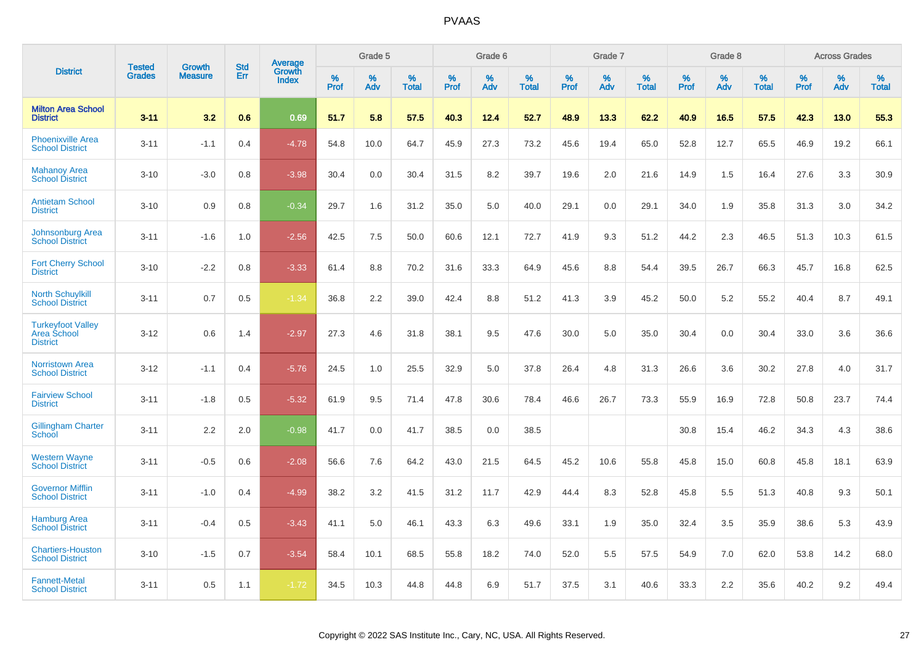|                                                            | <b>Tested</b> | <b>Growth</b>  | <b>Std</b> | Average<br>Growth |                     | Grade 5  |                   |              | Grade 6  |                   |              | Grade 7  |                   |              | Grade 8  |                   |              | <b>Across Grades</b> |                      |
|------------------------------------------------------------|---------------|----------------|------------|-------------------|---------------------|----------|-------------------|--------------|----------|-------------------|--------------|----------|-------------------|--------------|----------|-------------------|--------------|----------------------|----------------------|
| <b>District</b>                                            | <b>Grades</b> | <b>Measure</b> | Err        | <b>Index</b>      | $\%$<br><b>Prof</b> | %<br>Adv | %<br><b>Total</b> | $\%$<br>Prof | %<br>Adv | %<br><b>Total</b> | $\%$<br>Prof | %<br>Adv | %<br><b>Total</b> | $\%$<br>Prof | %<br>Adv | %<br><b>Total</b> | $\%$<br>Prof | %<br>Adv             | $\%$<br><b>Total</b> |
| <b>Milton Area School</b><br><b>District</b>               | $3 - 11$      | 3.2            | 0.6        | 0.69              | 51.7                | 5.8      | 57.5              | 40.3         | 12.4     | 52.7              | 48.9         | 13.3     | 62.2              | 40.9         | 16.5     | 57.5              | 42.3         | 13.0                 | 55.3                 |
| <b>Phoenixville Area</b><br><b>School District</b>         | $3 - 11$      | $-1.1$         | 0.4        | $-4.78$           | 54.8                | 10.0     | 64.7              | 45.9         | 27.3     | 73.2              | 45.6         | 19.4     | 65.0              | 52.8         | 12.7     | 65.5              | 46.9         | 19.2                 | 66.1                 |
| <b>Mahanoy Area</b><br><b>School District</b>              | $3 - 10$      | $-3.0$         | 0.8        | $-3.98$           | 30.4                | 0.0      | 30.4              | 31.5         | 8.2      | 39.7              | 19.6         | 2.0      | 21.6              | 14.9         | 1.5      | 16.4              | 27.6         | 3.3                  | 30.9                 |
| <b>Antietam School</b><br><b>District</b>                  | $3 - 10$      | 0.9            | 0.8        | $-0.34$           | 29.7                | 1.6      | 31.2              | 35.0         | 5.0      | 40.0              | 29.1         | 0.0      | 29.1              | 34.0         | 1.9      | 35.8              | 31.3         | 3.0                  | 34.2                 |
| Johnsonburg Area<br><b>School District</b>                 | $3 - 11$      | $-1.6$         | 1.0        | $-2.56$           | 42.5                | 7.5      | 50.0              | 60.6         | 12.1     | 72.7              | 41.9         | 9.3      | 51.2              | 44.2         | 2.3      | 46.5              | 51.3         | 10.3                 | 61.5                 |
| <b>Fort Cherry School</b><br><b>District</b>               | $3 - 10$      | $-2.2$         | 0.8        | $-3.33$           | 61.4                | 8.8      | 70.2              | 31.6         | 33.3     | 64.9              | 45.6         | 8.8      | 54.4              | 39.5         | 26.7     | 66.3              | 45.7         | 16.8                 | 62.5                 |
| <b>North Schuylkill</b><br><b>School District</b>          | $3 - 11$      | 0.7            | 0.5        | $-1.34$           | 36.8                | 2.2      | 39.0              | 42.4         | 8.8      | 51.2              | 41.3         | 3.9      | 45.2              | 50.0         | 5.2      | 55.2              | 40.4         | 8.7                  | 49.1                 |
| <b>Turkeyfoot Valley</b><br>Area School<br><b>District</b> | $3 - 12$      | 0.6            | 1.4        | $-2.97$           | 27.3                | 4.6      | 31.8              | 38.1         | 9.5      | 47.6              | 30.0         | 5.0      | 35.0              | 30.4         | 0.0      | 30.4              | 33.0         | 3.6                  | 36.6                 |
| <b>Norristown Area</b><br><b>School District</b>           | $3 - 12$      | $-1.1$         | 0.4        | $-5.76$           | 24.5                | 1.0      | 25.5              | 32.9         | 5.0      | 37.8              | 26.4         | 4.8      | 31.3              | 26.6         | 3.6      | 30.2              | 27.8         | 4.0                  | 31.7                 |
| <b>Fairview School</b><br><b>District</b>                  | $3 - 11$      | $-1.8$         | 0.5        | $-5.32$           | 61.9                | 9.5      | 71.4              | 47.8         | 30.6     | 78.4              | 46.6         | 26.7     | 73.3              | 55.9         | 16.9     | 72.8              | 50.8         | 23.7                 | 74.4                 |
| <b>Gillingham Charter</b><br>School                        | $3 - 11$      | 2.2            | 2.0        | $-0.98$           | 41.7                | 0.0      | 41.7              | 38.5         | 0.0      | 38.5              |              |          |                   | 30.8         | 15.4     | 46.2              | 34.3         | 4.3                  | 38.6                 |
| <b>Western Wayne</b><br><b>School District</b>             | $3 - 11$      | $-0.5$         | 0.6        | $-2.08$           | 56.6                | 7.6      | 64.2              | 43.0         | 21.5     | 64.5              | 45.2         | 10.6     | 55.8              | 45.8         | 15.0     | 60.8              | 45.8         | 18.1                 | 63.9                 |
| <b>Governor Mifflin</b><br><b>School District</b>          | $3 - 11$      | $-1.0$         | 0.4        | $-4.99$           | 38.2                | 3.2      | 41.5              | 31.2         | 11.7     | 42.9              | 44.4         | 8.3      | 52.8              | 45.8         | 5.5      | 51.3              | 40.8         | 9.3                  | 50.1                 |
| <b>Hamburg Area</b><br><b>School District</b>              | $3 - 11$      | $-0.4$         | 0.5        | $-3.43$           | 41.1                | 5.0      | 46.1              | 43.3         | 6.3      | 49.6              | 33.1         | 1.9      | 35.0              | 32.4         | 3.5      | 35.9              | 38.6         | 5.3                  | 43.9                 |
| <b>Chartiers-Houston</b><br><b>School District</b>         | $3 - 10$      | $-1.5$         | 0.7        | $-3.54$           | 58.4                | 10.1     | 68.5              | 55.8         | 18.2     | 74.0              | 52.0         | 5.5      | 57.5              | 54.9         | 7.0      | 62.0              | 53.8         | 14.2                 | 68.0                 |
| <b>Fannett-Metal</b><br><b>School District</b>             | $3 - 11$      | 0.5            | 1.1        | $-1.72$           | 34.5                | 10.3     | 44.8              | 44.8         | 6.9      | 51.7              | 37.5         | 3.1      | 40.6              | 33.3         | 2.2      | 35.6              | 40.2         | 9.2                  | 49.4                 |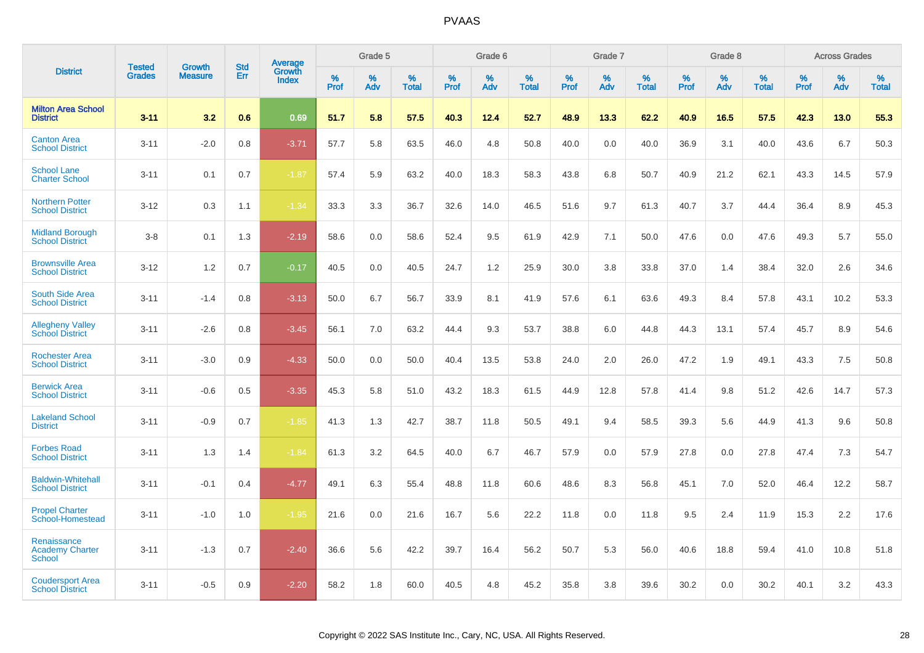|                                                        | <b>Tested</b> | <b>Growth</b>  | <b>Std</b> | Average                |                     | Grade 5  |                   |                  | Grade 6  |                   |              | Grade 7  |                   |              | Grade 8  |                      |                     | <b>Across Grades</b> |                      |
|--------------------------------------------------------|---------------|----------------|------------|------------------------|---------------------|----------|-------------------|------------------|----------|-------------------|--------------|----------|-------------------|--------------|----------|----------------------|---------------------|----------------------|----------------------|
| <b>District</b>                                        | <b>Grades</b> | <b>Measure</b> | Err        | Growth<br><b>Index</b> | $\%$<br><b>Prof</b> | %<br>Adv | %<br><b>Total</b> | %<br><b>Prof</b> | %<br>Adv | %<br><b>Total</b> | $\%$<br>Prof | %<br>Adv | %<br><b>Total</b> | $\%$<br>Prof | %<br>Adv | $\%$<br><b>Total</b> | $\%$<br><b>Prof</b> | %<br>Adv             | $\%$<br><b>Total</b> |
| <b>Milton Area School</b><br><b>District</b>           | $3 - 11$      | 3.2            | 0.6        | 0.69                   | 51.7                | 5.8      | 57.5              | 40.3             | 12.4     | 52.7              | 48.9         | 13.3     | 62.2              | 40.9         | 16.5     | 57.5                 | 42.3                | 13.0                 | 55.3                 |
| <b>Canton Area</b><br><b>School District</b>           | $3 - 11$      | $-2.0$         | 0.8        | $-3.71$                | 57.7                | 5.8      | 63.5              | 46.0             | 4.8      | 50.8              | 40.0         | 0.0      | 40.0              | 36.9         | 3.1      | 40.0                 | 43.6                | 6.7                  | 50.3                 |
| <b>School Lane</b><br><b>Charter School</b>            | $3 - 11$      | 0.1            | 0.7        | $-1.87$                | 57.4                | 5.9      | 63.2              | 40.0             | 18.3     | 58.3              | 43.8         | 6.8      | 50.7              | 40.9         | 21.2     | 62.1                 | 43.3                | 14.5                 | 57.9                 |
| <b>Northern Potter</b><br><b>School District</b>       | $3 - 12$      | 0.3            | 1.1        | $-1.34$                | 33.3                | 3.3      | 36.7              | 32.6             | 14.0     | 46.5              | 51.6         | 9.7      | 61.3              | 40.7         | 3.7      | 44.4                 | 36.4                | 8.9                  | 45.3                 |
| <b>Midland Borough</b><br><b>School District</b>       | $3-8$         | 0.1            | 1.3        | $-2.19$                | 58.6                | 0.0      | 58.6              | 52.4             | 9.5      | 61.9              | 42.9         | 7.1      | 50.0              | 47.6         | 0.0      | 47.6                 | 49.3                | 5.7                  | 55.0                 |
| <b>Brownsville Area</b><br><b>School District</b>      | $3 - 12$      | 1.2            | 0.7        | $-0.17$                | 40.5                | 0.0      | 40.5              | 24.7             | 1.2      | 25.9              | 30.0         | 3.8      | 33.8              | 37.0         | 1.4      | 38.4                 | 32.0                | 2.6                  | 34.6                 |
| South Side Area<br><b>School District</b>              | $3 - 11$      | $-1.4$         | 0.8        | $-3.13$                | 50.0                | 6.7      | 56.7              | 33.9             | 8.1      | 41.9              | 57.6         | 6.1      | 63.6              | 49.3         | 8.4      | 57.8                 | 43.1                | 10.2                 | 53.3                 |
| <b>Allegheny Valley</b><br><b>School District</b>      | $3 - 11$      | $-2.6$         | 0.8        | $-3.45$                | 56.1                | 7.0      | 63.2              | 44.4             | 9.3      | 53.7              | 38.8         | 6.0      | 44.8              | 44.3         | 13.1     | 57.4                 | 45.7                | 8.9                  | 54.6                 |
| <b>Rochester Area</b><br><b>School District</b>        | $3 - 11$      | $-3.0$         | 0.9        | $-4.33$                | 50.0                | 0.0      | 50.0              | 40.4             | 13.5     | 53.8              | 24.0         | 2.0      | 26.0              | 47.2         | 1.9      | 49.1                 | 43.3                | 7.5                  | 50.8                 |
| <b>Berwick Area</b><br><b>School District</b>          | $3 - 11$      | $-0.6$         | 0.5        | $-3.35$                | 45.3                | 5.8      | 51.0              | 43.2             | 18.3     | 61.5              | 44.9         | 12.8     | 57.8              | 41.4         | 9.8      | 51.2                 | 42.6                | 14.7                 | 57.3                 |
| <b>Lakeland School</b><br><b>District</b>              | $3 - 11$      | $-0.9$         | 0.7        | $-1.85$                | 41.3                | 1.3      | 42.7              | 38.7             | 11.8     | 50.5              | 49.1         | 9.4      | 58.5              | 39.3         | 5.6      | 44.9                 | 41.3                | 9.6                  | 50.8                 |
| <b>Forbes Road</b><br><b>School District</b>           | $3 - 11$      | 1.3            | 1.4        | $-1.84$                | 61.3                | 3.2      | 64.5              | 40.0             | 6.7      | 46.7              | 57.9         | 0.0      | 57.9              | 27.8         | 0.0      | 27.8                 | 47.4                | 7.3                  | 54.7                 |
| <b>Baldwin-Whitehall</b><br><b>School District</b>     | $3 - 11$      | $-0.1$         | 0.4        | $-4.77$                | 49.1                | 6.3      | 55.4              | 48.8             | 11.8     | 60.6              | 48.6         | 8.3      | 56.8              | 45.1         | 7.0      | 52.0                 | 46.4                | 12.2                 | 58.7                 |
| <b>Propel Charter</b><br>School-Homestead              | $3 - 11$      | $-1.0$         | 1.0        | $-1.95$                | 21.6                | 0.0      | 21.6              | 16.7             | 5.6      | 22.2              | 11.8         | 0.0      | 11.8              | 9.5          | 2.4      | 11.9                 | 15.3                | 2.2                  | 17.6                 |
| Renaissance<br><b>Academy Charter</b><br><b>School</b> | $3 - 11$      | $-1.3$         | 0.7        | $-2.40$                | 36.6                | 5.6      | 42.2              | 39.7             | 16.4     | 56.2              | 50.7         | 5.3      | 56.0              | 40.6         | 18.8     | 59.4                 | 41.0                | 10.8                 | 51.8                 |
| <b>Coudersport Area</b><br><b>School District</b>      | $3 - 11$      | $-0.5$         | 0.9        | $-2.20$                | 58.2                | 1.8      | 60.0              | 40.5             | 4.8      | 45.2              | 35.8         | 3.8      | 39.6              | 30.2         | 0.0      | 30.2                 | 40.1                | 3.2                  | 43.3                 |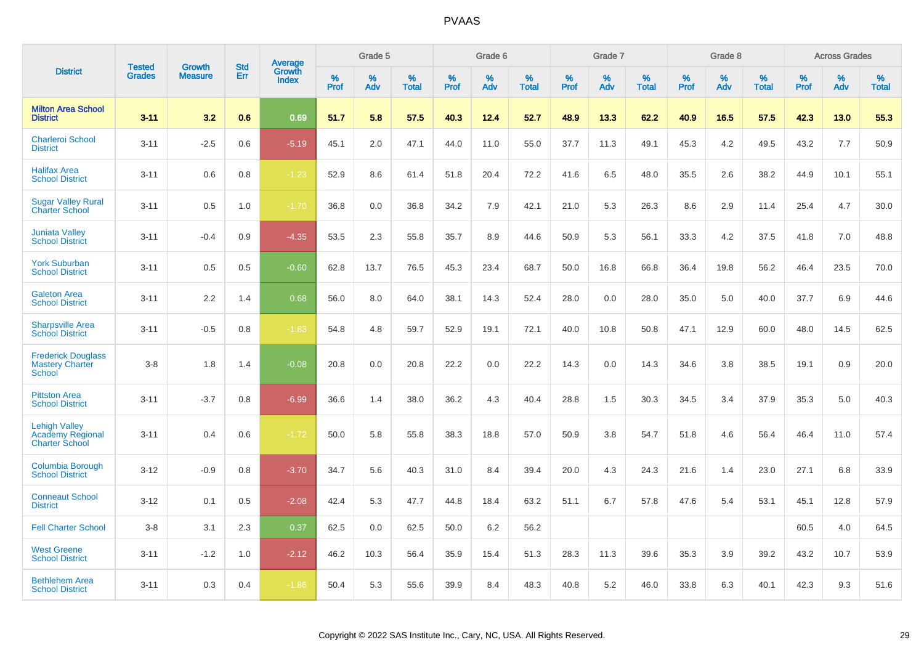|                                                                          |                                | <b>Growth</b>  | <b>Std</b> | Average                |              | Grade 5     |                      |                     | Grade 6     |                      |              | Grade 7     |                      |              | Grade 8     |                      |                     | <b>Across Grades</b> |                      |
|--------------------------------------------------------------------------|--------------------------------|----------------|------------|------------------------|--------------|-------------|----------------------|---------------------|-------------|----------------------|--------------|-------------|----------------------|--------------|-------------|----------------------|---------------------|----------------------|----------------------|
| <b>District</b>                                                          | <b>Tested</b><br><b>Grades</b> | <b>Measure</b> | Err        | Growth<br><b>Index</b> | $\%$<br>Prof | $\%$<br>Adv | $\%$<br><b>Total</b> | $\%$<br><b>Prof</b> | $\%$<br>Adv | $\%$<br><b>Total</b> | $\%$<br>Prof | $\%$<br>Adv | $\%$<br><b>Total</b> | $\%$<br>Prof | $\%$<br>Adv | $\%$<br><b>Total</b> | $\%$<br><b>Prof</b> | $\%$<br>Adv          | $\%$<br><b>Total</b> |
| <b>Milton Area School</b><br><b>District</b>                             | $3 - 11$                       | 3.2            | 0.6        | 0.69                   | 51.7         | 5.8         | 57.5                 | 40.3                | 12.4        | 52.7                 | 48.9         | 13.3        | 62.2                 | 40.9         | 16.5        | 57.5                 | 42.3                | 13.0                 | 55.3                 |
| <b>Charleroi School</b><br><b>District</b>                               | $3 - 11$                       | $-2.5$         | 0.6        | $-5.19$                | 45.1         | 2.0         | 47.1                 | 44.0                | 11.0        | 55.0                 | 37.7         | 11.3        | 49.1                 | 45.3         | 4.2         | 49.5                 | 43.2                | 7.7                  | 50.9                 |
| <b>Halifax Area</b><br><b>School District</b>                            | $3 - 11$                       | 0.6            | 0.8        | $-1.23$                | 52.9         | 8.6         | 61.4                 | 51.8                | 20.4        | 72.2                 | 41.6         | 6.5         | 48.0                 | 35.5         | 2.6         | 38.2                 | 44.9                | 10.1                 | 55.1                 |
| <b>Sugar Valley Rural</b><br><b>Charter School</b>                       | $3 - 11$                       | 0.5            | 1.0        | $-1.70$                | 36.8         | 0.0         | 36.8                 | 34.2                | 7.9         | 42.1                 | 21.0         | 5.3         | 26.3                 | 8.6          | 2.9         | 11.4                 | 25.4                | 4.7                  | 30.0                 |
| <b>Juniata Valley</b><br><b>School District</b>                          | $3 - 11$                       | $-0.4$         | 0.9        | $-4.35$                | 53.5         | 2.3         | 55.8                 | 35.7                | 8.9         | 44.6                 | 50.9         | 5.3         | 56.1                 | 33.3         | 4.2         | 37.5                 | 41.8                | 7.0                  | 48.8                 |
| <b>York Suburban</b><br><b>School District</b>                           | $3 - 11$                       | 0.5            | 0.5        | $-0.60$                | 62.8         | 13.7        | 76.5                 | 45.3                | 23.4        | 68.7                 | 50.0         | 16.8        | 66.8                 | 36.4         | 19.8        | 56.2                 | 46.4                | 23.5                 | 70.0                 |
| <b>Galeton Area</b><br><b>School District</b>                            | $3 - 11$                       | 2.2            | 1.4        | 0.68                   | 56.0         | 8.0         | 64.0                 | 38.1                | 14.3        | 52.4                 | 28.0         | 0.0         | 28.0                 | 35.0         | 5.0         | 40.0                 | 37.7                | 6.9                  | 44.6                 |
| <b>Sharpsville Area</b><br><b>School District</b>                        | $3 - 11$                       | $-0.5$         | 0.8        | $-1.83$                | 54.8         | 4.8         | 59.7                 | 52.9                | 19.1        | 72.1                 | 40.0         | 10.8        | 50.8                 | 47.1         | 12.9        | 60.0                 | 48.0                | 14.5                 | 62.5                 |
| <b>Frederick Douglass</b><br><b>Mastery Charter</b><br>School            | $3-8$                          | 1.8            | 1.4        | $-0.08$                | 20.8         | 0.0         | 20.8                 | 22.2                | 0.0         | 22.2                 | 14.3         | 0.0         | 14.3                 | 34.6         | 3.8         | 38.5                 | 19.1                | 0.9                  | 20.0                 |
| <b>Pittston Area</b><br><b>School District</b>                           | $3 - 11$                       | $-3.7$         | 0.8        | $-6.99$                | 36.6         | 1.4         | 38.0                 | 36.2                | 4.3         | 40.4                 | 28.8         | 1.5         | 30.3                 | 34.5         | 3.4         | 37.9                 | 35.3                | 5.0                  | 40.3                 |
| <b>Lehigh Valley</b><br><b>Academy Regional</b><br><b>Charter School</b> | $3 - 11$                       | 0.4            | 0.6        | $-1.72$                | 50.0         | 5.8         | 55.8                 | 38.3                | 18.8        | 57.0                 | 50.9         | 3.8         | 54.7                 | 51.8         | 4.6         | 56.4                 | 46.4                | 11.0                 | 57.4                 |
| <b>Columbia Borough</b><br><b>School District</b>                        | $3 - 12$                       | $-0.9$         | 0.8        | $-3.70$                | 34.7         | 5.6         | 40.3                 | 31.0                | 8.4         | 39.4                 | 20.0         | 4.3         | 24.3                 | 21.6         | 1.4         | 23.0                 | 27.1                | 6.8                  | 33.9                 |
| <b>Conneaut School</b><br><b>District</b>                                | $3 - 12$                       | 0.1            | 0.5        | $-2.08$                | 42.4         | 5.3         | 47.7                 | 44.8                | 18.4        | 63.2                 | 51.1         | 6.7         | 57.8                 | 47.6         | 5.4         | 53.1                 | 45.1                | 12.8                 | 57.9                 |
| <b>Fell Charter School</b>                                               | $3 - 8$                        | 3.1            | 2.3        | 0.37                   | 62.5         | 0.0         | 62.5                 | 50.0                | 6.2         | 56.2                 |              |             |                      |              |             |                      | 60.5                | 4.0                  | 64.5                 |
| <b>West Greene</b><br><b>School District</b>                             | $3 - 11$                       | $-1.2$         | 1.0        | $-2.12$                | 46.2         | 10.3        | 56.4                 | 35.9                | 15.4        | 51.3                 | 28.3         | 11.3        | 39.6                 | 35.3         | 3.9         | 39.2                 | 43.2                | 10.7                 | 53.9                 |
| <b>Bethlehem Area</b><br><b>School District</b>                          | $3 - 11$                       | 0.3            | 0.4        | $-1.86$                | 50.4         | 5.3         | 55.6                 | 39.9                | 8.4         | 48.3                 | 40.8         | 5.2         | 46.0                 | 33.8         | 6.3         | 40.1                 | 42.3                | 9.3                  | 51.6                 |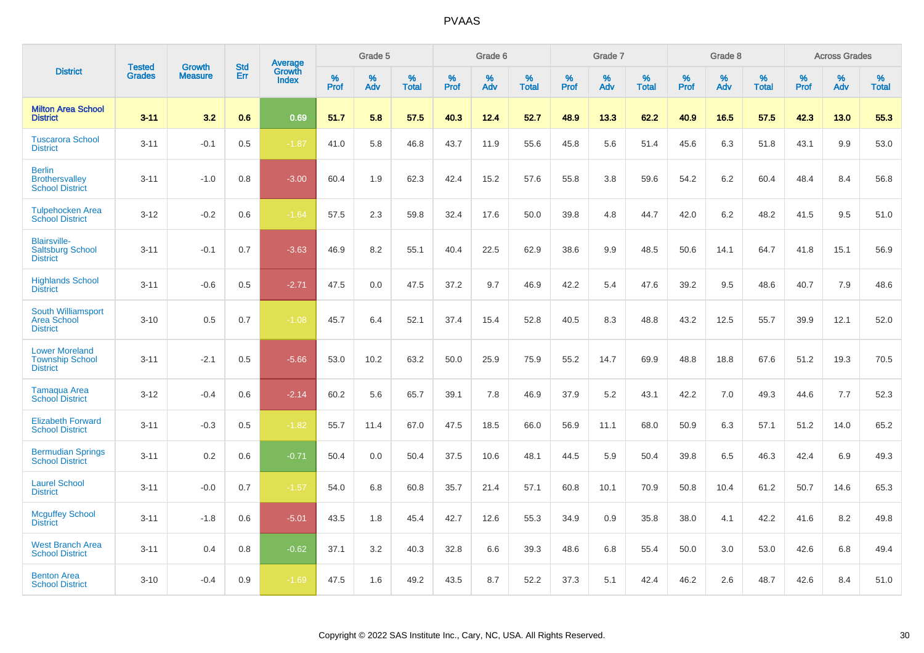|                                                                    |                                | <b>Growth</b>  | <b>Std</b> |                                   |              | Grade 5  |                   |           | Grade 6  |                   |              | Grade 7  |                   |              | Grade 8  |                   |              | <b>Across Grades</b> |                   |
|--------------------------------------------------------------------|--------------------------------|----------------|------------|-----------------------------------|--------------|----------|-------------------|-----------|----------|-------------------|--------------|----------|-------------------|--------------|----------|-------------------|--------------|----------------------|-------------------|
| <b>District</b>                                                    | <b>Tested</b><br><b>Grades</b> | <b>Measure</b> | <b>Err</b> | <b>Average</b><br>Growth<br>Index | $\%$<br>Prof | %<br>Adv | %<br><b>Total</b> | %<br>Prof | %<br>Adv | %<br><b>Total</b> | $\%$<br>Prof | %<br>Adv | %<br><b>Total</b> | $\%$<br>Prof | %<br>Adv | %<br><b>Total</b> | $\%$<br>Prof | %<br>Adv             | %<br><b>Total</b> |
| <b>Milton Area School</b><br><b>District</b>                       | $3 - 11$                       | 3.2            | 0.6        | 0.69                              | 51.7         | 5.8      | 57.5              | 40.3      | 12.4     | 52.7              | 48.9         | 13.3     | 62.2              | 40.9         | 16.5     | 57.5              | 42.3         | 13.0                 | 55.3              |
| <b>Tuscarora School</b><br><b>District</b>                         | $3 - 11$                       | $-0.1$         | 0.5        | $-1.87$                           | 41.0         | 5.8      | 46.8              | 43.7      | 11.9     | 55.6              | 45.8         | 5.6      | 51.4              | 45.6         | 6.3      | 51.8              | 43.1         | 9.9                  | 53.0              |
| <b>Berlin</b><br><b>Brothersvalley</b><br><b>School District</b>   | $3 - 11$                       | $-1.0$         | 0.8        | $-3.00$                           | 60.4         | 1.9      | 62.3              | 42.4      | 15.2     | 57.6              | 55.8         | 3.8      | 59.6              | 54.2         | 6.2      | 60.4              | 48.4         | 8.4                  | 56.8              |
| <b>Tulpehocken Area</b><br><b>School District</b>                  | $3 - 12$                       | $-0.2$         | $0.6\,$    | $-1.64$                           | 57.5         | 2.3      | 59.8              | 32.4      | 17.6     | 50.0              | 39.8         | 4.8      | 44.7              | 42.0         | 6.2      | 48.2              | 41.5         | 9.5                  | 51.0              |
| <b>Blairsville-</b><br><b>Saltsburg School</b><br><b>District</b>  | $3 - 11$                       | $-0.1$         | 0.7        | $-3.63$                           | 46.9         | 8.2      | 55.1              | 40.4      | 22.5     | 62.9              | 38.6         | 9.9      | 48.5              | 50.6         | 14.1     | 64.7              | 41.8         | 15.1                 | 56.9              |
| <b>Highlands School</b><br><b>District</b>                         | $3 - 11$                       | $-0.6$         | 0.5        | $-2.71$                           | 47.5         | 0.0      | 47.5              | 37.2      | 9.7      | 46.9              | 42.2         | 5.4      | 47.6              | 39.2         | 9.5      | 48.6              | 40.7         | 7.9                  | 48.6              |
| South Williamsport<br><b>Area School</b><br><b>District</b>        | $3 - 10$                       | 0.5            | 0.7        | $-1.08$                           | 45.7         | 6.4      | 52.1              | 37.4      | 15.4     | 52.8              | 40.5         | 8.3      | 48.8              | 43.2         | 12.5     | 55.7              | 39.9         | 12.1                 | 52.0              |
| <b>Lower Moreland</b><br><b>Township School</b><br><b>District</b> | $3 - 11$                       | $-2.1$         | 0.5        | $-5.66$                           | 53.0         | 10.2     | 63.2              | 50.0      | 25.9     | 75.9              | 55.2         | 14.7     | 69.9              | 48.8         | 18.8     | 67.6              | 51.2         | 19.3                 | 70.5              |
| <b>Tamaqua Area</b><br><b>School District</b>                      | $3 - 12$                       | $-0.4$         | 0.6        | $-2.14$                           | 60.2         | 5.6      | 65.7              | 39.1      | 7.8      | 46.9              | 37.9         | 5.2      | 43.1              | 42.2         | 7.0      | 49.3              | 44.6         | 7.7                  | 52.3              |
| <b>Elizabeth Forward</b><br><b>School District</b>                 | $3 - 11$                       | $-0.3$         | 0.5        | $-1.82$                           | 55.7         | 11.4     | 67.0              | 47.5      | 18.5     | 66.0              | 56.9         | 11.1     | 68.0              | 50.9         | 6.3      | 57.1              | 51.2         | 14.0                 | 65.2              |
| <b>Bermudian Springs</b><br><b>School District</b>                 | $3 - 11$                       | 0.2            | 0.6        | $-0.71$                           | 50.4         | 0.0      | 50.4              | 37.5      | 10.6     | 48.1              | 44.5         | 5.9      | 50.4              | 39.8         | 6.5      | 46.3              | 42.4         | 6.9                  | 49.3              |
| <b>Laurel School</b><br><b>District</b>                            | $3 - 11$                       | $-0.0$         | 0.7        | $-1.57$                           | 54.0         | 6.8      | 60.8              | 35.7      | 21.4     | 57.1              | 60.8         | 10.1     | 70.9              | 50.8         | 10.4     | 61.2              | 50.7         | 14.6                 | 65.3              |
| <b>Mcguffey School</b><br><b>District</b>                          | $3 - 11$                       | $-1.8$         | 0.6        | $-5.01$                           | 43.5         | 1.8      | 45.4              | 42.7      | 12.6     | 55.3              | 34.9         | 0.9      | 35.8              | 38.0         | 4.1      | 42.2              | 41.6         | 8.2                  | 49.8              |
| <b>West Branch Area</b><br><b>School District</b>                  | $3 - 11$                       | 0.4            | 0.8        | $-0.62$                           | 37.1         | 3.2      | 40.3              | 32.8      | 6.6      | 39.3              | 48.6         | 6.8      | 55.4              | 50.0         | 3.0      | 53.0              | 42.6         | 6.8                  | 49.4              |
| <b>Benton Area</b><br><b>School District</b>                       | $3 - 10$                       | $-0.4$         | 0.9        | $-1.69$                           | 47.5         | 1.6      | 49.2              | 43.5      | 8.7      | 52.2              | 37.3         | 5.1      | 42.4              | 46.2         | 2.6      | 48.7              | 42.6         | 8.4                  | 51.0              |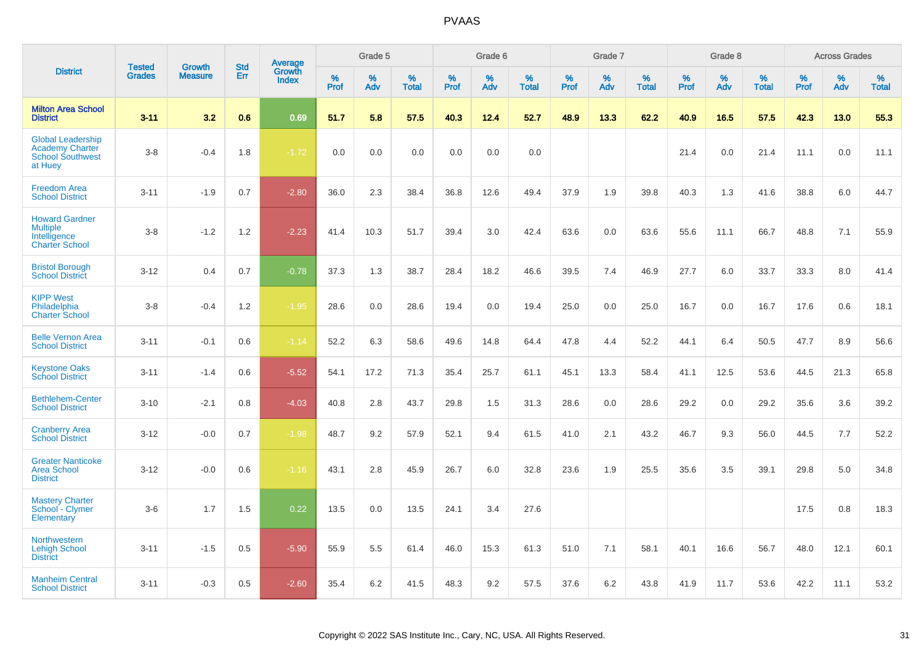|                                                                                          |                                | <b>Growth</b>  | <b>Std</b> | Average                |              | Grade 5     |                      |              | Grade 6  |                      |              | Grade 7  |                      |              | Grade 8  |                      |           | <b>Across Grades</b> |                      |
|------------------------------------------------------------------------------------------|--------------------------------|----------------|------------|------------------------|--------------|-------------|----------------------|--------------|----------|----------------------|--------------|----------|----------------------|--------------|----------|----------------------|-----------|----------------------|----------------------|
| <b>District</b>                                                                          | <b>Tested</b><br><b>Grades</b> | <b>Measure</b> | Err        | Growth<br><b>Index</b> | $\%$<br>Prof | $\%$<br>Adv | $\%$<br><b>Total</b> | $\%$<br>Prof | %<br>Adv | $\%$<br><b>Total</b> | $\%$<br>Prof | %<br>Adv | $\%$<br><b>Total</b> | $\%$<br>Prof | %<br>Adv | $\%$<br><b>Total</b> | %<br>Prof | %<br>Adv             | $\%$<br><b>Total</b> |
| <b>Milton Area School</b><br><b>District</b>                                             | $3 - 11$                       | 3.2            | 0.6        | 0.69                   | 51.7         | 5.8         | 57.5                 | 40.3         | 12.4     | 52.7                 | 48.9         | 13.3     | 62.2                 | 40.9         | 16.5     | 57.5                 | 42.3      | 13.0                 | 55.3                 |
| <b>Global Leadership</b><br><b>Academy Charter</b><br><b>School Southwest</b><br>at Huey | $3-8$                          | $-0.4$         | 1.8        | $-1.72$                | 0.0          | 0.0         | 0.0                  | 0.0          | 0.0      | 0.0                  |              |          |                      | 21.4         | 0.0      | 21.4                 | 11.1      | 0.0                  | 11.1                 |
| <b>Freedom Area</b><br><b>School District</b>                                            | $3 - 11$                       | $-1.9$         | 0.7        | $-2.80$                | 36.0         | 2.3         | 38.4                 | 36.8         | 12.6     | 49.4                 | 37.9         | 1.9      | 39.8                 | 40.3         | 1.3      | 41.6                 | 38.8      | 6.0                  | 44.7                 |
| <b>Howard Gardner</b><br><b>Multiple</b><br>Intelligence<br><b>Charter School</b>        | $3-8$                          | $-1.2$         | 1.2        | $-2.23$                | 41.4         | 10.3        | 51.7                 | 39.4         | 3.0      | 42.4                 | 63.6         | 0.0      | 63.6                 | 55.6         | 11.1     | 66.7                 | 48.8      | 7.1                  | 55.9                 |
| <b>Bristol Borough</b><br><b>School District</b>                                         | $3 - 12$                       | 0.4            | 0.7        | $-0.78$                | 37.3         | 1.3         | 38.7                 | 28.4         | 18.2     | 46.6                 | 39.5         | 7.4      | 46.9                 | 27.7         | 6.0      | 33.7                 | 33.3      | 8.0                  | 41.4                 |
| <b>KIPP West</b><br>Philadelphia<br><b>Charter School</b>                                | $3-8$                          | $-0.4$         | 1.2        | $-1.95$                | 28.6         | 0.0         | 28.6                 | 19.4         | 0.0      | 19.4                 | 25.0         | 0.0      | 25.0                 | 16.7         | 0.0      | 16.7                 | 17.6      | 0.6                  | 18.1                 |
| <b>Belle Vernon Area</b><br><b>School District</b>                                       | $3 - 11$                       | $-0.1$         | 0.6        | $-1.14$                | 52.2         | 6.3         | 58.6                 | 49.6         | 14.8     | 64.4                 | 47.8         | 4.4      | 52.2                 | 44.1         | 6.4      | 50.5                 | 47.7      | 8.9                  | 56.6                 |
| <b>Keystone Oaks</b><br><b>School District</b>                                           | $3 - 11$                       | $-1.4$         | 0.6        | $-5.52$                | 54.1         | 17.2        | 71.3                 | 35.4         | 25.7     | 61.1                 | 45.1         | 13.3     | 58.4                 | 41.1         | 12.5     | 53.6                 | 44.5      | 21.3                 | 65.8                 |
| <b>Bethlehem-Center</b><br><b>School District</b>                                        | $3 - 10$                       | $-2.1$         | 0.8        | $-4.03$                | 40.8         | 2.8         | 43.7                 | 29.8         | 1.5      | 31.3                 | 28.6         | 0.0      | 28.6                 | 29.2         | 0.0      | 29.2                 | 35.6      | 3.6                  | 39.2                 |
| <b>Cranberry Area</b><br><b>School District</b>                                          | $3 - 12$                       | $-0.0$         | 0.7        | $-1.98$                | 48.7         | 9.2         | 57.9                 | 52.1         | 9.4      | 61.5                 | 41.0         | 2.1      | 43.2                 | 46.7         | 9.3      | 56.0                 | 44.5      | 7.7                  | 52.2                 |
| <b>Greater Nanticoke</b><br><b>Area School</b><br><b>District</b>                        | $3 - 12$                       | $-0.0$         | 0.6        | $-1.16$                | 43.1         | 2.8         | 45.9                 | 26.7         | 6.0      | 32.8                 | 23.6         | 1.9      | 25.5                 | 35.6         | 3.5      | 39.1                 | 29.8      | 5.0                  | 34.8                 |
| <b>Mastery Charter</b><br>School - Clymer<br>Elementary                                  | $3-6$                          | 1.7            | 1.5        | 0.22                   | 13.5         | 0.0         | 13.5                 | 24.1         | 3.4      | 27.6                 |              |          |                      |              |          |                      | 17.5      | 0.8                  | 18.3                 |
| Northwestern<br><b>Lehigh School</b><br><b>District</b>                                  | $3 - 11$                       | $-1.5$         | 0.5        | $-5.90$                | 55.9         | 5.5         | 61.4                 | 46.0         | 15.3     | 61.3                 | 51.0         | 7.1      | 58.1                 | 40.1         | 16.6     | 56.7                 | 48.0      | 12.1                 | 60.1                 |
| <b>Manheim Central</b><br><b>School District</b>                                         | $3 - 11$                       | $-0.3$         | 0.5        | $-2.60$                | 35.4         | 6.2         | 41.5                 | 48.3         | 9.2      | 57.5                 | 37.6         | 6.2      | 43.8                 | 41.9         | 11.7     | 53.6                 | 42.2      | 11.1                 | 53.2                 |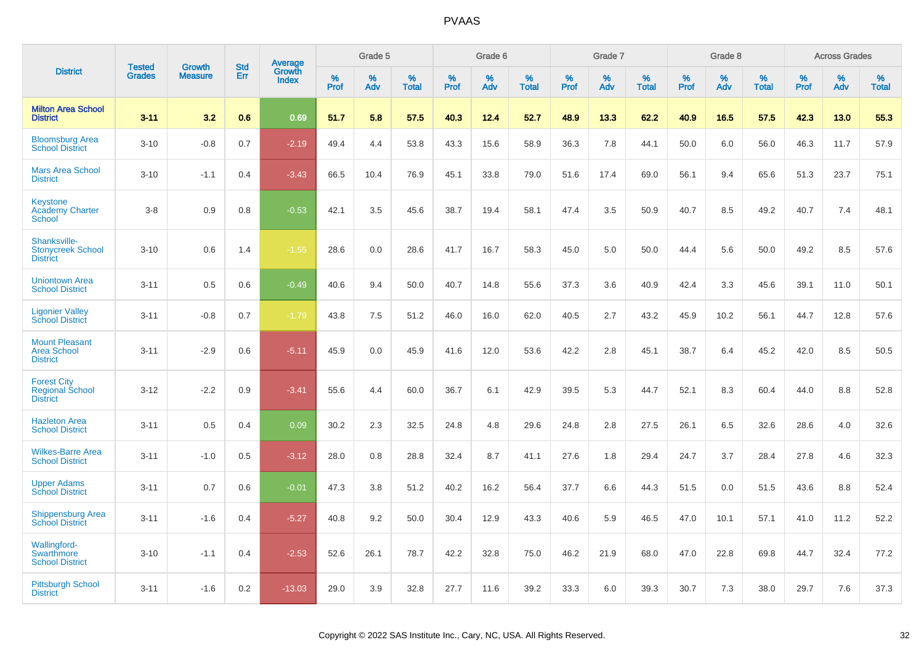|                                                                    | <b>Tested</b> | <b>Growth</b>  | <b>Std</b> |                                          |              | Grade 5  |                   |           | Grade 6  |                   |           | Grade 7  |                   |           | Grade 8  |                   |           | <b>Across Grades</b> |                   |
|--------------------------------------------------------------------|---------------|----------------|------------|------------------------------------------|--------------|----------|-------------------|-----------|----------|-------------------|-----------|----------|-------------------|-----------|----------|-------------------|-----------|----------------------|-------------------|
| <b>District</b>                                                    | <b>Grades</b> | <b>Measure</b> | Err        | <b>Average</b><br>Growth<br><b>Index</b> | $\%$<br>Prof | %<br>Adv | %<br><b>Total</b> | %<br>Prof | %<br>Adv | %<br><b>Total</b> | %<br>Prof | %<br>Adv | %<br><b>Total</b> | %<br>Prof | %<br>Adv | %<br><b>Total</b> | %<br>Prof | %<br>Adv             | %<br><b>Total</b> |
| <b>Milton Area School</b><br><b>District</b>                       | $3 - 11$      | 3.2            | 0.6        | 0.69                                     | 51.7         | 5.8      | 57.5              | 40.3      | 12.4     | 52.7              | 48.9      | 13.3     | 62.2              | 40.9      | 16.5     | 57.5              | 42.3      | 13.0                 | 55.3              |
| <b>Bloomsburg Area</b><br><b>School District</b>                   | $3 - 10$      | $-0.8$         | 0.7        | $-2.19$                                  | 49.4         | 4.4      | 53.8              | 43.3      | 15.6     | 58.9              | 36.3      | 7.8      | 44.1              | 50.0      | 6.0      | 56.0              | 46.3      | 11.7                 | 57.9              |
| <b>Mars Area School</b><br><b>District</b>                         | $3 - 10$      | $-1.1$         | 0.4        | $-3.43$                                  | 66.5         | 10.4     | 76.9              | 45.1      | 33.8     | 79.0              | 51.6      | 17.4     | 69.0              | 56.1      | 9.4      | 65.6              | 51.3      | 23.7                 | 75.1              |
| Keystone<br><b>Academy Charter</b><br>School                       | $3-8$         | 0.9            | 0.8        | $-0.53$                                  | 42.1         | 3.5      | 45.6              | 38.7      | 19.4     | 58.1              | 47.4      | 3.5      | 50.9              | 40.7      | 8.5      | 49.2              | 40.7      | 7.4                  | 48.1              |
| Shanksville-<br><b>Stonycreek School</b><br><b>District</b>        | $3 - 10$      | 0.6            | 1.4        | $-1.55$                                  | 28.6         | 0.0      | 28.6              | 41.7      | 16.7     | 58.3              | 45.0      | 5.0      | 50.0              | 44.4      | 5.6      | 50.0              | 49.2      | 8.5                  | 57.6              |
| <b>Uniontown Area</b><br><b>School District</b>                    | $3 - 11$      | 0.5            | 0.6        | $-0.49$                                  | 40.6         | 9.4      | 50.0              | 40.7      | 14.8     | 55.6              | 37.3      | 3.6      | 40.9              | 42.4      | 3.3      | 45.6              | 39.1      | 11.0                 | 50.1              |
| <b>Ligonier Valley</b><br><b>School District</b>                   | $3 - 11$      | $-0.8$         | 0.7        | $-1.79$                                  | 43.8         | 7.5      | 51.2              | 46.0      | 16.0     | 62.0              | 40.5      | 2.7      | 43.2              | 45.9      | 10.2     | 56.1              | 44.7      | 12.8                 | 57.6              |
| <b>Mount Pleasant</b><br><b>Area School</b><br><b>District</b>     | $3 - 11$      | $-2.9$         | 0.6        | $-5.11$                                  | 45.9         | 0.0      | 45.9              | 41.6      | 12.0     | 53.6              | 42.2      | 2.8      | 45.1              | 38.7      | 6.4      | 45.2              | 42.0      | 8.5                  | 50.5              |
| <b>Forest City</b><br><b>Regional School</b><br><b>District</b>    | $3 - 12$      | $-2.2$         | 0.9        | $-3.41$                                  | 55.6         | 4.4      | 60.0              | 36.7      | 6.1      | 42.9              | 39.5      | 5.3      | 44.7              | 52.1      | 8.3      | 60.4              | 44.0      | 8.8                  | 52.8              |
| <b>Hazleton Area</b><br><b>School District</b>                     | $3 - 11$      | 0.5            | 0.4        | 0.09                                     | 30.2         | 2.3      | 32.5              | 24.8      | 4.8      | 29.6              | 24.8      | 2.8      | 27.5              | 26.1      | 6.5      | 32.6              | 28.6      | 4.0                  | 32.6              |
| <b>Wilkes-Barre Area</b><br><b>School District</b>                 | $3 - 11$      | $-1.0$         | 0.5        | $-3.12$                                  | 28.0         | 0.8      | 28.8              | 32.4      | 8.7      | 41.1              | 27.6      | 1.8      | 29.4              | 24.7      | 3.7      | 28.4              | 27.8      | 4.6                  | 32.3              |
| <b>Upper Adams</b><br><b>School District</b>                       | $3 - 11$      | 0.7            | 0.6        | $-0.01$                                  | 47.3         | 3.8      | 51.2              | 40.2      | 16.2     | 56.4              | 37.7      | 6.6      | 44.3              | 51.5      | 0.0      | 51.5              | 43.6      | 8.8                  | 52.4              |
| <b>Shippensburg Area</b><br><b>School District</b>                 | $3 - 11$      | $-1.6$         | 0.4        | $-5.27$                                  | 40.8         | 9.2      | 50.0              | 30.4      | 12.9     | 43.3              | 40.6      | 5.9      | 46.5              | 47.0      | 10.1     | 57.1              | 41.0      | 11.2                 | 52.2              |
| <b>Wallingford-</b><br><b>Swarthmore</b><br><b>School District</b> | $3 - 10$      | $-1.1$         | 0.4        | $-2.53$                                  | 52.6         | 26.1     | 78.7              | 42.2      | 32.8     | 75.0              | 46.2      | 21.9     | 68.0              | 47.0      | 22.8     | 69.8              | 44.7      | 32.4                 | 77.2              |
| <b>Pittsburgh School</b><br><b>District</b>                        | $3 - 11$      | $-1.6$         | 0.2        | $-13.03$                                 | 29.0         | 3.9      | 32.8              | 27.7      | 11.6     | 39.2              | 33.3      | 6.0      | 39.3              | 30.7      | 7.3      | 38.0              | 29.7      | 7.6                  | 37.3              |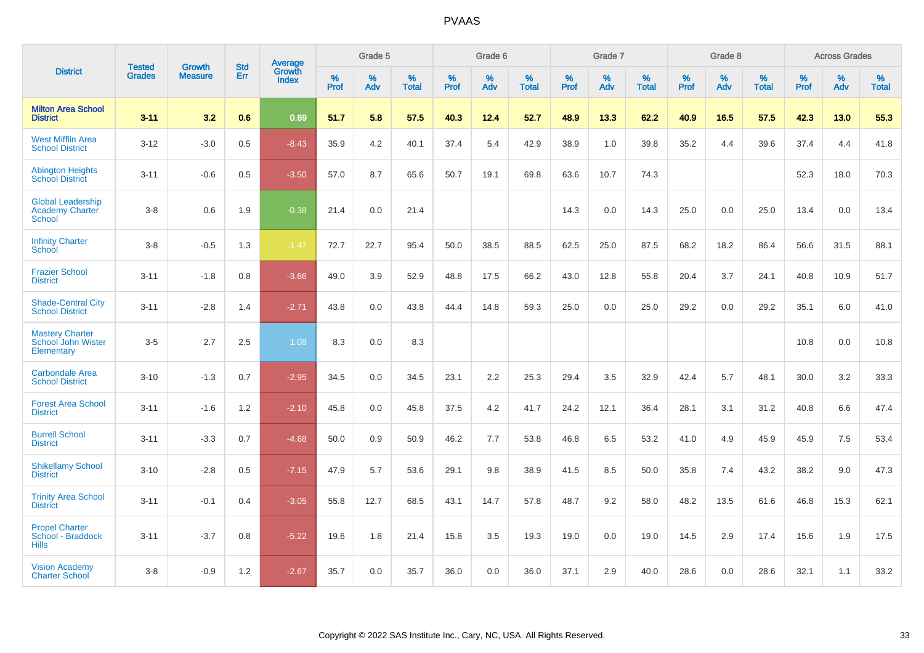|                                                                     | <b>Tested</b> | <b>Growth</b>  | <b>Std</b> | <b>Average</b>         |              | Grade 5  |                   |           | Grade 6  |                   |           | Grade 7  |                   |           | Grade 8  |                   |           | <b>Across Grades</b> |                   |
|---------------------------------------------------------------------|---------------|----------------|------------|------------------------|--------------|----------|-------------------|-----------|----------|-------------------|-----------|----------|-------------------|-----------|----------|-------------------|-----------|----------------------|-------------------|
| <b>District</b>                                                     | <b>Grades</b> | <b>Measure</b> | Err        | Growth<br><b>Index</b> | $\%$<br>Prof | %<br>Adv | %<br><b>Total</b> | %<br>Prof | %<br>Adv | %<br><b>Total</b> | %<br>Prof | %<br>Adv | %<br><b>Total</b> | %<br>Prof | %<br>Adv | %<br><b>Total</b> | %<br>Prof | %<br>Adv             | %<br><b>Total</b> |
| <b>Milton Area School</b><br><b>District</b>                        | $3 - 11$      | 3.2            | 0.6        | 0.69                   | 51.7         | 5.8      | 57.5              | 40.3      | 12.4     | 52.7              | 48.9      | 13.3     | 62.2              | 40.9      | 16.5     | 57.5              | 42.3      | 13.0                 | 55.3              |
| <b>West Mifflin Area</b><br><b>School District</b>                  | $3 - 12$      | $-3.0$         | 0.5        | $-8.43$                | 35.9         | 4.2      | 40.1              | 37.4      | 5.4      | 42.9              | 38.9      | 1.0      | 39.8              | 35.2      | 4.4      | 39.6              | 37.4      | 4.4                  | 41.8              |
| <b>Abington Heights</b><br><b>School District</b>                   | $3 - 11$      | $-0.6$         | 0.5        | $-3.50$                | 57.0         | 8.7      | 65.6              | 50.7      | 19.1     | 69.8              | 63.6      | 10.7     | 74.3              |           |          |                   | 52.3      | 18.0                 | 70.3              |
| <b>Global Leadership</b><br><b>Academy Charter</b><br><b>School</b> | $3-8$         | 0.6            | 1.9        | $-0.38$                | 21.4         | 0.0      | 21.4              |           |          |                   | 14.3      | 0.0      | 14.3              | 25.0      | 0.0      | 25.0              | 13.4      | 0.0                  | 13.4              |
| <b>Infinity Charter</b><br>School                                   | $3-8$         | $-0.5$         | 1.3        | $-1.47$                | 72.7         | 22.7     | 95.4              | 50.0      | 38.5     | 88.5              | 62.5      | 25.0     | 87.5              | 68.2      | 18.2     | 86.4              | 56.6      | 31.5                 | 88.1              |
| <b>Frazier School</b><br><b>District</b>                            | $3 - 11$      | $-1.8$         | 0.8        | $-3.66$                | 49.0         | 3.9      | 52.9              | 48.8      | 17.5     | 66.2              | 43.0      | 12.8     | 55.8              | 20.4      | 3.7      | 24.1              | 40.8      | 10.9                 | 51.7              |
| <b>Shade-Central City</b><br><b>School District</b>                 | $3 - 11$      | $-2.8$         | 1.4        | $-2.71$                | 43.8         | 0.0      | 43.8              | 44.4      | 14.8     | 59.3              | 25.0      | 0.0      | 25.0              | 29.2      | 0.0      | 29.2              | 35.1      | 6.0                  | 41.0              |
| <b>Mastery Charter</b><br>School John Wister<br>Elementary          | $3-5$         | 2.7            | 2.5        | 1.08                   | 8.3          | 0.0      | 8.3               |           |          |                   |           |          |                   |           |          |                   | 10.8      | 0.0                  | 10.8              |
| <b>Carbondale Area</b><br><b>School District</b>                    | $3 - 10$      | $-1.3$         | 0.7        | $-2.95$                | 34.5         | 0.0      | 34.5              | 23.1      | 2.2      | 25.3              | 29.4      | 3.5      | 32.9              | 42.4      | 5.7      | 48.1              | 30.0      | 3.2                  | 33.3              |
| <b>Forest Area School</b><br><b>District</b>                        | $3 - 11$      | $-1.6$         | 1.2        | $-2.10$                | 45.8         | 0.0      | 45.8              | 37.5      | 4.2      | 41.7              | 24.2      | 12.1     | 36.4              | 28.1      | 3.1      | 31.2              | 40.8      | 6.6                  | 47.4              |
| <b>Burrell School</b><br><b>District</b>                            | $3 - 11$      | $-3.3$         | 0.7        | $-4.68$                | 50.0         | 0.9      | 50.9              | 46.2      | 7.7      | 53.8              | 46.8      | 6.5      | 53.2              | 41.0      | 4.9      | 45.9              | 45.9      | 7.5                  | 53.4              |
| <b>Shikellamy School</b><br><b>District</b>                         | $3 - 10$      | $-2.8$         | 0.5        | $-7.15$                | 47.9         | 5.7      | 53.6              | 29.1      | 9.8      | 38.9              | 41.5      | 8.5      | 50.0              | 35.8      | 7.4      | 43.2              | 38.2      | 9.0                  | 47.3              |
| <b>Trinity Area School</b><br><b>District</b>                       | $3 - 11$      | $-0.1$         | 0.4        | $-3.05$                | 55.8         | 12.7     | 68.5              | 43.1      | 14.7     | 57.8              | 48.7      | 9.2      | 58.0              | 48.2      | 13.5     | 61.6              | 46.8      | 15.3                 | 62.1              |
| <b>Propel Charter</b><br>School - Braddock<br><b>Hills</b>          | $3 - 11$      | $-3.7$         | 0.8        | $-5.22$                | 19.6         | 1.8      | 21.4              | 15.8      | 3.5      | 19.3              | 19.0      | 0.0      | 19.0              | 14.5      | 2.9      | 17.4              | 15.6      | 1.9                  | 17.5              |
| <b>Vision Academy</b><br><b>Charter School</b>                      | $3 - 8$       | $-0.9$         | 1.2        | $-2.67$                | 35.7         | 0.0      | 35.7              | 36.0      | 0.0      | 36.0              | 37.1      | 2.9      | 40.0              | 28.6      | 0.0      | 28.6              | 32.1      | 1.1                  | 33.2              |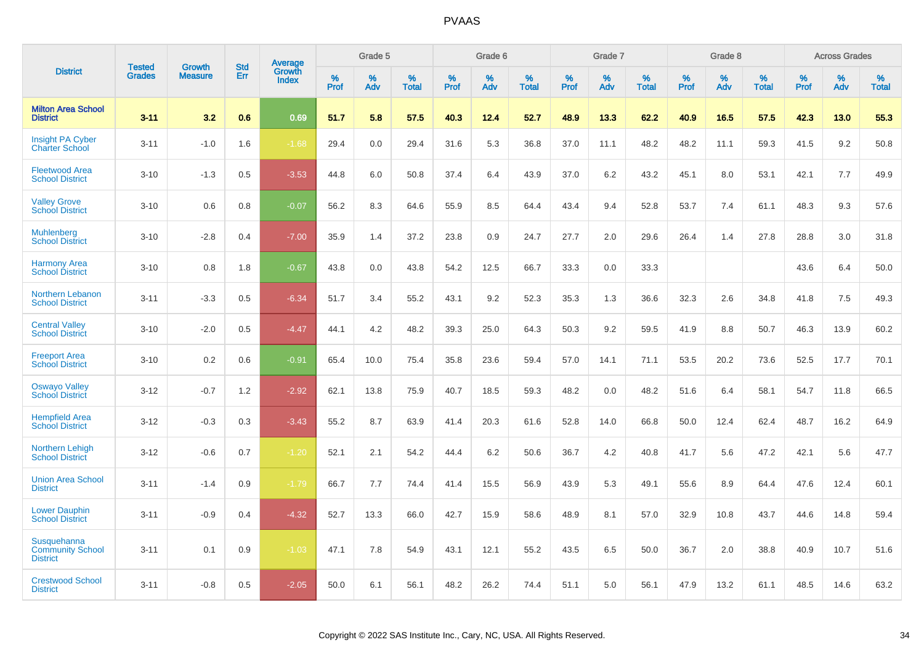|                                                                  | <b>Tested</b> | <b>Growth</b>  | <b>Std</b> | Average<br>Growth |                     | Grade 5  |                      |              | Grade 6  |                      |              | Grade 7  |                      |              | Grade 8  |                      |                     | <b>Across Grades</b> |                      |
|------------------------------------------------------------------|---------------|----------------|------------|-------------------|---------------------|----------|----------------------|--------------|----------|----------------------|--------------|----------|----------------------|--------------|----------|----------------------|---------------------|----------------------|----------------------|
| <b>District</b>                                                  | <b>Grades</b> | <b>Measure</b> | <b>Err</b> | <b>Index</b>      | $\%$<br><b>Prof</b> | %<br>Adv | $\%$<br><b>Total</b> | $\%$<br>Prof | %<br>Adv | $\%$<br><b>Total</b> | $\%$<br>Prof | %<br>Adv | $\%$<br><b>Total</b> | $\%$<br>Prof | %<br>Adv | $\%$<br><b>Total</b> | $\%$<br><b>Prof</b> | $\%$<br>Adv          | $\%$<br><b>Total</b> |
| <b>Milton Area School</b><br><b>District</b>                     | $3 - 11$      | 3.2            | 0.6        | 0.69              | 51.7                | 5.8      | 57.5                 | 40.3         | 12.4     | 52.7                 | 48.9         | 13.3     | 62.2                 | 40.9         | 16.5     | 57.5                 | 42.3                | 13.0                 | 55.3                 |
| <b>Insight PA Cyber</b><br><b>Charter School</b>                 | $3 - 11$      | $-1.0$         | 1.6        | $-1.68$           | 29.4                | 0.0      | 29.4                 | 31.6         | 5.3      | 36.8                 | 37.0         | 11.1     | 48.2                 | 48.2         | 11.1     | 59.3                 | 41.5                | 9.2                  | 50.8                 |
| <b>Fleetwood Area</b><br><b>School District</b>                  | $3 - 10$      | $-1.3$         | 0.5        | $-3.53$           | 44.8                | 6.0      | 50.8                 | 37.4         | 6.4      | 43.9                 | 37.0         | 6.2      | 43.2                 | 45.1         | 8.0      | 53.1                 | 42.1                | 7.7                  | 49.9                 |
| <b>Valley Grove</b><br><b>School District</b>                    | $3 - 10$      | 0.6            | 0.8        | $-0.07$           | 56.2                | 8.3      | 64.6                 | 55.9         | 8.5      | 64.4                 | 43.4         | 9.4      | 52.8                 | 53.7         | 7.4      | 61.1                 | 48.3                | 9.3                  | 57.6                 |
| <b>Muhlenberg</b><br><b>School District</b>                      | $3 - 10$      | $-2.8$         | 0.4        | $-7.00$           | 35.9                | 1.4      | 37.2                 | 23.8         | 0.9      | 24.7                 | 27.7         | 2.0      | 29.6                 | 26.4         | 1.4      | 27.8                 | 28.8                | 3.0                  | 31.8                 |
| <b>Harmony Area</b><br><b>School District</b>                    | $3 - 10$      | 0.8            | 1.8        | $-0.67$           | 43.8                | 0.0      | 43.8                 | 54.2         | 12.5     | 66.7                 | 33.3         | 0.0      | 33.3                 |              |          |                      | 43.6                | 6.4                  | 50.0                 |
| Northern Lebanon<br><b>School District</b>                       | $3 - 11$      | $-3.3$         | 0.5        | $-6.34$           | 51.7                | 3.4      | 55.2                 | 43.1         | 9.2      | 52.3                 | 35.3         | 1.3      | 36.6                 | 32.3         | 2.6      | 34.8                 | 41.8                | 7.5                  | 49.3                 |
| <b>Central Valley</b><br><b>School District</b>                  | $3 - 10$      | $-2.0$         | 0.5        | $-4.47$           | 44.1                | 4.2      | 48.2                 | 39.3         | 25.0     | 64.3                 | 50.3         | 9.2      | 59.5                 | 41.9         | 8.8      | 50.7                 | 46.3                | 13.9                 | 60.2                 |
| <b>Freeport Area</b><br><b>School District</b>                   | $3 - 10$      | 0.2            | 0.6        | $-0.91$           | 65.4                | 10.0     | 75.4                 | 35.8         | 23.6     | 59.4                 | 57.0         | 14.1     | 71.1                 | 53.5         | 20.2     | 73.6                 | 52.5                | 17.7                 | 70.1                 |
| <b>Oswayo Valley</b><br><b>School District</b>                   | $3 - 12$      | $-0.7$         | 1.2        | $-2.92$           | 62.1                | 13.8     | 75.9                 | 40.7         | 18.5     | 59.3                 | 48.2         | 0.0      | 48.2                 | 51.6         | 6.4      | 58.1                 | 54.7                | 11.8                 | 66.5                 |
| <b>Hempfield Area</b><br><b>School District</b>                  | $3 - 12$      | $-0.3$         | 0.3        | $-3.43$           | 55.2                | 8.7      | 63.9                 | 41.4         | 20.3     | 61.6                 | 52.8         | 14.0     | 66.8                 | 50.0         | 12.4     | 62.4                 | 48.7                | 16.2                 | 64.9                 |
| Northern Lehigh<br><b>School District</b>                        | $3 - 12$      | $-0.6$         | 0.7        | $-1.20$           | 52.1                | 2.1      | 54.2                 | 44.4         | 6.2      | 50.6                 | 36.7         | 4.2      | 40.8                 | 41.7         | 5.6      | 47.2                 | 42.1                | 5.6                  | 47.7                 |
| <b>Union Area School</b><br><b>District</b>                      | $3 - 11$      | $-1.4$         | 0.9        | $-1.79$           | 66.7                | 7.7      | 74.4                 | 41.4         | 15.5     | 56.9                 | 43.9         | 5.3      | 49.1                 | 55.6         | 8.9      | 64.4                 | 47.6                | 12.4                 | 60.1                 |
| <b>Lower Dauphin</b><br><b>School District</b>                   | $3 - 11$      | $-0.9$         | 0.4        | $-4.32$           | 52.7                | 13.3     | 66.0                 | 42.7         | 15.9     | 58.6                 | 48.9         | 8.1      | 57.0                 | 32.9         | 10.8     | 43.7                 | 44.6                | 14.8                 | 59.4                 |
| <b>Susquehanna</b><br><b>Community School</b><br><b>District</b> | $3 - 11$      | 0.1            | 0.9        | $-1.03$           | 47.1                | 7.8      | 54.9                 | 43.1         | 12.1     | 55.2                 | 43.5         | 6.5      | 50.0                 | 36.7         | 2.0      | 38.8                 | 40.9                | 10.7                 | 51.6                 |
| <b>Crestwood School</b><br><b>District</b>                       | $3 - 11$      | $-0.8$         | 0.5        | $-2.05$           | 50.0                | 6.1      | 56.1                 | 48.2         | 26.2     | 74.4                 | 51.1         | 5.0      | 56.1                 | 47.9         | 13.2     | 61.1                 | 48.5                | 14.6                 | 63.2                 |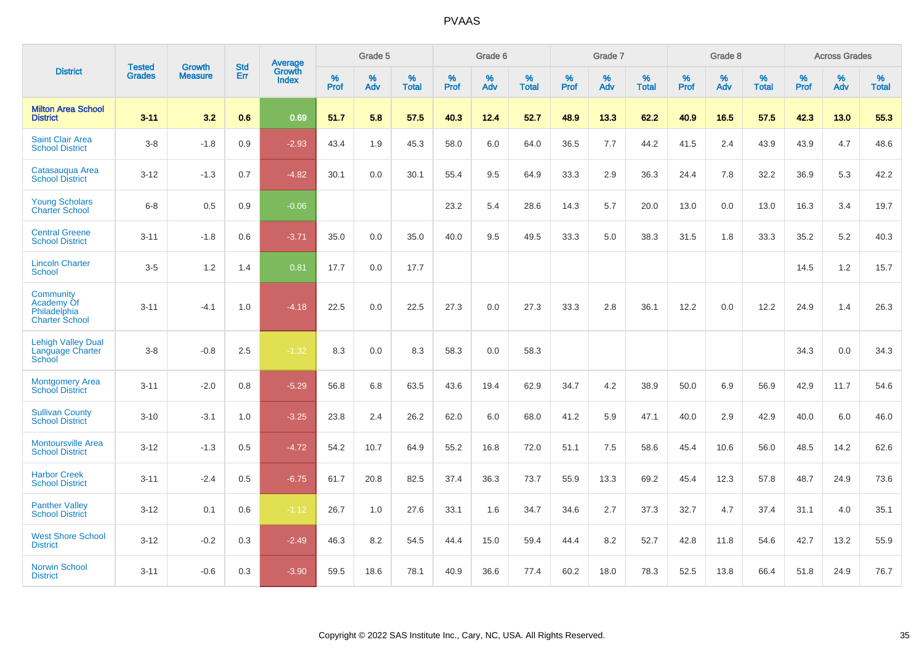|                                                                  | <b>Tested</b> | <b>Growth</b>  | <b>Std</b> | <b>Average</b>                |           | Grade 5  |                   |           | Grade 6  |                   |           | Grade 7  |                   |           | Grade 8  |                   |           | <b>Across Grades</b> |                   |
|------------------------------------------------------------------|---------------|----------------|------------|-------------------------------|-----------|----------|-------------------|-----------|----------|-------------------|-----------|----------|-------------------|-----------|----------|-------------------|-----------|----------------------|-------------------|
| <b>District</b>                                                  | <b>Grades</b> | <b>Measure</b> | Err        | <b>Growth</b><br><b>Index</b> | %<br>Prof | %<br>Adv | %<br><b>Total</b> | %<br>Prof | %<br>Adv | %<br><b>Total</b> | %<br>Prof | %<br>Adv | %<br><b>Total</b> | %<br>Prof | %<br>Adv | %<br><b>Total</b> | %<br>Prof | %<br>Adv             | %<br><b>Total</b> |
| <b>Milton Area School</b><br><b>District</b>                     | $3 - 11$      | 3.2            | 0.6        | 0.69                          | 51.7      | 5.8      | 57.5              | 40.3      | 12.4     | 52.7              | 48.9      | 13.3     | 62.2              | 40.9      | 16.5     | 57.5              | 42.3      | 13.0                 | 55.3              |
| <b>Saint Clair Area</b><br><b>School District</b>                | $3-8$         | $-1.8$         | 0.9        | $-2.93$                       | 43.4      | 1.9      | 45.3              | 58.0      | 6.0      | 64.0              | 36.5      | 7.7      | 44.2              | 41.5      | 2.4      | 43.9              | 43.9      | 4.7                  | 48.6              |
| Catasauqua Area<br><b>School District</b>                        | $3 - 12$      | $-1.3$         | 0.7        | $-4.82$                       | 30.1      | 0.0      | 30.1              | 55.4      | 9.5      | 64.9              | 33.3      | 2.9      | 36.3              | 24.4      | 7.8      | 32.2              | 36.9      | 5.3                  | 42.2              |
| <b>Young Scholars</b><br><b>Charter School</b>                   | $6 - 8$       | 0.5            | 0.9        | $-0.06$                       |           |          |                   | 23.2      | 5.4      | 28.6              | 14.3      | 5.7      | 20.0              | 13.0      | 0.0      | 13.0              | 16.3      | 3.4                  | 19.7              |
| <b>Central Greene</b><br><b>School District</b>                  | $3 - 11$      | $-1.8$         | 0.6        | $-3.71$                       | 35.0      | 0.0      | 35.0              | 40.0      | 9.5      | 49.5              | 33.3      | 5.0      | 38.3              | 31.5      | 1.8      | 33.3              | 35.2      | 5.2                  | 40.3              |
| <b>Lincoln Charter</b><br>School                                 | $3-5$         | 1.2            | 1.4        | 0.81                          | 17.7      | 0.0      | 17.7              |           |          |                   |           |          |                   |           |          |                   | 14.5      | $1.2$                | 15.7              |
| Community<br>Academy Of<br>Philadelphia<br><b>Charter School</b> | $3 - 11$      | $-4.1$         | 1.0        | $-4.18$                       | 22.5      | 0.0      | 22.5              | 27.3      | 0.0      | 27.3              | 33.3      | 2.8      | 36.1              | 12.2      | 0.0      | 12.2              | 24.9      | 1.4                  | 26.3              |
| <b>Lehigh Valley Dual</b><br>Language Charter<br>School          | $3-8$         | $-0.8$         | 2.5        | $-1.32$                       | 8.3       | 0.0      | 8.3               | 58.3      | 0.0      | 58.3              |           |          |                   |           |          |                   | 34.3      | 0.0                  | 34.3              |
| <b>Montgomery Area</b><br><b>School District</b>                 | $3 - 11$      | $-2.0$         | 0.8        | $-5.29$                       | 56.8      | 6.8      | 63.5              | 43.6      | 19.4     | 62.9              | 34.7      | 4.2      | 38.9              | 50.0      | 6.9      | 56.9              | 42.9      | 11.7                 | 54.6              |
| <b>Sullivan County</b><br><b>School District</b>                 | $3 - 10$      | $-3.1$         | 1.0        | $-3.25$                       | 23.8      | 2.4      | 26.2              | 62.0      | 6.0      | 68.0              | 41.2      | 5.9      | 47.1              | 40.0      | 2.9      | 42.9              | 40.0      | 6.0                  | 46.0              |
| <b>Montoursville Area</b><br><b>School District</b>              | $3 - 12$      | $-1.3$         | 0.5        | $-4.72$                       | 54.2      | 10.7     | 64.9              | 55.2      | 16.8     | 72.0              | 51.1      | 7.5      | 58.6              | 45.4      | 10.6     | 56.0              | 48.5      | 14.2                 | 62.6              |
| <b>Harbor Creek</b><br><b>School District</b>                    | $3 - 11$      | $-2.4$         | 0.5        | $-6.75$                       | 61.7      | 20.8     | 82.5              | 37.4      | 36.3     | 73.7              | 55.9      | 13.3     | 69.2              | 45.4      | 12.3     | 57.8              | 48.7      | 24.9                 | 73.6              |
| <b>Panther Valley</b><br><b>School District</b>                  | $3 - 12$      | 0.1            | 0.6        | $-1.12$                       | 26.7      | 1.0      | 27.6              | 33.1      | 1.6      | 34.7              | 34.6      | 2.7      | 37.3              | 32.7      | 4.7      | 37.4              | 31.1      | 4.0                  | 35.1              |
| <b>West Shore School</b><br><b>District</b>                      | $3 - 12$      | $-0.2$         | 0.3        | $-2.49$                       | 46.3      | 8.2      | 54.5              | 44.4      | 15.0     | 59.4              | 44.4      | 8.2      | 52.7              | 42.8      | 11.8     | 54.6              | 42.7      | 13.2                 | 55.9              |
| <b>Norwin School</b><br><b>District</b>                          | $3 - 11$      | $-0.6$         | 0.3        | $-3.90$                       | 59.5      | 18.6     | 78.1              | 40.9      | 36.6     | 77.4              | 60.2      | 18.0     | 78.3              | 52.5      | 13.8     | 66.4              | 51.8      | 24.9                 | 76.7              |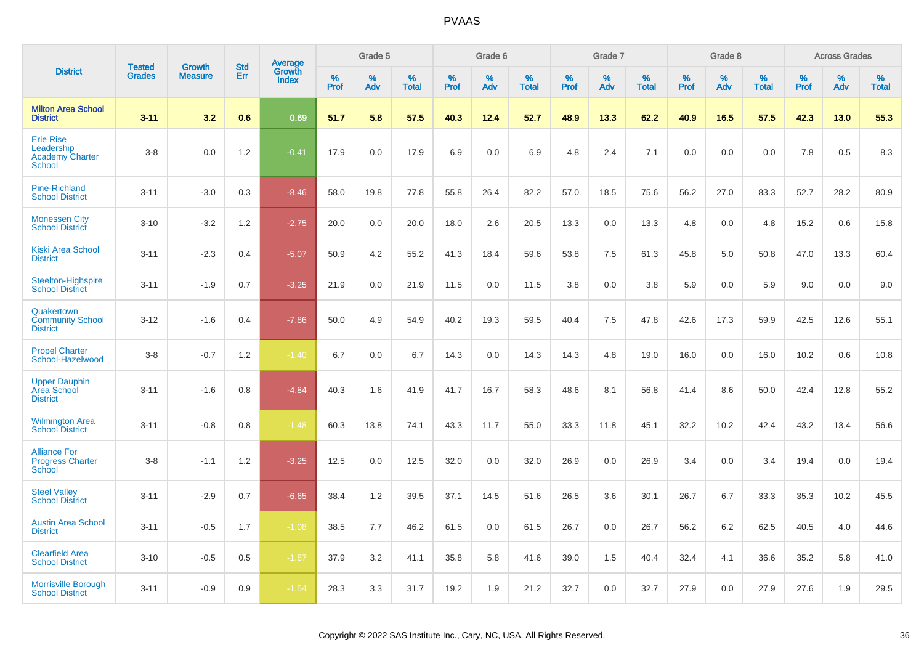|                                                                           |                                |                                 | <b>Std</b> |                                   |           | Grade 5  |                   |           | Grade 6  |                   |           | Grade 7  |                   |           | Grade 8  |                   |              | <b>Across Grades</b> |                   |
|---------------------------------------------------------------------------|--------------------------------|---------------------------------|------------|-----------------------------------|-----------|----------|-------------------|-----------|----------|-------------------|-----------|----------|-------------------|-----------|----------|-------------------|--------------|----------------------|-------------------|
| <b>District</b>                                                           | <b>Tested</b><br><b>Grades</b> | <b>Growth</b><br><b>Measure</b> | Err        | Average<br>Growth<br><b>Index</b> | %<br>Prof | %<br>Adv | %<br><b>Total</b> | %<br>Prof | %<br>Adv | %<br><b>Total</b> | %<br>Prof | %<br>Adv | %<br><b>Total</b> | %<br>Prof | %<br>Adv | %<br><b>Total</b> | $\%$<br>Prof | %<br>Adv             | %<br><b>Total</b> |
| <b>Milton Area School</b><br><b>District</b>                              | $3 - 11$                       | 3.2                             | 0.6        | 0.69                              | 51.7      | 5.8      | 57.5              | 40.3      | 12.4     | 52.7              | 48.9      | 13.3     | 62.2              | 40.9      | 16.5     | 57.5              | 42.3         | 13.0                 | 55.3              |
| <b>Erie Rise</b><br>Leadership<br><b>Academy Charter</b><br><b>School</b> | $3-8$                          | 0.0                             | 1.2        | $-0.41$                           | 17.9      | 0.0      | 17.9              | 6.9       | 0.0      | 6.9               | 4.8       | 2.4      | 7.1               | 0.0       | 0.0      | 0.0               | 7.8          | 0.5                  | 8.3               |
| <b>Pine-Richland</b><br><b>School District</b>                            | $3 - 11$                       | $-3.0$                          | 0.3        | $-8.46$                           | 58.0      | 19.8     | 77.8              | 55.8      | 26.4     | 82.2              | 57.0      | 18.5     | 75.6              | 56.2      | 27.0     | 83.3              | 52.7         | 28.2                 | 80.9              |
| <b>Monessen City</b><br><b>School District</b>                            | $3 - 10$                       | $-3.2$                          | 1.2        | $-2.75$                           | 20.0      | 0.0      | 20.0              | 18.0      | 2.6      | 20.5              | 13.3      | 0.0      | 13.3              | 4.8       | 0.0      | 4.8               | 15.2         | 0.6                  | 15.8              |
| Kiski Area School<br><b>District</b>                                      | $3 - 11$                       | $-2.3$                          | 0.4        | $-5.07$                           | 50.9      | 4.2      | 55.2              | 41.3      | 18.4     | 59.6              | 53.8      | 7.5      | 61.3              | 45.8      | 5.0      | 50.8              | 47.0         | 13.3                 | 60.4              |
| Steelton-Highspire<br><b>School District</b>                              | $3 - 11$                       | $-1.9$                          | 0.7        | $-3.25$                           | 21.9      | 0.0      | 21.9              | 11.5      | 0.0      | 11.5              | 3.8       | 0.0      | 3.8               | 5.9       | 0.0      | 5.9               | 9.0          | 0.0                  | 9.0               |
| Quakertown<br><b>Community School</b><br><b>District</b>                  | $3 - 12$                       | $-1.6$                          | 0.4        | $-7.86$                           | 50.0      | 4.9      | 54.9              | 40.2      | 19.3     | 59.5              | 40.4      | 7.5      | 47.8              | 42.6      | 17.3     | 59.9              | 42.5         | 12.6                 | 55.1              |
| <b>Propel Charter</b><br>School-Hazelwood                                 | $3-8$                          | $-0.7$                          | 1.2        | $-1.40$                           | 6.7       | 0.0      | 6.7               | 14.3      | 0.0      | 14.3              | 14.3      | 4.8      | 19.0              | 16.0      | 0.0      | 16.0              | 10.2         | 0.6                  | 10.8              |
| <b>Upper Dauphin</b><br><b>Area School</b><br><b>District</b>             | $3 - 11$                       | $-1.6$                          | 0.8        | $-4.84$                           | 40.3      | 1.6      | 41.9              | 41.7      | 16.7     | 58.3              | 48.6      | 8.1      | 56.8              | 41.4      | 8.6      | 50.0              | 42.4         | 12.8                 | 55.2              |
| <b>Wilmington Area</b><br><b>School District</b>                          | $3 - 11$                       | $-0.8$                          | 0.8        | $-1.48$                           | 60.3      | 13.8     | 74.1              | 43.3      | 11.7     | 55.0              | 33.3      | 11.8     | 45.1              | 32.2      | 10.2     | 42.4              | 43.2         | 13.4                 | 56.6              |
| <b>Alliance For</b><br><b>Progress Charter</b><br>School                  | $3-8$                          | $-1.1$                          | 1.2        | $-3.25$                           | 12.5      | 0.0      | 12.5              | 32.0      | 0.0      | 32.0              | 26.9      | 0.0      | 26.9              | 3.4       | 0.0      | 3.4               | 19.4         | 0.0                  | 19.4              |
| <b>Steel Valley</b><br><b>School District</b>                             | $3 - 11$                       | $-2.9$                          | 0.7        | $-6.65$                           | 38.4      | 1.2      | 39.5              | 37.1      | 14.5     | 51.6              | 26.5      | 3.6      | 30.1              | 26.7      | 6.7      | 33.3              | 35.3         | 10.2                 | 45.5              |
| <b>Austin Area School</b><br><b>District</b>                              | $3 - 11$                       | $-0.5$                          | 1.7        | $-1.08$                           | 38.5      | 7.7      | 46.2              | 61.5      | 0.0      | 61.5              | 26.7      | 0.0      | 26.7              | 56.2      | 6.2      | 62.5              | 40.5         | 4.0                  | 44.6              |
| <b>Clearfield Area</b><br><b>School District</b>                          | $3 - 10$                       | $-0.5$                          | 0.5        | $-1.87$                           | 37.9      | 3.2      | 41.1              | 35.8      | 5.8      | 41.6              | 39.0      | 1.5      | 40.4              | 32.4      | 4.1      | 36.6              | 35.2         | 5.8                  | 41.0              |
| <b>Morrisville Borough</b><br><b>School District</b>                      | $3 - 11$                       | $-0.9$                          | 0.9        | $-1.54$                           | 28.3      | 3.3      | 31.7              | 19.2      | 1.9      | 21.2              | 32.7      | 0.0      | 32.7              | 27.9      | 0.0      | 27.9              | 27.6         | 1.9                  | 29.5              |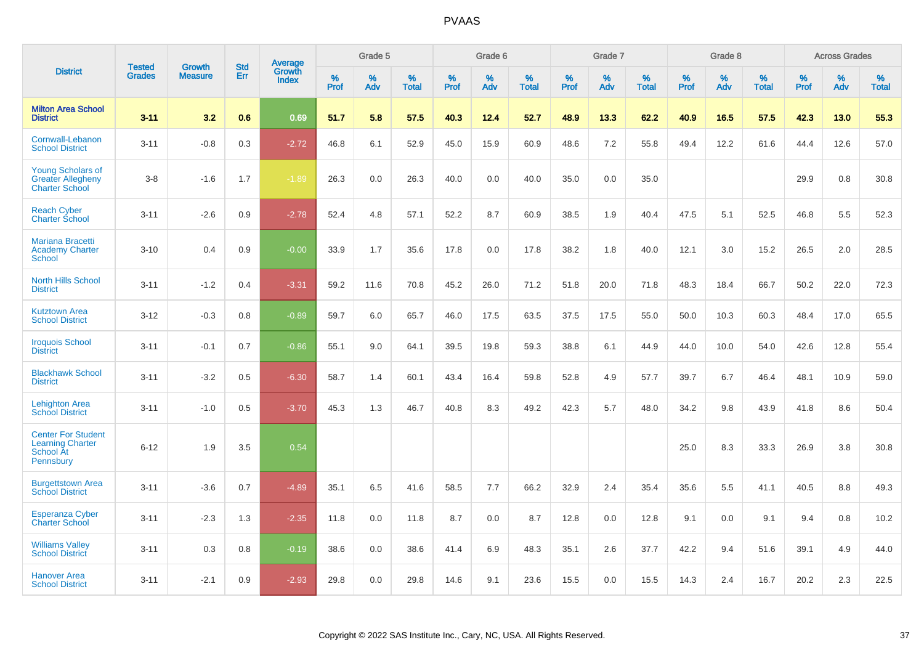|                                                                                |                                | <b>Growth</b>  | <b>Std</b> |                                   |              | Grade 5  |                   |           | Grade 6  |                   |           | Grade 7  |                   |           | Grade 8  |                   |              | <b>Across Grades</b> |                   |
|--------------------------------------------------------------------------------|--------------------------------|----------------|------------|-----------------------------------|--------------|----------|-------------------|-----------|----------|-------------------|-----------|----------|-------------------|-----------|----------|-------------------|--------------|----------------------|-------------------|
| <b>District</b>                                                                | <b>Tested</b><br><b>Grades</b> | <b>Measure</b> | <b>Err</b> | Average<br>Growth<br><b>Index</b> | $\%$<br>Prof | %<br>Adv | %<br><b>Total</b> | %<br>Prof | %<br>Adv | %<br><b>Total</b> | %<br>Prof | %<br>Adv | %<br><b>Total</b> | %<br>Prof | %<br>Adv | %<br><b>Total</b> | $\%$<br>Prof | %<br>Adv             | %<br><b>Total</b> |
| <b>Milton Area School</b><br><b>District</b>                                   | $3 - 11$                       | 3.2            | 0.6        | 0.69                              | 51.7         | 5.8      | 57.5              | 40.3      | 12.4     | 52.7              | 48.9      | 13.3     | 62.2              | 40.9      | 16.5     | 57.5              | 42.3         | 13.0                 | 55.3              |
| Cornwall-Lebanon<br><b>School District</b>                                     | $3 - 11$                       | $-0.8$         | 0.3        | $-2.72$                           | 46.8         | 6.1      | 52.9              | 45.0      | 15.9     | 60.9              | 48.6      | 7.2      | 55.8              | 49.4      | 12.2     | 61.6              | 44.4         | 12.6                 | 57.0              |
| <b>Young Scholars of</b><br><b>Greater Allegheny</b><br><b>Charter School</b>  | $3 - 8$                        | $-1.6$         | 1.7        | $-1.89$                           | 26.3         | 0.0      | 26.3              | 40.0      | 0.0      | 40.0              | 35.0      | 0.0      | 35.0              |           |          |                   | 29.9         | 0.8                  | 30.8              |
| <b>Reach Cyber</b><br><b>Charter School</b>                                    | $3 - 11$                       | $-2.6$         | 0.9        | $-2.78$                           | 52.4         | 4.8      | 57.1              | 52.2      | 8.7      | 60.9              | 38.5      | 1.9      | 40.4              | 47.5      | 5.1      | 52.5              | 46.8         | 5.5                  | 52.3              |
| <b>Mariana Bracetti</b><br><b>Academy Charter</b><br>School                    | $3 - 10$                       | 0.4            | 0.9        | $-0.00$                           | 33.9         | 1.7      | 35.6              | 17.8      | 0.0      | 17.8              | 38.2      | 1.8      | 40.0              | 12.1      | 3.0      | 15.2              | 26.5         | 2.0                  | 28.5              |
| North Hills School<br><b>District</b>                                          | $3 - 11$                       | $-1.2$         | 0.4        | $-3.31$                           | 59.2         | 11.6     | 70.8              | 45.2      | 26.0     | 71.2              | 51.8      | 20.0     | 71.8              | 48.3      | 18.4     | 66.7              | 50.2         | 22.0                 | 72.3              |
| <b>Kutztown Area</b><br><b>School District</b>                                 | $3 - 12$                       | $-0.3$         | 0.8        | $-0.89$                           | 59.7         | 6.0      | 65.7              | 46.0      | 17.5     | 63.5              | 37.5      | 17.5     | 55.0              | 50.0      | 10.3     | 60.3              | 48.4         | 17.0                 | 65.5              |
| <b>Iroquois School</b><br><b>District</b>                                      | $3 - 11$                       | $-0.1$         | 0.7        | $-0.86$                           | 55.1         | 9.0      | 64.1              | 39.5      | 19.8     | 59.3              | 38.8      | 6.1      | 44.9              | 44.0      | 10.0     | 54.0              | 42.6         | 12.8                 | 55.4              |
| <b>Blackhawk School</b><br><b>District</b>                                     | $3 - 11$                       | $-3.2$         | 0.5        | $-6.30$                           | 58.7         | 1.4      | 60.1              | 43.4      | 16.4     | 59.8              | 52.8      | 4.9      | 57.7              | 39.7      | 6.7      | 46.4              | 48.1         | 10.9                 | 59.0              |
| <b>Lehighton Area</b><br><b>School District</b>                                | $3 - 11$                       | $-1.0$         | 0.5        | $-3.70$                           | 45.3         | 1.3      | 46.7              | 40.8      | 8.3      | 49.2              | 42.3      | 5.7      | 48.0              | 34.2      | 9.8      | 43.9              | 41.8         | 8.6                  | 50.4              |
| <b>Center For Student</b><br><b>Learning Charter</b><br>School At<br>Pennsbury | $6 - 12$                       | 1.9            | 3.5        | 0.54                              |              |          |                   |           |          |                   |           |          |                   | 25.0      | 8.3      | 33.3              | 26.9         | 3.8                  | 30.8              |
| <b>Burgettstown Area</b><br><b>School District</b>                             | $3 - 11$                       | $-3.6$         | 0.7        | $-4.89$                           | 35.1         | 6.5      | 41.6              | 58.5      | 7.7      | 66.2              | 32.9      | 2.4      | 35.4              | 35.6      | 5.5      | 41.1              | 40.5         | 8.8                  | 49.3              |
| <b>Esperanza Cyber</b><br><b>Charter School</b>                                | $3 - 11$                       | $-2.3$         | 1.3        | $-2.35$                           | 11.8         | 0.0      | 11.8              | 8.7       | 0.0      | 8.7               | 12.8      | 0.0      | 12.8              | 9.1       | 0.0      | 9.1               | 9.4          | 0.8                  | 10.2              |
| <b>Williams Valley</b><br><b>School District</b>                               | $3 - 11$                       | 0.3            | 0.8        | $-0.19$                           | 38.6         | 0.0      | 38.6              | 41.4      | 6.9      | 48.3              | 35.1      | 2.6      | 37.7              | 42.2      | 9.4      | 51.6              | 39.1         | 4.9                  | 44.0              |
| Hanover Area<br><b>School District</b>                                         | $3 - 11$                       | $-2.1$         | 0.9        | $-2.93$                           | 29.8         | 0.0      | 29.8              | 14.6      | 9.1      | 23.6              | 15.5      | 0.0      | 15.5              | 14.3      | 2.4      | 16.7              | 20.2         | 2.3                  | 22.5              |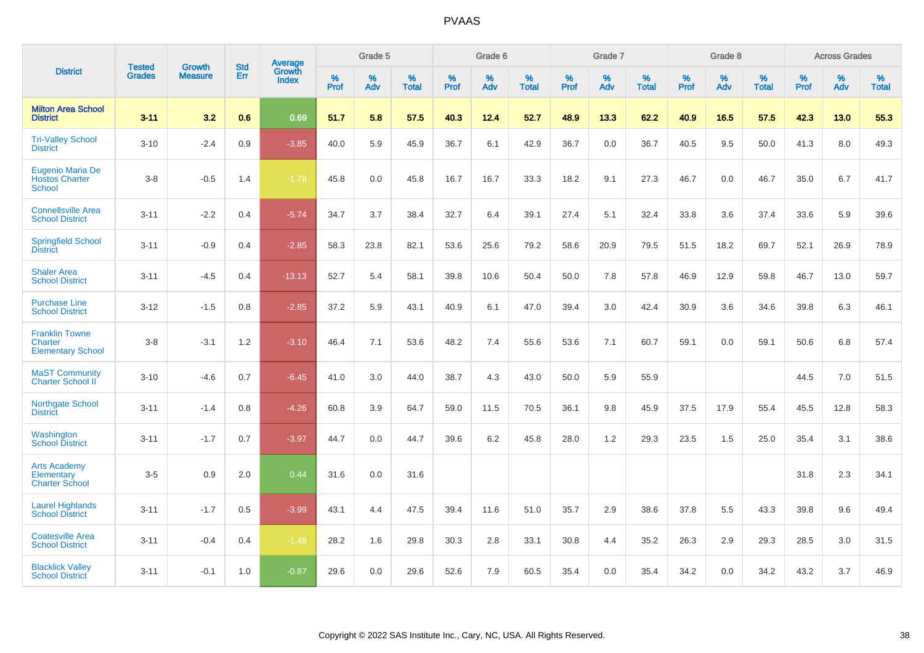|                                                                     | <b>Tested</b> | <b>Growth</b>  | <b>Std</b> | Average                       |              | Grade 5  |                   |           | Grade 6  |                   |           | Grade 7  |                   |           | Grade 8  |                   |           | <b>Across Grades</b> |                   |
|---------------------------------------------------------------------|---------------|----------------|------------|-------------------------------|--------------|----------|-------------------|-----------|----------|-------------------|-----------|----------|-------------------|-----------|----------|-------------------|-----------|----------------------|-------------------|
| <b>District</b>                                                     | <b>Grades</b> | <b>Measure</b> | Err        | <b>Growth</b><br><b>Index</b> | $\%$<br>Prof | %<br>Adv | %<br><b>Total</b> | %<br>Prof | %<br>Adv | %<br><b>Total</b> | %<br>Prof | %<br>Adv | %<br><b>Total</b> | %<br>Prof | %<br>Adv | %<br><b>Total</b> | %<br>Prof | %<br>Adv             | %<br><b>Total</b> |
| <b>Milton Area School</b><br><b>District</b>                        | $3 - 11$      | 3.2            | 0.6        | 0.69                          | 51.7         | 5.8      | 57.5              | 40.3      | 12.4     | 52.7              | 48.9      | 13.3     | 62.2              | 40.9      | 16.5     | 57.5              | 42.3      | 13.0                 | 55.3              |
| <b>Tri-Valley School</b><br><b>District</b>                         | $3 - 10$      | $-2.4$         | 0.9        | $-3.85$                       | 40.0         | 5.9      | 45.9              | 36.7      | 6.1      | 42.9              | 36.7      | 0.0      | 36.7              | 40.5      | 9.5      | 50.0              | 41.3      | 8.0                  | 49.3              |
| <b>Eugenio Maria De</b><br><b>Hostos Charter</b><br><b>School</b>   | $3 - 8$       | $-0.5$         | 1.4        | $-1.78$                       | 45.8         | 0.0      | 45.8              | 16.7      | 16.7     | 33.3              | 18.2      | 9.1      | 27.3              | 46.7      | 0.0      | 46.7              | 35.0      | 6.7                  | 41.7              |
| <b>Connellsville Area</b><br><b>School District</b>                 | $3 - 11$      | $-2.2$         | 0.4        | $-5.74$                       | 34.7         | 3.7      | 38.4              | 32.7      | 6.4      | 39.1              | 27.4      | 5.1      | 32.4              | 33.8      | 3.6      | 37.4              | 33.6      | 5.9                  | 39.6              |
| <b>Springfield School</b><br><b>District</b>                        | $3 - 11$      | $-0.9$         | 0.4        | $-2.85$                       | 58.3         | 23.8     | 82.1              | 53.6      | 25.6     | 79.2              | 58.6      | 20.9     | 79.5              | 51.5      | 18.2     | 69.7              | 52.1      | 26.9                 | 78.9              |
| <b>Shaler Area</b><br><b>School District</b>                        | $3 - 11$      | $-4.5$         | 0.4        | $-13.13$                      | 52.7         | 5.4      | 58.1              | 39.8      | 10.6     | 50.4              | 50.0      | 7.8      | 57.8              | 46.9      | 12.9     | 59.8              | 46.7      | 13.0                 | 59.7              |
| <b>Purchase Line</b><br><b>School District</b>                      | $3 - 12$      | $-1.5$         | 0.8        | $-2.85$                       | 37.2         | 5.9      | 43.1              | 40.9      | 6.1      | 47.0              | 39.4      | 3.0      | 42.4              | 30.9      | 3.6      | 34.6              | 39.8      | 6.3                  | 46.1              |
| <b>Franklin Towne</b><br><b>Charter</b><br><b>Elementary School</b> | $3 - 8$       | $-3.1$         | 1.2        | $-3.10$                       | 46.4         | 7.1      | 53.6              | 48.2      | 7.4      | 55.6              | 53.6      | 7.1      | 60.7              | 59.1      | 0.0      | 59.1              | 50.6      | 6.8                  | 57.4              |
| <b>MaST Community</b><br><b>Charter School II</b>                   | $3 - 10$      | $-4.6$         | 0.7        | $-6.45$                       | 41.0         | 3.0      | 44.0              | 38.7      | 4.3      | 43.0              | 50.0      | 5.9      | 55.9              |           |          |                   | 44.5      | 7.0                  | 51.5              |
| <b>Northgate School</b><br><b>District</b>                          | $3 - 11$      | $-1.4$         | 0.8        | $-4.26$                       | 60.8         | 3.9      | 64.7              | 59.0      | 11.5     | 70.5              | 36.1      | 9.8      | 45.9              | 37.5      | 17.9     | 55.4              | 45.5      | 12.8                 | 58.3              |
| Washington<br><b>School District</b>                                | $3 - 11$      | $-1.7$         | 0.7        | $-3.97$                       | 44.7         | 0.0      | 44.7              | 39.6      | 6.2      | 45.8              | 28.0      | 1.2      | 29.3              | 23.5      | 1.5      | 25.0              | 35.4      | 3.1                  | 38.6              |
| <b>Arts Academy</b><br>Elementary<br><b>Charter School</b>          | $3-5$         | 0.9            | 2.0        | 0.44                          | 31.6         | 0.0      | 31.6              |           |          |                   |           |          |                   |           |          |                   | 31.8      | 2.3                  | 34.1              |
| <b>Laurel Highlands</b><br><b>School District</b>                   | $3 - 11$      | $-1.7$         | 0.5        | $-3.99$                       | 43.1         | 4.4      | 47.5              | 39.4      | 11.6     | 51.0              | 35.7      | 2.9      | 38.6              | 37.8      | 5.5      | 43.3              | 39.8      | 9.6                  | 49.4              |
| <b>Coatesville Area</b><br><b>School District</b>                   | $3 - 11$      | $-0.4$         | 0.4        | $-1.48$                       | 28.2         | 1.6      | 29.8              | 30.3      | 2.8      | 33.1              | 30.8      | 4.4      | 35.2              | 26.3      | 2.9      | 29.3              | 28.5      | 3.0                  | 31.5              |
| <b>Blacklick Valley</b><br><b>School District</b>                   | $3 - 11$      | $-0.1$         | 1.0        | $-0.87$                       | 29.6         | 0.0      | 29.6              | 52.6      | 7.9      | 60.5              | 35.4      | 0.0      | 35.4              | 34.2      | 0.0      | 34.2              | 43.2      | 3.7                  | 46.9              |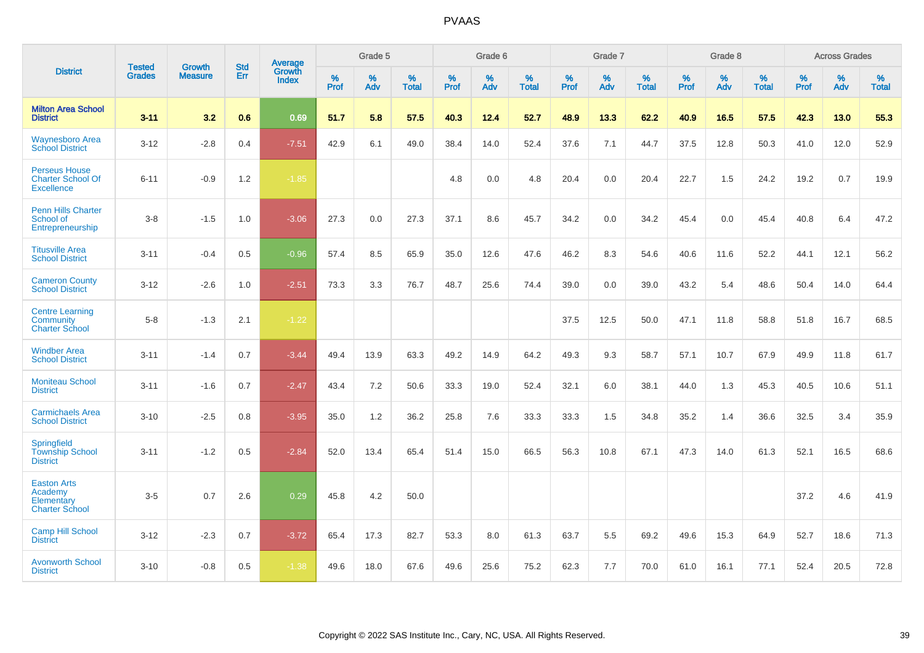|                                                                       | <b>Tested</b> | <b>Growth</b>  | <b>Std</b> | Average                |                     | Grade 5  |                   |              | Grade 6  |                   |              | Grade 7  |                   |              | Grade 8  |                   |           | <b>Across Grades</b> |                   |
|-----------------------------------------------------------------------|---------------|----------------|------------|------------------------|---------------------|----------|-------------------|--------------|----------|-------------------|--------------|----------|-------------------|--------------|----------|-------------------|-----------|----------------------|-------------------|
| <b>District</b>                                                       | <b>Grades</b> | <b>Measure</b> | Err        | Growth<br><b>Index</b> | $\%$<br><b>Prof</b> | %<br>Adv | %<br><b>Total</b> | $\%$<br>Prof | %<br>Adv | %<br><b>Total</b> | $\%$<br>Prof | %<br>Adv | %<br><b>Total</b> | $\%$<br>Prof | %<br>Adv | %<br><b>Total</b> | %<br>Prof | %<br>Adv             | %<br><b>Total</b> |
| <b>Milton Area School</b><br><b>District</b>                          | $3 - 11$      | 3.2            | 0.6        | 0.69                   | 51.7                | 5.8      | 57.5              | 40.3         | 12.4     | 52.7              | 48.9         | 13.3     | 62.2              | 40.9         | 16.5     | 57.5              | 42.3      | 13.0                 | 55.3              |
| <b>Waynesboro Area</b><br><b>School District</b>                      | $3 - 12$      | $-2.8$         | 0.4        | $-7.51$                | 42.9                | 6.1      | 49.0              | 38.4         | 14.0     | 52.4              | 37.6         | 7.1      | 44.7              | 37.5         | 12.8     | 50.3              | 41.0      | 12.0                 | 52.9              |
| <b>Perseus House</b><br><b>Charter School Of</b><br><b>Excellence</b> | $6 - 11$      | $-0.9$         | 1.2        | $-1.85$                |                     |          |                   | 4.8          | 0.0      | 4.8               | 20.4         | 0.0      | 20.4              | 22.7         | 1.5      | 24.2              | 19.2      | 0.7                  | 19.9              |
| <b>Penn Hills Charter</b><br>School of<br>Entrepreneurship            | $3-8$         | $-1.5$         | 1.0        | $-3.06$                | 27.3                | 0.0      | 27.3              | 37.1         | 8.6      | 45.7              | 34.2         | 0.0      | 34.2              | 45.4         | 0.0      | 45.4              | 40.8      | 6.4                  | 47.2              |
| <b>Titusville Area</b><br><b>School District</b>                      | $3 - 11$      | $-0.4$         | 0.5        | $-0.96$                | 57.4                | 8.5      | 65.9              | 35.0         | 12.6     | 47.6              | 46.2         | 8.3      | 54.6              | 40.6         | 11.6     | 52.2              | 44.1      | 12.1                 | 56.2              |
| <b>Cameron County</b><br><b>School District</b>                       | $3 - 12$      | $-2.6$         | 1.0        | $-2.51$                | 73.3                | 3.3      | 76.7              | 48.7         | 25.6     | 74.4              | 39.0         | 0.0      | 39.0              | 43.2         | 5.4      | 48.6              | 50.4      | 14.0                 | 64.4              |
| <b>Centre Learning</b><br>Community<br><b>Charter School</b>          | $5-8$         | $-1.3$         | 2.1        | $-1.22$                |                     |          |                   |              |          |                   | 37.5         | 12.5     | 50.0              | 47.1         | 11.8     | 58.8              | 51.8      | 16.7                 | 68.5              |
| <b>Windber Area</b><br><b>School District</b>                         | $3 - 11$      | $-1.4$         | 0.7        | $-3.44$                | 49.4                | 13.9     | 63.3              | 49.2         | 14.9     | 64.2              | 49.3         | 9.3      | 58.7              | 57.1         | 10.7     | 67.9              | 49.9      | 11.8                 | 61.7              |
| <b>Moniteau School</b><br><b>District</b>                             | $3 - 11$      | $-1.6$         | 0.7        | $-2.47$                | 43.4                | 7.2      | 50.6              | 33.3         | 19.0     | 52.4              | 32.1         | 6.0      | 38.1              | 44.0         | 1.3      | 45.3              | 40.5      | 10.6                 | 51.1              |
| <b>Carmichaels Area</b><br><b>School District</b>                     | $3 - 10$      | $-2.5$         | 0.8        | $-3.95$                | 35.0                | 1.2      | 36.2              | 25.8         | 7.6      | 33.3              | 33.3         | 1.5      | 34.8              | 35.2         | 1.4      | 36.6              | 32.5      | 3.4                  | 35.9              |
| Springfield<br><b>Township School</b><br><b>District</b>              | $3 - 11$      | $-1.2$         | 0.5        | $-2.84$                | 52.0                | 13.4     | 65.4              | 51.4         | 15.0     | 66.5              | 56.3         | 10.8     | 67.1              | 47.3         | 14.0     | 61.3              | 52.1      | 16.5                 | 68.6              |
| <b>Easton Arts</b><br>Academy<br>Elementary<br><b>Charter School</b>  | $3-5$         | 0.7            | 2.6        | 0.29                   | 45.8                | 4.2      | 50.0              |              |          |                   |              |          |                   |              |          |                   | 37.2      | 4.6                  | 41.9              |
| <b>Camp Hill School</b><br><b>District</b>                            | $3 - 12$      | $-2.3$         | 0.7        | $-3.72$                | 65.4                | 17.3     | 82.7              | 53.3         | 8.0      | 61.3              | 63.7         | 5.5      | 69.2              | 49.6         | 15.3     | 64.9              | 52.7      | 18.6                 | 71.3              |
| <b>Avonworth School</b><br><b>District</b>                            | $3 - 10$      | $-0.8$         | 0.5        | $-1.38$                | 49.6                | 18.0     | 67.6              | 49.6         | 25.6     | 75.2              | 62.3         | 7.7      | 70.0              | 61.0         | 16.1     | 77.1              | 52.4      | 20.5                 | 72.8              |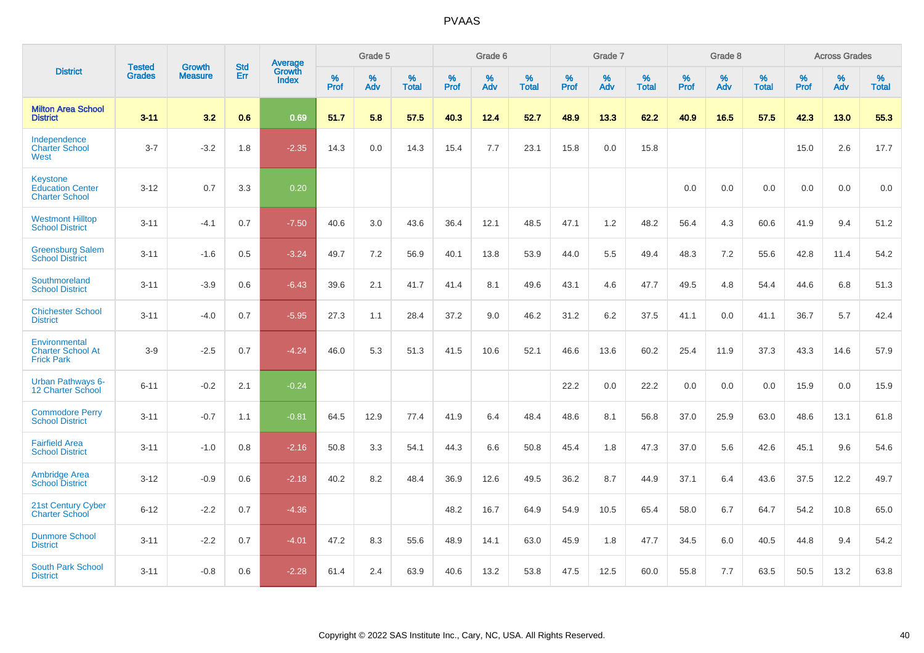|                                                                     | <b>Tested</b> | <b>Growth</b>  | <b>Std</b> | Average                       |           | Grade 5  |                   |           | Grade 6  |                   |           | Grade 7  |                   |           | Grade 8  |                   |           | <b>Across Grades</b> |                   |
|---------------------------------------------------------------------|---------------|----------------|------------|-------------------------------|-----------|----------|-------------------|-----------|----------|-------------------|-----------|----------|-------------------|-----------|----------|-------------------|-----------|----------------------|-------------------|
| <b>District</b>                                                     | <b>Grades</b> | <b>Measure</b> | <b>Err</b> | <b>Growth</b><br><b>Index</b> | %<br>Prof | %<br>Adv | %<br><b>Total</b> | %<br>Prof | %<br>Adv | %<br><b>Total</b> | %<br>Prof | %<br>Adv | %<br><b>Total</b> | %<br>Prof | %<br>Adv | %<br><b>Total</b> | %<br>Prof | %<br>Adv             | %<br><b>Total</b> |
| <b>Milton Area School</b><br><b>District</b>                        | $3 - 11$      | 3.2            | 0.6        | 0.69                          | 51.7      | 5.8      | 57.5              | 40.3      | 12.4     | 52.7              | 48.9      | 13.3     | 62.2              | 40.9      | 16.5     | 57.5              | 42.3      | 13.0                 | 55.3              |
| Independence<br><b>Charter School</b><br>West                       | $3 - 7$       | $-3.2$         | 1.8        | $-2.35$                       | 14.3      | 0.0      | 14.3              | 15.4      | 7.7      | 23.1              | 15.8      | $0.0\,$  | 15.8              |           |          |                   | 15.0      | 2.6                  | 17.7              |
| <b>Keystone</b><br><b>Education Center</b><br><b>Charter School</b> | $3 - 12$      | 0.7            | 3.3        | 0.20                          |           |          |                   |           |          |                   |           |          |                   | 0.0       | 0.0      | 0.0               | 0.0       | 0.0                  | 0.0               |
| <b>Westmont Hilltop</b><br><b>School District</b>                   | $3 - 11$      | $-4.1$         | 0.7        | $-7.50$                       | 40.6      | 3.0      | 43.6              | 36.4      | 12.1     | 48.5              | 47.1      | 1.2      | 48.2              | 56.4      | 4.3      | 60.6              | 41.9      | 9.4                  | 51.2              |
| <b>Greensburg Salem</b><br><b>School District</b>                   | $3 - 11$      | $-1.6$         | 0.5        | $-3.24$                       | 49.7      | 7.2      | 56.9              | 40.1      | 13.8     | 53.9              | 44.0      | 5.5      | 49.4              | 48.3      | 7.2      | 55.6              | 42.8      | 11.4                 | 54.2              |
| Southmoreland<br><b>School District</b>                             | $3 - 11$      | $-3.9$         | 0.6        | $-6.43$                       | 39.6      | 2.1      | 41.7              | 41.4      | 8.1      | 49.6              | 43.1      | 4.6      | 47.7              | 49.5      | 4.8      | 54.4              | 44.6      | 6.8                  | 51.3              |
| <b>Chichester School</b><br><b>District</b>                         | $3 - 11$      | $-4.0$         | 0.7        | $-5.95$                       | 27.3      | 1.1      | 28.4              | 37.2      | 9.0      | 46.2              | 31.2      | 6.2      | 37.5              | 41.1      | 0.0      | 41.1              | 36.7      | 5.7                  | 42.4              |
| Environmental<br><b>Charter School At</b><br><b>Frick Park</b>      | $3-9$         | $-2.5$         | 0.7        | $-4.24$                       | 46.0      | 5.3      | 51.3              | 41.5      | 10.6     | 52.1              | 46.6      | 13.6     | 60.2              | 25.4      | 11.9     | 37.3              | 43.3      | 14.6                 | 57.9              |
| <b>Urban Pathways 6-</b><br>12 Charter School                       | $6 - 11$      | $-0.2$         | 2.1        | $-0.24$                       |           |          |                   |           |          |                   | 22.2      | 0.0      | 22.2              | 0.0       | 0.0      | 0.0               | 15.9      | 0.0                  | 15.9              |
| <b>Commodore Perry</b><br><b>School District</b>                    | $3 - 11$      | $-0.7$         | 1.1        | $-0.81$                       | 64.5      | 12.9     | 77.4              | 41.9      | 6.4      | 48.4              | 48.6      | 8.1      | 56.8              | 37.0      | 25.9     | 63.0              | 48.6      | 13.1                 | 61.8              |
| <b>Fairfield Area</b><br><b>School District</b>                     | $3 - 11$      | $-1.0$         | 0.8        | $-2.16$                       | 50.8      | 3.3      | 54.1              | 44.3      | 6.6      | 50.8              | 45.4      | 1.8      | 47.3              | 37.0      | 5.6      | 42.6              | 45.1      | 9.6                  | 54.6              |
| <b>Ambridge Area</b><br><b>School District</b>                      | $3 - 12$      | $-0.9$         | 0.6        | $-2.18$                       | 40.2      | 8.2      | 48.4              | 36.9      | 12.6     | 49.5              | 36.2      | 8.7      | 44.9              | 37.1      | 6.4      | 43.6              | 37.5      | 12.2                 | 49.7              |
| <b>21st Century Cyber</b><br><b>Charter School</b>                  | $6 - 12$      | $-2.2$         | 0.7        | $-4.36$                       |           |          |                   | 48.2      | 16.7     | 64.9              | 54.9      | 10.5     | 65.4              | 58.0      | 6.7      | 64.7              | 54.2      | 10.8                 | 65.0              |
| <b>Dunmore School</b><br><b>District</b>                            | $3 - 11$      | $-2.2$         | 0.7        | $-4.01$                       | 47.2      | 8.3      | 55.6              | 48.9      | 14.1     | 63.0              | 45.9      | 1.8      | 47.7              | 34.5      | 6.0      | 40.5              | 44.8      | 9.4                  | 54.2              |
| <b>South Park School</b><br><b>District</b>                         | $3 - 11$      | $-0.8$         | 0.6        | $-2.28$                       | 61.4      | 2.4      | 63.9              | 40.6      | 13.2     | 53.8              | 47.5      | 12.5     | 60.0              | 55.8      | 7.7      | 63.5              | 50.5      | 13.2                 | 63.8              |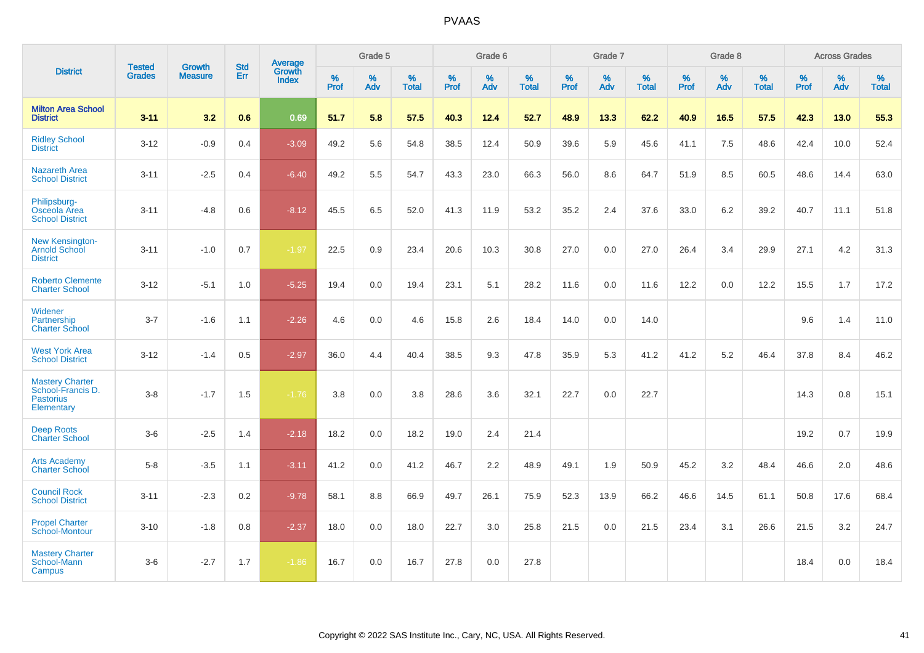|                                                                               | <b>Tested</b> | <b>Growth</b>  | <b>Std</b> | Average                |              | Grade 5  |                   |           | Grade 6  |                   |           | Grade 7  |                   |           | Grade 8  |                   |           | <b>Across Grades</b> |                   |
|-------------------------------------------------------------------------------|---------------|----------------|------------|------------------------|--------------|----------|-------------------|-----------|----------|-------------------|-----------|----------|-------------------|-----------|----------|-------------------|-----------|----------------------|-------------------|
| <b>District</b>                                                               | <b>Grades</b> | <b>Measure</b> | Err        | Growth<br><b>Index</b> | $\%$<br>Prof | %<br>Adv | %<br><b>Total</b> | %<br>Prof | %<br>Adv | %<br><b>Total</b> | %<br>Prof | %<br>Adv | %<br><b>Total</b> | %<br>Prof | %<br>Adv | %<br><b>Total</b> | %<br>Prof | %<br>Adv             | %<br><b>Total</b> |
| <b>Milton Area School</b><br><b>District</b>                                  | $3 - 11$      | 3.2            | 0.6        | 0.69                   | 51.7         | 5.8      | 57.5              | 40.3      | 12.4     | 52.7              | 48.9      | 13.3     | 62.2              | 40.9      | 16.5     | 57.5              | 42.3      | 13.0                 | 55.3              |
| <b>Ridley School</b><br><b>District</b>                                       | $3 - 12$      | $-0.9$         | 0.4        | $-3.09$                | 49.2         | 5.6      | 54.8              | 38.5      | 12.4     | 50.9              | 39.6      | 5.9      | 45.6              | 41.1      | 7.5      | 48.6              | 42.4      | 10.0                 | 52.4              |
| <b>Nazareth Area</b><br><b>School District</b>                                | $3 - 11$      | $-2.5$         | 0.4        | $-6.40$                | 49.2         | 5.5      | 54.7              | 43.3      | 23.0     | 66.3              | 56.0      | 8.6      | 64.7              | 51.9      | 8.5      | 60.5              | 48.6      | 14.4                 | 63.0              |
| Philipsburg-<br>Osceola Area<br><b>School District</b>                        | $3 - 11$      | $-4.8$         | 0.6        | $-8.12$                | 45.5         | 6.5      | 52.0              | 41.3      | 11.9     | 53.2              | 35.2      | 2.4      | 37.6              | 33.0      | 6.2      | 39.2              | 40.7      | 11.1                 | 51.8              |
| New Kensington-<br><b>Arnold School</b><br><b>District</b>                    | $3 - 11$      | $-1.0$         | 0.7        | $-1.97$                | 22.5         | 0.9      | 23.4              | 20.6      | 10.3     | 30.8              | 27.0      | 0.0      | 27.0              | 26.4      | 3.4      | 29.9              | 27.1      | 4.2                  | 31.3              |
| <b>Roberto Clemente</b><br><b>Charter School</b>                              | $3 - 12$      | $-5.1$         | 1.0        | $-5.25$                | 19.4         | 0.0      | 19.4              | 23.1      | 5.1      | 28.2              | 11.6      | 0.0      | 11.6              | 12.2      | 0.0      | 12.2              | 15.5      | 1.7                  | 17.2              |
| Widener<br>Partnership<br><b>Charter School</b>                               | $3 - 7$       | $-1.6$         | 1.1        | $-2.26$                | 4.6          | 0.0      | 4.6               | 15.8      | 2.6      | 18.4              | 14.0      | 0.0      | 14.0              |           |          |                   | 9.6       | 1.4                  | 11.0              |
| <b>West York Area</b><br><b>School District</b>                               | $3 - 12$      | $-1.4$         | 0.5        | $-2.97$                | 36.0         | 4.4      | 40.4              | 38.5      | 9.3      | 47.8              | 35.9      | 5.3      | 41.2              | 41.2      | 5.2      | 46.4              | 37.8      | 8.4                  | 46.2              |
| <b>Mastery Charter</b><br>School-Francis D.<br><b>Pastorius</b><br>Elementary | $3-8$         | $-1.7$         | 1.5        | $-1.76$                | 3.8          | 0.0      | 3.8               | 28.6      | 3.6      | 32.1              | 22.7      | 0.0      | 22.7              |           |          |                   | 14.3      | 0.8                  | 15.1              |
| <b>Deep Roots</b><br><b>Charter School</b>                                    | $3-6$         | $-2.5$         | 1.4        | $-2.18$                | 18.2         | 0.0      | 18.2              | 19.0      | 2.4      | 21.4              |           |          |                   |           |          |                   | 19.2      | 0.7                  | 19.9              |
| <b>Arts Academy</b><br><b>Charter School</b>                                  | $5-8$         | $-3.5$         | 1.1        | $-3.11$                | 41.2         | 0.0      | 41.2              | 46.7      | 2.2      | 48.9              | 49.1      | 1.9      | 50.9              | 45.2      | 3.2      | 48.4              | 46.6      | 2.0                  | 48.6              |
| <b>Council Rock</b><br><b>School District</b>                                 | $3 - 11$      | $-2.3$         | 0.2        | $-9.78$                | 58.1         | 8.8      | 66.9              | 49.7      | 26.1     | 75.9              | 52.3      | 13.9     | 66.2              | 46.6      | 14.5     | 61.1              | 50.8      | 17.6                 | 68.4              |
| <b>Propel Charter</b><br><b>School-Montour</b>                                | $3 - 10$      | $-1.8$         | 0.8        | $-2.37$                | 18.0         | 0.0      | 18.0              | 22.7      | 3.0      | 25.8              | 21.5      | 0.0      | 21.5              | 23.4      | 3.1      | 26.6              | 21.5      | 3.2                  | 24.7              |
| <b>Mastery Charter</b><br>School-Mann<br>Campus                               | $3-6$         | $-2.7$         | 1.7        | $-1.86$                | 16.7         | 0.0      | 16.7              | 27.8      | 0.0      | 27.8              |           |          |                   |           |          |                   | 18.4      | 0.0                  | 18.4              |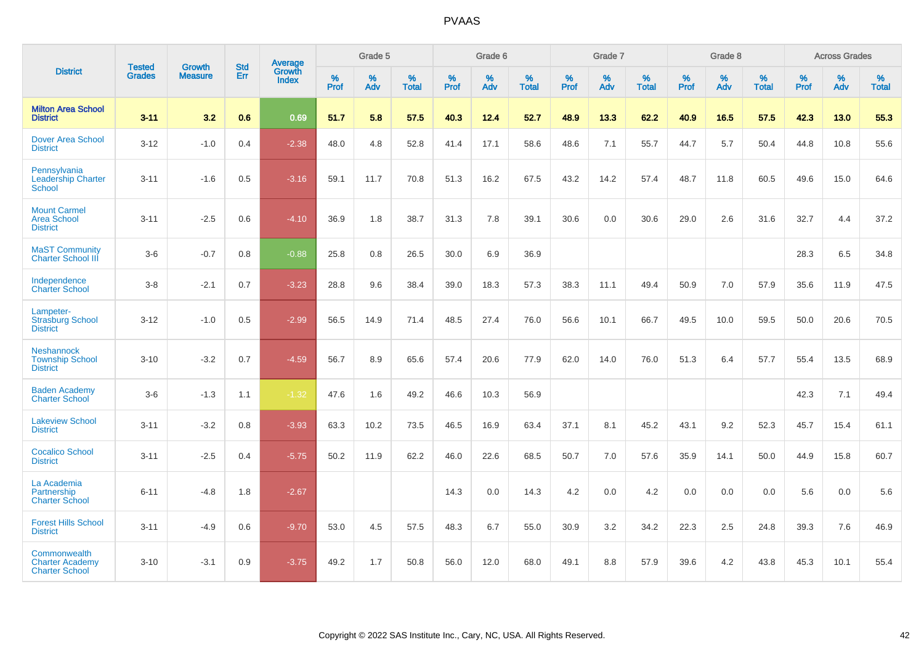|                                                                 |                                |                                 | <b>Std</b> | Average                |           | Grade 5  |                   |           | Grade 6  |                   |           | Grade 7  |                   |           | Grade 8  |                   |           | <b>Across Grades</b> |                   |
|-----------------------------------------------------------------|--------------------------------|---------------------------------|------------|------------------------|-----------|----------|-------------------|-----------|----------|-------------------|-----------|----------|-------------------|-----------|----------|-------------------|-----------|----------------------|-------------------|
| <b>District</b>                                                 | <b>Tested</b><br><b>Grades</b> | <b>Growth</b><br><b>Measure</b> | Err        | Growth<br><b>Index</b> | %<br>Prof | %<br>Adv | %<br><b>Total</b> | %<br>Prof | %<br>Adv | %<br><b>Total</b> | %<br>Prof | %<br>Adv | %<br><b>Total</b> | %<br>Prof | %<br>Adv | %<br><b>Total</b> | %<br>Prof | %<br>Adv             | %<br><b>Total</b> |
| <b>Milton Area School</b><br><b>District</b>                    | $3 - 11$                       | 3.2                             | 0.6        | 0.69                   | 51.7      | 5.8      | 57.5              | 40.3      | 12.4     | 52.7              | 48.9      | 13.3     | 62.2              | 40.9      | 16.5     | 57.5              | 42.3      | 13.0                 | 55.3              |
| <b>Dover Area School</b><br><b>District</b>                     | $3 - 12$                       | $-1.0$                          | 0.4        | $-2.38$                | 48.0      | 4.8      | 52.8              | 41.4      | 17.1     | 58.6              | 48.6      | 7.1      | 55.7              | 44.7      | 5.7      | 50.4              | 44.8      | 10.8                 | 55.6              |
| Pennsylvania<br><b>Leadership Charter</b><br><b>School</b>      | $3 - 11$                       | $-1.6$                          | 0.5        | $-3.16$                | 59.1      | 11.7     | 70.8              | 51.3      | 16.2     | 67.5              | 43.2      | 14.2     | 57.4              | 48.7      | 11.8     | 60.5              | 49.6      | 15.0                 | 64.6              |
| <b>Mount Carmel</b><br><b>Area School</b><br><b>District</b>    | $3 - 11$                       | $-2.5$                          | 0.6        | $-4.10$                | 36.9      | 1.8      | 38.7              | 31.3      | 7.8      | 39.1              | 30.6      | 0.0      | 30.6              | 29.0      | 2.6      | 31.6              | 32.7      | 4.4                  | 37.2              |
| <b>MaST Community</b><br><b>Charter School III</b>              | $3-6$                          | $-0.7$                          | 0.8        | $-0.88$                | 25.8      | 0.8      | 26.5              | 30.0      | 6.9      | 36.9              |           |          |                   |           |          |                   | 28.3      | 6.5                  | 34.8              |
| Independence<br><b>Charter School</b>                           | $3 - 8$                        | $-2.1$                          | 0.7        | $-3.23$                | 28.8      | 9.6      | 38.4              | 39.0      | 18.3     | 57.3              | 38.3      | 11.1     | 49.4              | 50.9      | 7.0      | 57.9              | 35.6      | 11.9                 | 47.5              |
| Lampeter-<br><b>Strasburg School</b><br><b>District</b>         | $3 - 12$                       | $-1.0$                          | 0.5        | $-2.99$                | 56.5      | 14.9     | 71.4              | 48.5      | 27.4     | 76.0              | 56.6      | 10.1     | 66.7              | 49.5      | 10.0     | 59.5              | 50.0      | 20.6                 | 70.5              |
| <b>Neshannock</b><br><b>Township School</b><br><b>District</b>  | $3 - 10$                       | $-3.2$                          | 0.7        | $-4.59$                | 56.7      | 8.9      | 65.6              | 57.4      | 20.6     | 77.9              | 62.0      | 14.0     | 76.0              | 51.3      | 6.4      | 57.7              | 55.4      | 13.5                 | 68.9              |
| <b>Baden Academy</b><br><b>Charter School</b>                   | $3-6$                          | $-1.3$                          | 1.1        | $-1.32$                | 47.6      | 1.6      | 49.2              | 46.6      | 10.3     | 56.9              |           |          |                   |           |          |                   | 42.3      | 7.1                  | 49.4              |
| <b>Lakeview School</b><br><b>District</b>                       | $3 - 11$                       | $-3.2$                          | 0.8        | $-3.93$                | 63.3      | 10.2     | 73.5              | 46.5      | 16.9     | 63.4              | 37.1      | 8.1      | 45.2              | 43.1      | 9.2      | 52.3              | 45.7      | 15.4                 | 61.1              |
| <b>Cocalico School</b><br><b>District</b>                       | $3 - 11$                       | $-2.5$                          | 0.4        | $-5.75$                | 50.2      | 11.9     | 62.2              | 46.0      | 22.6     | 68.5              | 50.7      | 7.0      | 57.6              | 35.9      | 14.1     | 50.0              | 44.9      | 15.8                 | 60.7              |
| La Academia<br>Partnership<br><b>Charter School</b>             | $6 - 11$                       | $-4.8$                          | 1.8        | $-2.67$                |           |          |                   | 14.3      | 0.0      | 14.3              | 4.2       | $0.0\,$  | 4.2               | 0.0       | 0.0      | 0.0               | 5.6       | $0.0\,$              | 5.6               |
| <b>Forest Hills School</b><br><b>District</b>                   | $3 - 11$                       | $-4.9$                          | 0.6        | $-9.70$                | 53.0      | 4.5      | 57.5              | 48.3      | 6.7      | 55.0              | 30.9      | 3.2      | 34.2              | 22.3      | 2.5      | 24.8              | 39.3      | 7.6                  | 46.9              |
| Commonwealth<br><b>Charter Academy</b><br><b>Charter School</b> | $3 - 10$                       | $-3.1$                          | 0.9        | $-3.75$                | 49.2      | 1.7      | 50.8              | 56.0      | 12.0     | 68.0              | 49.1      | 8.8      | 57.9              | 39.6      | 4.2      | 43.8              | 45.3      | 10.1                 | 55.4              |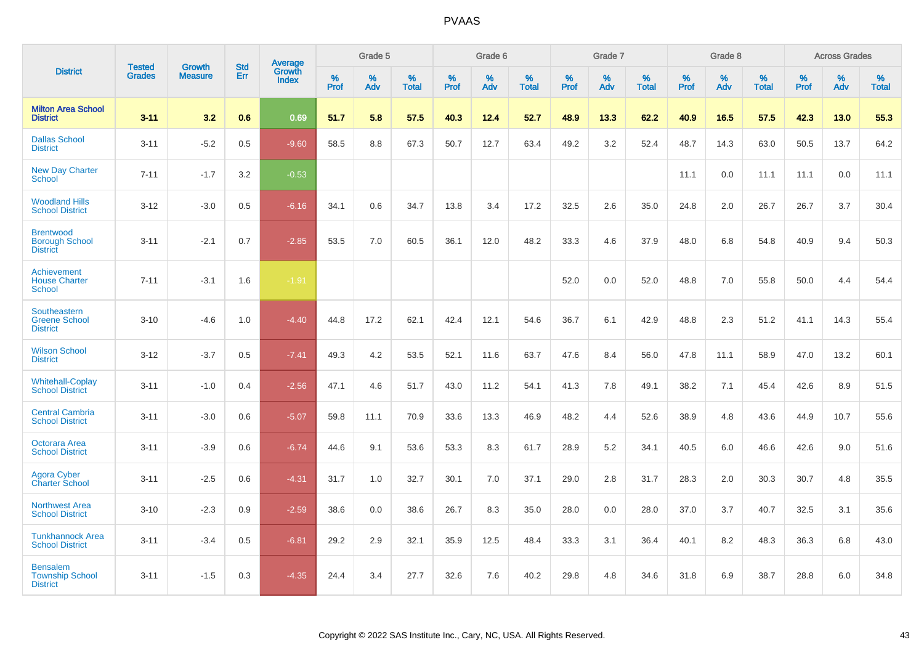|                                                              |                                |                                 | <b>Std</b> | <b>Average</b>         |           | Grade 5  |                   |           | Grade 6  |                   |           | Grade 7  |                   |           | Grade 8  |                   |           | <b>Across Grades</b> |                   |
|--------------------------------------------------------------|--------------------------------|---------------------------------|------------|------------------------|-----------|----------|-------------------|-----------|----------|-------------------|-----------|----------|-------------------|-----------|----------|-------------------|-----------|----------------------|-------------------|
| <b>District</b>                                              | <b>Tested</b><br><b>Grades</b> | <b>Growth</b><br><b>Measure</b> | Err        | Growth<br><b>Index</b> | %<br>Prof | %<br>Adv | %<br><b>Total</b> | %<br>Prof | %<br>Adv | %<br><b>Total</b> | %<br>Prof | %<br>Adv | %<br><b>Total</b> | %<br>Prof | %<br>Adv | %<br><b>Total</b> | %<br>Prof | %<br>Adv             | %<br><b>Total</b> |
| <b>Milton Area School</b><br><b>District</b>                 | $3 - 11$                       | 3.2                             | 0.6        | 0.69                   | 51.7      | 5.8      | 57.5              | 40.3      | 12.4     | 52.7              | 48.9      | 13.3     | 62.2              | 40.9      | 16.5     | 57.5              | 42.3      | 13.0                 | 55.3              |
| <b>Dallas School</b><br><b>District</b>                      | $3 - 11$                       | $-5.2$                          | 0.5        | $-9.60$                | 58.5      | 8.8      | 67.3              | 50.7      | 12.7     | 63.4              | 49.2      | 3.2      | 52.4              | 48.7      | 14.3     | 63.0              | 50.5      | 13.7                 | 64.2              |
| <b>New Day Charter</b><br>School                             | $7 - 11$                       | $-1.7$                          | 3.2        | $-0.53$                |           |          |                   |           |          |                   |           |          |                   | 11.1      | 0.0      | 11.1              | 11.1      | 0.0                  | 11.1              |
| <b>Woodland Hills</b><br><b>School District</b>              | $3 - 12$                       | $-3.0$                          | 0.5        | $-6.16$                | 34.1      | 0.6      | 34.7              | 13.8      | 3.4      | 17.2              | 32.5      | 2.6      | 35.0              | 24.8      | 2.0      | 26.7              | 26.7      | 3.7                  | 30.4              |
| <b>Brentwood</b><br><b>Borough School</b><br><b>District</b> | $3 - 11$                       | $-2.1$                          | 0.7        | $-2.85$                | 53.5      | 7.0      | 60.5              | 36.1      | 12.0     | 48.2              | 33.3      | 4.6      | 37.9              | 48.0      | 6.8      | 54.8              | 40.9      | 9.4                  | 50.3              |
| <b>Achievement</b><br><b>House Charter</b><br>School         | $7 - 11$                       | $-3.1$                          | 1.6        | $-1.91$                |           |          |                   |           |          |                   | 52.0      | 0.0      | 52.0              | 48.8      | 7.0      | 55.8              | 50.0      | 4.4                  | 54.4              |
| Southeastern<br><b>Greene School</b><br><b>District</b>      | $3 - 10$                       | $-4.6$                          | 1.0        | $-4.40$                | 44.8      | 17.2     | 62.1              | 42.4      | 12.1     | 54.6              | 36.7      | 6.1      | 42.9              | 48.8      | 2.3      | 51.2              | 41.1      | 14.3                 | 55.4              |
| <b>Wilson School</b><br><b>District</b>                      | $3 - 12$                       | $-3.7$                          | 0.5        | $-7.41$                | 49.3      | 4.2      | 53.5              | 52.1      | 11.6     | 63.7              | 47.6      | 8.4      | 56.0              | 47.8      | 11.1     | 58.9              | 47.0      | 13.2                 | 60.1              |
| <b>Whitehall-Coplay</b><br><b>School District</b>            | $3 - 11$                       | $-1.0$                          | 0.4        | $-2.56$                | 47.1      | 4.6      | 51.7              | 43.0      | 11.2     | 54.1              | 41.3      | 7.8      | 49.1              | 38.2      | 7.1      | 45.4              | 42.6      | 8.9                  | 51.5              |
| <b>Central Cambria</b><br><b>School District</b>             | $3 - 11$                       | $-3.0$                          | 0.6        | $-5.07$                | 59.8      | 11.1     | 70.9              | 33.6      | 13.3     | 46.9              | 48.2      | 4.4      | 52.6              | 38.9      | 4.8      | 43.6              | 44.9      | 10.7                 | 55.6              |
| Octorara Area<br><b>School District</b>                      | $3 - 11$                       | $-3.9$                          | 0.6        | $-6.74$                | 44.6      | 9.1      | 53.6              | 53.3      | 8.3      | 61.7              | 28.9      | 5.2      | 34.1              | 40.5      | 6.0      | 46.6              | 42.6      | 9.0                  | 51.6              |
| Agora Cyber<br><b>Charter School</b>                         | $3 - 11$                       | $-2.5$                          | 0.6        | $-4.31$                | 31.7      | 1.0      | 32.7              | 30.1      | 7.0      | 37.1              | 29.0      | 2.8      | 31.7              | 28.3      | 2.0      | 30.3              | 30.7      | 4.8                  | 35.5              |
| <b>Northwest Area</b><br><b>School District</b>              | $3 - 10$                       | $-2.3$                          | 0.9        | $-2.59$                | 38.6      | 0.0      | 38.6              | 26.7      | 8.3      | 35.0              | 28.0      | 0.0      | 28.0              | 37.0      | 3.7      | 40.7              | 32.5      | 3.1                  | 35.6              |
| <b>Tunkhannock Area</b><br><b>School District</b>            | $3 - 11$                       | $-3.4$                          | 0.5        | $-6.81$                | 29.2      | 2.9      | 32.1              | 35.9      | 12.5     | 48.4              | 33.3      | 3.1      | 36.4              | 40.1      | 8.2      | 48.3              | 36.3      | 6.8                  | 43.0              |
| <b>Bensalem</b><br><b>Township School</b><br><b>District</b> | $3 - 11$                       | $-1.5$                          | 0.3        | $-4.35$                | 24.4      | 3.4      | 27.7              | 32.6      | 7.6      | 40.2              | 29.8      | 4.8      | 34.6              | 31.8      | 6.9      | 38.7              | 28.8      | 6.0                  | 34.8              |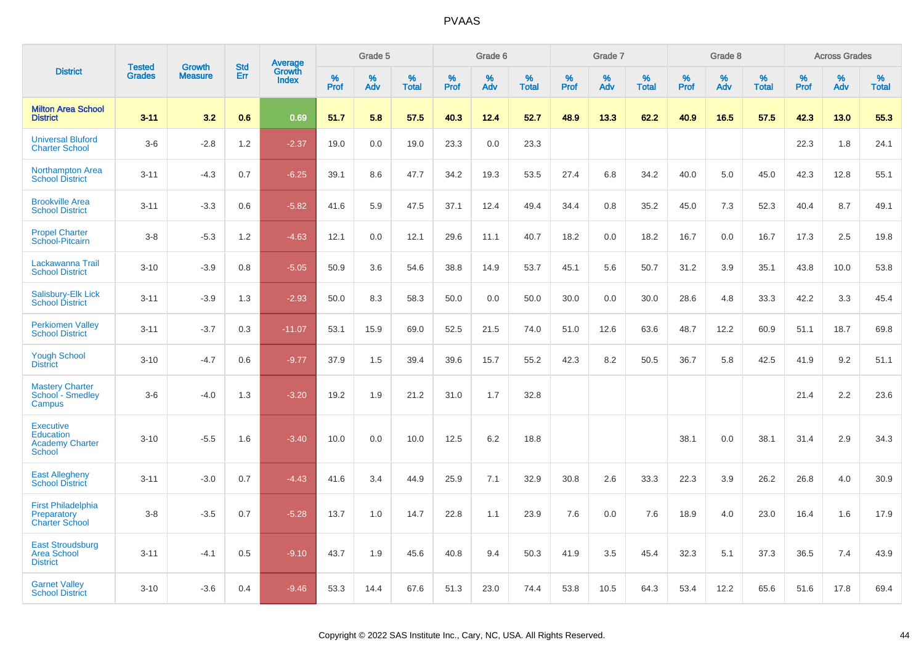|                                                                          | <b>Tested</b> | <b>Growth</b>  | <b>Std</b> | Average<br>Growth |           | Grade 5  |                   |           | Grade 6  |                   |           | Grade 7  |                   |           | Grade 8  |                   |              | <b>Across Grades</b> |                   |
|--------------------------------------------------------------------------|---------------|----------------|------------|-------------------|-----------|----------|-------------------|-----------|----------|-------------------|-----------|----------|-------------------|-----------|----------|-------------------|--------------|----------------------|-------------------|
| <b>District</b>                                                          | <b>Grades</b> | <b>Measure</b> | <b>Err</b> | <b>Index</b>      | %<br>Prof | %<br>Adv | %<br><b>Total</b> | %<br>Prof | %<br>Adv | %<br><b>Total</b> | %<br>Prof | %<br>Adv | %<br><b>Total</b> | %<br>Prof | %<br>Adv | %<br><b>Total</b> | $\%$<br>Prof | %<br>Adv             | %<br><b>Total</b> |
| <b>Milton Area School</b><br><b>District</b>                             | $3 - 11$      | 3.2            | 0.6        | 0.69              | 51.7      | 5.8      | 57.5              | 40.3      | 12.4     | 52.7              | 48.9      | 13.3     | 62.2              | 40.9      | 16.5     | 57.5              | 42.3         | 13.0                 | 55.3              |
| <b>Universal Bluford</b><br><b>Charter School</b>                        | $3-6$         | $-2.8$         | 1.2        | $-2.37$           | 19.0      | 0.0      | 19.0              | 23.3      | 0.0      | 23.3              |           |          |                   |           |          |                   | 22.3         | 1.8                  | 24.1              |
| Northampton Area<br><b>School District</b>                               | $3 - 11$      | $-4.3$         | 0.7        | $-6.25$           | 39.1      | 8.6      | 47.7              | 34.2      | 19.3     | 53.5              | 27.4      | 6.8      | 34.2              | 40.0      | 5.0      | 45.0              | 42.3         | 12.8                 | 55.1              |
| <b>Brookville Area</b><br><b>School District</b>                         | $3 - 11$      | $-3.3$         | 0.6        | $-5.82$           | 41.6      | 5.9      | 47.5              | 37.1      | 12.4     | 49.4              | 34.4      | 0.8      | 35.2              | 45.0      | 7.3      | 52.3              | 40.4         | 8.7                  | 49.1              |
| <b>Propel Charter</b><br>School-Pitcairn                                 | $3 - 8$       | $-5.3$         | 1.2        | $-4.63$           | 12.1      | 0.0      | 12.1              | 29.6      | 11.1     | 40.7              | 18.2      | 0.0      | 18.2              | 16.7      | 0.0      | 16.7              | 17.3         | 2.5                  | 19.8              |
| Lackawanna Trail<br><b>School District</b>                               | $3 - 10$      | $-3.9$         | 0.8        | $-5.05$           | 50.9      | 3.6      | 54.6              | 38.8      | 14.9     | 53.7              | 45.1      | 5.6      | 50.7              | 31.2      | 3.9      | 35.1              | 43.8         | 10.0                 | 53.8              |
| Salisbury-Elk Lick<br><b>School District</b>                             | $3 - 11$      | $-3.9$         | 1.3        | $-2.93$           | 50.0      | 8.3      | 58.3              | 50.0      | 0.0      | 50.0              | 30.0      | 0.0      | 30.0              | 28.6      | 4.8      | 33.3              | 42.2         | 3.3                  | 45.4              |
| <b>Perkiomen Valley</b><br><b>School District</b>                        | $3 - 11$      | $-3.7$         | 0.3        | $-11.07$          | 53.1      | 15.9     | 69.0              | 52.5      | 21.5     | 74.0              | 51.0      | 12.6     | 63.6              | 48.7      | 12.2     | 60.9              | 51.1         | 18.7                 | 69.8              |
| <b>Yough School</b><br><b>District</b>                                   | $3 - 10$      | $-4.7$         | 0.6        | $-9.77$           | 37.9      | 1.5      | 39.4              | 39.6      | 15.7     | 55.2              | 42.3      | 8.2      | 50.5              | 36.7      | 5.8      | 42.5              | 41.9         | 9.2                  | 51.1              |
| <b>Mastery Charter</b><br>School - Smedley<br>Campus                     | $3-6$         | $-4.0$         | 1.3        | $-3.20$           | 19.2      | 1.9      | 21.2              | 31.0      | 1.7      | 32.8              |           |          |                   |           |          |                   | 21.4         | 2.2                  | 23.6              |
| <b>Executive</b><br><b>Education</b><br><b>Academy Charter</b><br>School | $3 - 10$      | $-5.5$         | 1.6        | $-3.40$           | 10.0      | 0.0      | 10.0              | 12.5      | 6.2      | 18.8              |           |          |                   | 38.1      | 0.0      | 38.1              | 31.4         | 2.9                  | 34.3              |
| <b>East Allegheny</b><br><b>School District</b>                          | $3 - 11$      | $-3.0$         | 0.7        | $-4.43$           | 41.6      | 3.4      | 44.9              | 25.9      | 7.1      | 32.9              | 30.8      | 2.6      | 33.3              | 22.3      | 3.9      | 26.2              | 26.8         | 4.0                  | 30.9              |
| <b>First Philadelphia</b><br>Preparatory<br><b>Charter School</b>        | $3 - 8$       | $-3.5$         | 0.7        | $-5.28$           | 13.7      | 1.0      | 14.7              | 22.8      | 1.1      | 23.9              | 7.6       | 0.0      | 7.6               | 18.9      | 4.0      | 23.0              | 16.4         | 1.6                  | 17.9              |
| <b>East Stroudsburg</b><br><b>Area School</b><br><b>District</b>         | $3 - 11$      | $-4.1$         | 0.5        | $-9.10$           | 43.7      | 1.9      | 45.6              | 40.8      | 9.4      | 50.3              | 41.9      | 3.5      | 45.4              | 32.3      | 5.1      | 37.3              | 36.5         | 7.4                  | 43.9              |
| <b>Garnet Valley</b><br><b>School District</b>                           | $3 - 10$      | $-3.6$         | 0.4        | $-9.46$           | 53.3      | 14.4     | 67.6              | 51.3      | 23.0     | 74.4              | 53.8      | 10.5     | 64.3              | 53.4      | 12.2     | 65.6              | 51.6         | 17.8                 | 69.4              |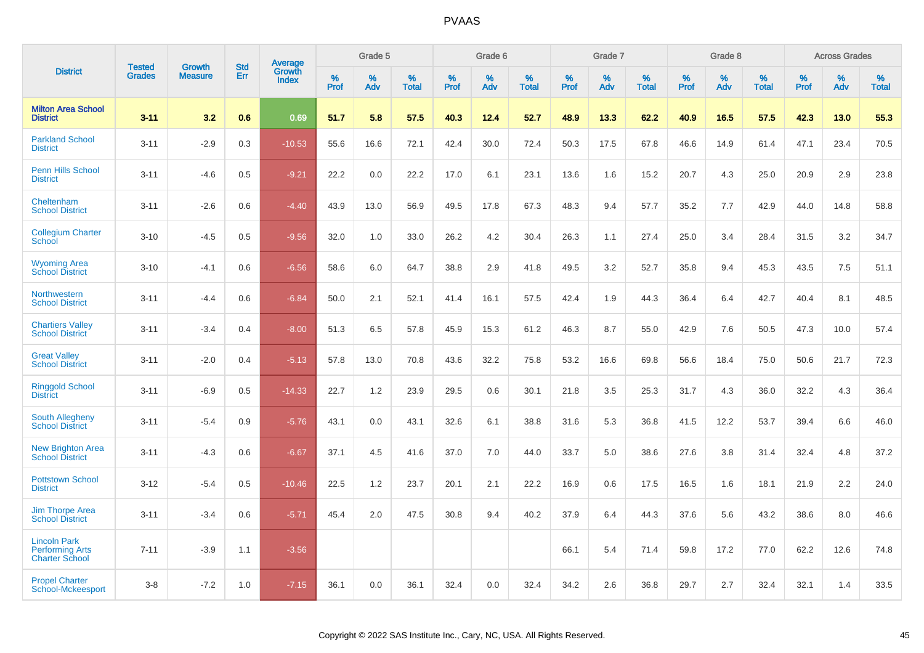|                                                                        | <b>Tested</b> | <b>Growth</b>  | <b>Std</b> | Average         |              | Grade 5  |                   |              | Grade 6  |                   |              | Grade 7  |                   |              | Grade 8  |                   |              | <b>Across Grades</b> |                   |
|------------------------------------------------------------------------|---------------|----------------|------------|-----------------|--------------|----------|-------------------|--------------|----------|-------------------|--------------|----------|-------------------|--------------|----------|-------------------|--------------|----------------------|-------------------|
| <b>District</b>                                                        | <b>Grades</b> | <b>Measure</b> | Err        | Growth<br>Index | $\%$<br>Prof | %<br>Adv | %<br><b>Total</b> | $\%$<br>Prof | %<br>Adv | %<br><b>Total</b> | $\%$<br>Prof | %<br>Adv | %<br><b>Total</b> | $\%$<br>Prof | %<br>Adv | %<br><b>Total</b> | $\%$<br>Prof | $\%$<br>Adv          | %<br><b>Total</b> |
| <b>Milton Area School</b><br><b>District</b>                           | $3 - 11$      | 3.2            | 0.6        | 0.69            | 51.7         | 5.8      | 57.5              | 40.3         | 12.4     | 52.7              | 48.9         | 13.3     | 62.2              | 40.9         | 16.5     | 57.5              | 42.3         | 13.0                 | 55.3              |
| <b>Parkland School</b><br><b>District</b>                              | $3 - 11$      | $-2.9$         | 0.3        | $-10.53$        | 55.6         | 16.6     | 72.1              | 42.4         | 30.0     | 72.4              | 50.3         | 17.5     | 67.8              | 46.6         | 14.9     | 61.4              | 47.1         | 23.4                 | 70.5              |
| <b>Penn Hills School</b><br><b>District</b>                            | $3 - 11$      | $-4.6$         | 0.5        | $-9.21$         | 22.2         | 0.0      | 22.2              | 17.0         | 6.1      | 23.1              | 13.6         | 1.6      | 15.2              | 20.7         | 4.3      | 25.0              | 20.9         | 2.9                  | 23.8              |
| Cheltenham<br><b>School District</b>                                   | $3 - 11$      | $-2.6$         | 0.6        | $-4.40$         | 43.9         | 13.0     | 56.9              | 49.5         | 17.8     | 67.3              | 48.3         | 9.4      | 57.7              | 35.2         | 7.7      | 42.9              | 44.0         | 14.8                 | 58.8              |
| <b>Collegium Charter</b><br>School                                     | $3 - 10$      | $-4.5$         | 0.5        | $-9.56$         | 32.0         | 1.0      | 33.0              | 26.2         | 4.2      | 30.4              | 26.3         | 1.1      | 27.4              | 25.0         | 3.4      | 28.4              | 31.5         | 3.2                  | 34.7              |
| <b>Wyoming Area</b><br><b>School District</b>                          | $3 - 10$      | $-4.1$         | 0.6        | $-6.56$         | 58.6         | 6.0      | 64.7              | 38.8         | 2.9      | 41.8              | 49.5         | 3.2      | 52.7              | 35.8         | 9.4      | 45.3              | 43.5         | 7.5                  | 51.1              |
| Northwestern<br><b>School District</b>                                 | $3 - 11$      | $-4.4$         | 0.6        | $-6.84$         | 50.0         | 2.1      | 52.1              | 41.4         | 16.1     | 57.5              | 42.4         | 1.9      | 44.3              | 36.4         | 6.4      | 42.7              | 40.4         | 8.1                  | 48.5              |
| <b>Chartiers Valley</b><br><b>School District</b>                      | $3 - 11$      | $-3.4$         | 0.4        | $-8.00$         | 51.3         | 6.5      | 57.8              | 45.9         | 15.3     | 61.2              | 46.3         | 8.7      | 55.0              | 42.9         | 7.6      | 50.5              | 47.3         | 10.0                 | 57.4              |
| <b>Great Valley</b><br><b>School District</b>                          | $3 - 11$      | $-2.0$         | 0.4        | $-5.13$         | 57.8         | 13.0     | 70.8              | 43.6         | 32.2     | 75.8              | 53.2         | 16.6     | 69.8              | 56.6         | 18.4     | 75.0              | 50.6         | 21.7                 | 72.3              |
| <b>Ringgold School</b><br><b>District</b>                              | $3 - 11$      | $-6.9$         | 0.5        | $-14.33$        | 22.7         | 1.2      | 23.9              | 29.5         | 0.6      | 30.1              | 21.8         | 3.5      | 25.3              | 31.7         | 4.3      | 36.0              | 32.2         | 4.3                  | 36.4              |
| <b>South Allegheny</b><br><b>School District</b>                       | $3 - 11$      | $-5.4$         | 0.9        | $-5.76$         | 43.1         | 0.0      | 43.1              | 32.6         | 6.1      | 38.8              | 31.6         | 5.3      | 36.8              | 41.5         | 12.2     | 53.7              | 39.4         | 6.6                  | 46.0              |
| <b>New Brighton Area</b><br><b>School District</b>                     | $3 - 11$      | $-4.3$         | 0.6        | $-6.67$         | 37.1         | 4.5      | 41.6              | 37.0         | 7.0      | 44.0              | 33.7         | 5.0      | 38.6              | 27.6         | 3.8      | 31.4              | 32.4         | 4.8                  | 37.2              |
| <b>Pottstown School</b><br><b>District</b>                             | $3 - 12$      | $-5.4$         | 0.5        | $-10.46$        | 22.5         | 1.2      | 23.7              | 20.1         | 2.1      | 22.2              | 16.9         | 0.6      | 17.5              | 16.5         | 1.6      | 18.1              | 21.9         | 2.2                  | 24.0              |
| <b>Jim Thorpe Area</b><br><b>School District</b>                       | $3 - 11$      | $-3.4$         | 0.6        | $-5.71$         | 45.4         | 2.0      | 47.5              | 30.8         | 9.4      | 40.2              | 37.9         | 6.4      | 44.3              | 37.6         | 5.6      | 43.2              | 38.6         | 8.0                  | 46.6              |
| <b>Lincoln Park</b><br><b>Performing Arts</b><br><b>Charter School</b> | $7 - 11$      | $-3.9$         | 1.1        | $-3.56$         |              |          |                   |              |          |                   | 66.1         | 5.4      | 71.4              | 59.8         | 17.2     | 77.0              | 62.2         | 12.6                 | 74.8              |
| <b>Propel Charter</b><br>School-Mckeesport                             | $3 - 8$       | $-7.2$         | 1.0        | $-7.15$         | 36.1         | 0.0      | 36.1              | 32.4         | 0.0      | 32.4              | 34.2         | 2.6      | 36.8              | 29.7         | 2.7      | 32.4              | 32.1         | 1.4                  | 33.5              |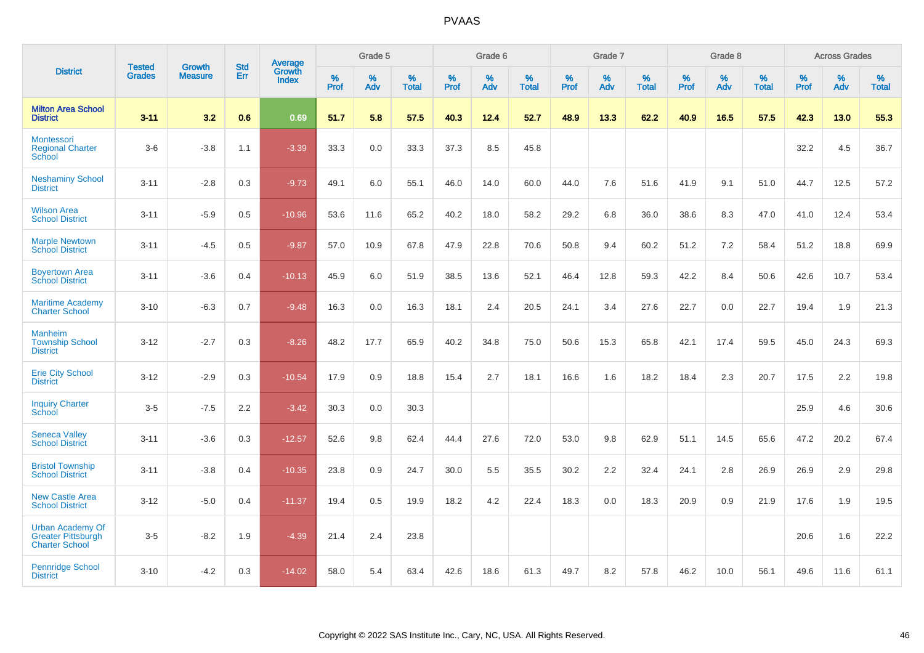|                                                                               | <b>Tested</b> | <b>Growth</b>  | <b>Std</b> | Average                       |              | Grade 5  |                   |           | Grade 6  |                   |           | Grade 7  |                   |           | Grade 8  |                   |           | <b>Across Grades</b> |                   |
|-------------------------------------------------------------------------------|---------------|----------------|------------|-------------------------------|--------------|----------|-------------------|-----------|----------|-------------------|-----------|----------|-------------------|-----------|----------|-------------------|-----------|----------------------|-------------------|
| <b>District</b>                                                               | <b>Grades</b> | <b>Measure</b> | Err        | <b>Growth</b><br><b>Index</b> | $\%$<br>Prof | %<br>Adv | %<br><b>Total</b> | %<br>Prof | %<br>Adv | %<br><b>Total</b> | %<br>Prof | %<br>Adv | %<br><b>Total</b> | %<br>Prof | %<br>Adv | %<br><b>Total</b> | %<br>Prof | %<br>Adv             | %<br><b>Total</b> |
| <b>Milton Area School</b><br><b>District</b>                                  | $3 - 11$      | 3.2            | 0.6        | 0.69                          | 51.7         | 5.8      | 57.5              | 40.3      | 12.4     | 52.7              | 48.9      | 13.3     | 62.2              | 40.9      | 16.5     | 57.5              | 42.3      | 13.0                 | 55.3              |
| Montessori<br><b>Regional Charter</b><br>School                               | $3-6$         | $-3.8$         | 1.1        | $-3.39$                       | 33.3         | 0.0      | 33.3              | 37.3      | 8.5      | 45.8              |           |          |                   |           |          |                   | 32.2      | 4.5                  | 36.7              |
| <b>Neshaminy School</b><br><b>District</b>                                    | $3 - 11$      | $-2.8$         | 0.3        | $-9.73$                       | 49.1         | 6.0      | 55.1              | 46.0      | 14.0     | 60.0              | 44.0      | 7.6      | 51.6              | 41.9      | 9.1      | 51.0              | 44.7      | 12.5                 | 57.2              |
| <b>Wilson Area</b><br><b>School District</b>                                  | $3 - 11$      | $-5.9$         | 0.5        | $-10.96$                      | 53.6         | 11.6     | 65.2              | 40.2      | 18.0     | 58.2              | 29.2      | 6.8      | 36.0              | 38.6      | 8.3      | 47.0              | 41.0      | 12.4                 | 53.4              |
| <b>Marple Newtown</b><br><b>School District</b>                               | $3 - 11$      | $-4.5$         | 0.5        | $-9.87$                       | 57.0         | 10.9     | 67.8              | 47.9      | 22.8     | 70.6              | 50.8      | 9.4      | 60.2              | 51.2      | 7.2      | 58.4              | 51.2      | 18.8                 | 69.9              |
| <b>Boyertown Area</b><br><b>School District</b>                               | $3 - 11$      | $-3.6$         | 0.4        | $-10.13$                      | 45.9         | 6.0      | 51.9              | 38.5      | 13.6     | 52.1              | 46.4      | 12.8     | 59.3              | 42.2      | 8.4      | 50.6              | 42.6      | 10.7                 | 53.4              |
| <b>Maritime Academy</b><br><b>Charter School</b>                              | $3 - 10$      | $-6.3$         | 0.7        | $-9.48$                       | 16.3         | 0.0      | 16.3              | 18.1      | 2.4      | 20.5              | 24.1      | 3.4      | 27.6              | 22.7      | 0.0      | 22.7              | 19.4      | 1.9                  | 21.3              |
| <b>Manheim</b><br><b>Township School</b><br><b>District</b>                   | $3 - 12$      | $-2.7$         | 0.3        | $-8.26$                       | 48.2         | 17.7     | 65.9              | 40.2      | 34.8     | 75.0              | 50.6      | 15.3     | 65.8              | 42.1      | 17.4     | 59.5              | 45.0      | 24.3                 | 69.3              |
| <b>Erie City School</b><br><b>District</b>                                    | $3 - 12$      | $-2.9$         | 0.3        | $-10.54$                      | 17.9         | 0.9      | 18.8              | 15.4      | 2.7      | 18.1              | 16.6      | 1.6      | 18.2              | 18.4      | 2.3      | 20.7              | 17.5      | 2.2                  | 19.8              |
| <b>Inquiry Charter</b><br>School                                              | $3-5$         | $-7.5$         | 2.2        | $-3.42$                       | 30.3         | 0.0      | 30.3              |           |          |                   |           |          |                   |           |          |                   | 25.9      | 4.6                  | 30.6              |
| <b>Seneca Valley</b><br><b>School District</b>                                | $3 - 11$      | $-3.6$         | 0.3        | $-12.57$                      | 52.6         | 9.8      | 62.4              | 44.4      | 27.6     | 72.0              | 53.0      | 9.8      | 62.9              | 51.1      | 14.5     | 65.6              | 47.2      | 20.2                 | 67.4              |
| <b>Bristol Township</b><br><b>School District</b>                             | $3 - 11$      | $-3.8$         | 0.4        | $-10.35$                      | 23.8         | 0.9      | 24.7              | 30.0      | 5.5      | 35.5              | 30.2      | 2.2      | 32.4              | 24.1      | 2.8      | 26.9              | 26.9      | 2.9                  | 29.8              |
| <b>New Castle Area</b><br><b>School District</b>                              | $3 - 12$      | $-5.0$         | 0.4        | $-11.37$                      | 19.4         | 0.5      | 19.9              | 18.2      | 4.2      | 22.4              | 18.3      | 0.0      | 18.3              | 20.9      | 0.9      | 21.9              | 17.6      | 1.9                  | 19.5              |
| <b>Urban Academy Of</b><br><b>Greater Pittsburgh</b><br><b>Charter School</b> | $3-5$         | $-8.2$         | 1.9        | $-4.39$                       | 21.4         | 2.4      | 23.8              |           |          |                   |           |          |                   |           |          |                   | 20.6      | 1.6                  | 22.2              |
| <b>Pennridge School</b><br><b>District</b>                                    | $3 - 10$      | $-4.2$         | 0.3        | $-14.02$                      | 58.0         | 5.4      | 63.4              | 42.6      | 18.6     | 61.3              | 49.7      | 8.2      | 57.8              | 46.2      | 10.0     | 56.1              | 49.6      | 11.6                 | 61.1              |